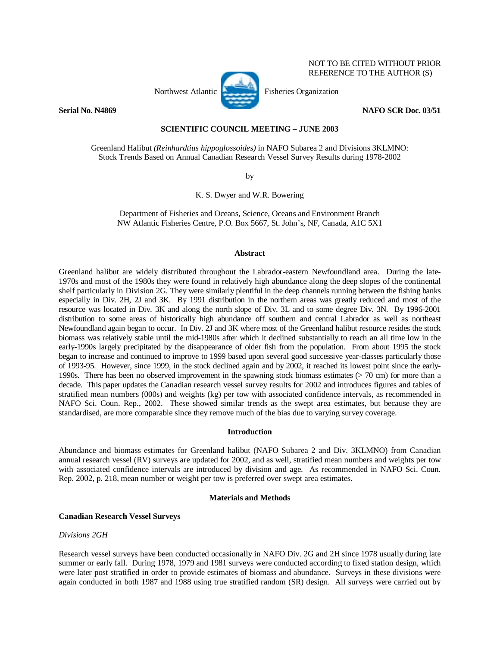

NOT TO BE CITED WITHOUT PRIOR REFERENCE TO THE AUTHOR (S)

## **Serial No. N4869 NAFO SCR Doc. 03/51**

## **SCIENTIFIC COUNCIL MEETING – JUNE 2003**

Greenland Halibut *(Reinhardtius hippoglossoides)* in NAFO Subarea 2 and Divisions 3KLMNO: Stock Trends Based on Annual Canadian Research Vessel Survey Results during 1978-2002

by

K. S. Dwyer and W.R. Bowering

Department of Fisheries and Oceans, Science, Oceans and Environment Branch NW Atlantic Fisheries Centre, P.O. Box 5667, St. John's, NF, Canada, A1C 5X1

### **Abstract**

Greenland halibut are widely distributed throughout the Labrador-eastern Newfoundland area. During the late-1970s and most of the 1980s they were found in relatively high abundance along the deep slopes of the continental shelf particularly in Division 2G. They were similarly plentiful in the deep channels running between the fishing banks especially in Div. 2H, 2J and 3K. By 1991 distribution in the northern areas was greatly reduced and most of the resource was located in Div. 3K and along the north slope of Div. 3L and to some degree Div. 3N. By 1996-2001 distribution to some areas of historically high abundance off southern and central Labrador as well as northeast Newfoundland again began to occur. In Div. 2J and 3K where most of the Greenland halibut resource resides the stock biomass was relatively stable until the mid-1980s after which it declined substantially to reach an all time low in the early-1990s largely precipitated by the disappearance of older fish from the population. From about 1995 the stock began to increase and continued to improve to 1999 based upon several good successive year-classes particularly those of 1993-95. However, since 1999, in the stock declined again and by 2002, it reached its lowest point since the early-1990s. There has been no observed improvement in the spawning stock biomass estimates (> 70 cm) for more than a decade. This paper updates the Canadian research vessel survey results for 2002 and introduces figures and tables of stratified mean numbers (000s) and weights (kg) per tow with associated confidence intervals, as recommended in NAFO Sci. Coun. Rep., 2002. These showed similar trends as the swept area estimates, but because they are standardised, are more comparable since they remove much of the bias due to varying survey coverage.

## **Introduction**

Abundance and biomass estimates for Greenland halibut (NAFO Subarea 2 and Div. 3KLMNO) from Canadian annual research vessel (RV) surveys are updated for 2002, and as well, stratified mean numbers and weights per tow with associated confidence intervals are introduced by division and age. As recommended in NAFO Sci. Coun. Rep. 2002, p. 218, mean number or weight per tow is preferred over swept area estimates.

# **Materials and Methods**

# **Canadian Research Vessel Surveys**

# *Divisions 2GH*

Research vessel surveys have been conducted occasionally in NAFO Div. 2G and 2H since 1978 usually during late summer or early fall. During 1978, 1979 and 1981 surveys were conducted according to fixed station design, which were later post stratified in order to provide estimates of biomass and abundance. Surveys in these divisions were again conducted in both 1987 and 1988 using true stratified random (SR) design. All surveys were carried out by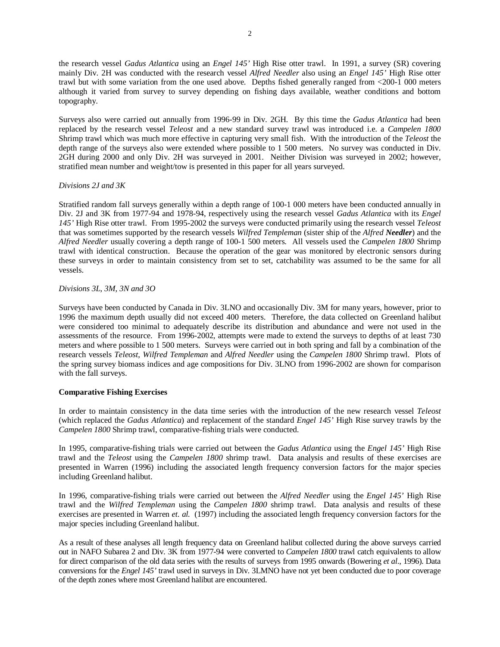the research vessel *Gadus Atlantica* using an *Engel 145'* High Rise otter trawl. In 1991, a survey (SR) covering mainly Div. 2H was conducted with the research vessel *Alfred Needler* also using an *Engel 145'* High Rise otter trawl but with some variation from the one used above. Depths fished generally ranged from <200-1 000 meters although it varied from survey to survey depending on fishing days available, weather conditions and bottom topography.

Surveys also were carried out annually from 1996-99 in Div. 2GH. By this time the *Gadus Atlantica* had been replaced by the research vessel *Teleost* and a new standard survey trawl was introduced i.e. a *Campelen 1800*  Shrimp trawl which was much more effective in capturing very small fish. With the introduction of the *Teleost* the depth range of the surveys also were extended where possible to 1 500 meters. No survey was conducted in Div. 2GH during 2000 and only Div. 2H was surveyed in 2001. Neither Division was surveyed in 2002; however, stratified mean number and weight/tow is presented in this paper for all years surveyed.

### *Divisions 2J and 3K*

Stratified random fall surveys generally within a depth range of 100-1 000 meters have been conducted annually in Div. 2J and 3K from 1977-94 and 1978-94, respectively using the research vessel *Gadus Atlantica* with its *Engel 145'* High Rise otter trawl. From 1995-2002 the surveys were conducted primarily using the research vessel *Teleost* that was sometimes supported by the research vessels *Wilfred Templeman* (sister ship of the *Alfred Needler*) and the *Alfred Needler* usually covering a depth range of 100-1 500 meters. All vessels used the *Campelen 1800* Shrimp trawl with identical construction. Because the operation of the gear was monitored by electronic sensors during these surveys in order to maintain consistency from set to set, catchability was assumed to be the same for all vessels.

## *Divisions 3L, 3M, 3N and 3O*

Surveys have been conducted by Canada in Div. 3LNO and occasionally Div. 3M for many years, however, prior to 1996 the maximum depth usually did not exceed 400 meters. Therefore, the data collected on Greenland halibut were considered too minimal to adequately describe its distribution and abundance and were not used in the assessments of the resource. From 1996-2002, attempts were made to extend the surveys to depths of at least 730 meters and where possible to 1 500 meters. Surveys were carried out in both spring and fall by a combination of the research vessels *Teleost*, *Wilfred Templeman* and *Alfred Needler* using the *Campelen 1800* Shrimp trawl. Plots of the spring survey biomass indices and age compositions for Div. 3LNO from 1996-2002 are shown for comparison with the fall surveys.

# **Comparative Fishing Exercises**

In order to maintain consistency in the data time series with the introduction of the new research vessel *Teleost* (which replaced the *Gadus Atlantica*) and replacement of the standard *Engel 145'* High Rise survey trawls by the *Campelen 1800* Shrimp trawl, comparative-fishing trials were conducted.

In 1995, comparative-fishing trials were carried out between the *Gadus Atlantica* using the *Engel 145'* High Rise trawl and the *Teleost* using the *Campelen 1800* shrimp trawl. Data analysis and results of these exercises are presented in Warren (1996) including the associated length frequency conversion factors for the major species including Greenland halibut.

In 1996, comparative-fishing trials were carried out between the *Alfred Needler* using the *Engel 145'* High Rise trawl and the *Wilfred Templeman* using the *Campelen 1800* shrimp trawl. Data analysis and results of these exercises are presented in Warren *et. al.* (1997) including the associated length frequency conversion factors for the major species including Greenland halibut.

As a result of these analyses all length frequency data on Greenland halibut collected during the above surveys carried out in NAFO Subarea 2 and Div. 3K from 1977-94 were converted to *Campelen 1800* trawl catch equivalents to allow for direct comparison of the old data series with the results of surveys from 1995 onwards (Bowering *et al*., 1996). Data conversions for the *Engel 145'* trawl used in surveys in Div. 3LMNO have not yet been conducted due to poor coverage of the depth zones where most Greenland halibut are encountered.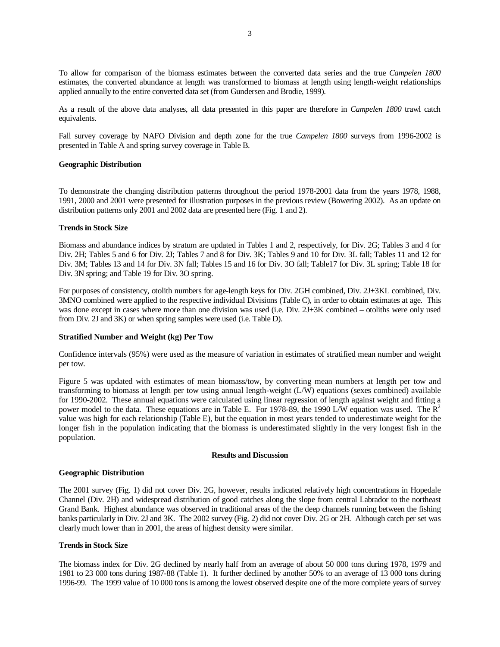To allow for comparison of the biomass estimates between the converted data series and the true *Campelen 1800* estimates, the converted abundance at length was transformed to biomass at length using length-weight relationships applied annually to the entire converted data set (from Gundersen and Brodie, 1999).

As a result of the above data analyses, all data presented in this paper are therefore in *Campelen 1800* trawl catch equivalents.

Fall survey coverage by NAFO Division and depth zone for the true *Campelen 1800* surveys from 1996-2002 is presented in Table A and spring survey coverage in Table B.

#### **Geographic Distribution**

To demonstrate the changing distribution patterns throughout the period 1978-2001 data from the years 1978, 1988, 1991, 2000 and 2001 were presented for illustration purposes in the previous review (Bowering 2002). As an update on distribution patterns only 2001 and 2002 data are presented here (Fig. 1 and 2).

#### **Trends in Stock Size**

Biomass and abundance indices by stratum are updated in Tables 1 and 2, respectively, for Div. 2G; Tables 3 and 4 for Div. 2H; Tables 5 and 6 for Div. 2J; Tables 7 and 8 for Div. 3K; Tables 9 and 10 for Div. 3L fall; Tables 11 and 12 for Div. 3M; Tables 13 and 14 for Div. 3N fall; Tables 15 and 16 for Div. 3O fall; Table17 for Div. 3L spring; Table 18 for Div. 3N spring; and Table 19 for Div. 3O spring.

For purposes of consistency, otolith numbers for age-length keys for Div. 2GH combined, Div. 2J+3KL combined, Div. 3MNO combined were applied to the respective individual Divisions (Table C), in order to obtain estimates at age. This was done except in cases where more than one division was used (i.e. Div. 2J+3K combined – otoliths were only used from Div. 2J and 3K) or when spring samples were used (i.e. Table D).

### **Stratified Number and Weight (kg) Per Tow**

Confidence intervals (95%) were used as the measure of variation in estimates of stratified mean number and weight per tow.

Figure 5 was updated with estimates of mean biomass/tow, by converting mean numbers at length per tow and transforming to biomass at length per tow using annual length-weight (L/W) equations (sexes combined) available for 1990-2002. These annual equations were calculated using linear regression of length against weight and fitting a power model to the data. These equations are in Table E. For 1978-89, the 1990 L/W equation was used. The R<sup>2</sup> value was high for each relationship (Table E), but the equation in most years tended to underestimate weight for the longer fish in the population indicating that the biomass is underestimated slightly in the very longest fish in the population.

#### **Results and Discussion**

#### **Geographic Distribution**

The 2001 survey (Fig. 1) did not cover Div. 2G, however, results indicated relatively high concentrations in Hopedale Channel (Div. 2H) and widespread distribution of good catches along the slope from central Labrador to the northeast Grand Bank. Highest abundance was observed in traditional areas of the the deep channels running between the fishing banks particularly in Div. 2J and 3K. The 2002 survey (Fig. 2) did not cover Div. 2G or 2H. Although catch per set was clearly much lower than in 2001, the areas of highest density were similar.

#### **Trends in Stock Size**

The biomass index for Div. 2G declined by nearly half from an average of about 50 000 tons during 1978, 1979 and 1981 to 23 000 tons during 1987-88 (Table 1). It further declined by another 50% to an average of 13 000 tons during 1996-99. The 1999 value of 10 000 tons is among the lowest observed despite one of the more complete years of survey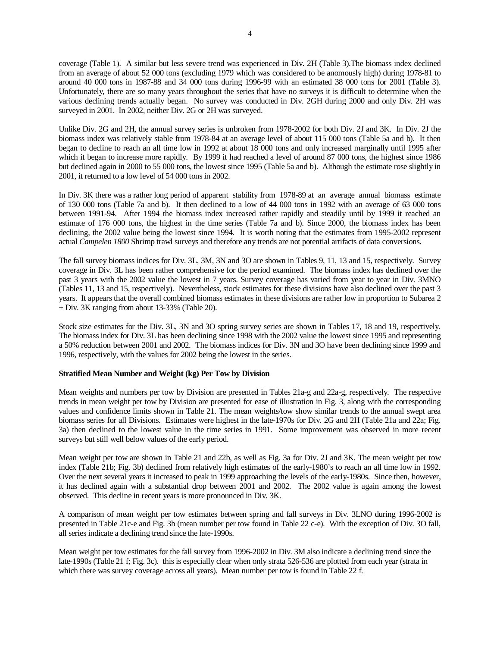coverage (Table 1). A similar but less severe trend was experienced in Div. 2H (Table 3).The biomass index declined from an average of about 52 000 tons (excluding 1979 which was considered to be anomously high) during 1978-81 to around 40 000 tons in 1987-88 and 34 000 tons during 1996-99 with an estimated 38 000 tons for 2001 (Table 3). Unfortunately, there are so many years throughout the series that have no surveys it is difficult to determine when the various declining trends actually began. No survey was conducted in Div. 2GH during 2000 and only Div. 2H was surveyed in 2001. In 2002, neither Div. 2G or 2H was surveyed.

Unlike Div. 2G and 2H, the annual survey series is unbroken from 1978-2002 for both Div. 2J and 3K. In Div. 2J the biomass index was relatively stable from 1978-84 at an average level of about 115 000 tons (Table 5a and b). It then began to decline to reach an all time low in 1992 at about 18 000 tons and only increased marginally until 1995 after which it began to increase more rapidly. By 1999 it had reached a level of around 87 000 tons, the highest since 1986 but declined again in 2000 to 55 000 tons, the lowest since 1995 (Table 5a and b). Although the estimate rose slightly in 2001, it returned to a low level of 54 000 tons in 2002.

In Div. 3K there was a rather long period of apparent stability from 1978-89 at an average annual biomass estimate of 130 000 tons (Table 7a and b). It then declined to a low of 44 000 tons in 1992 with an average of 63 000 tons between 1991-94. After 1994 the biomass index increased rather rapidly and steadily until by 1999 it reached an estimate of 176 000 tons, the highest in the time series (Table 7a and b). Since 2000, the biomass index has been declining, the 2002 value being the lowest since 1994. It is worth noting that the estimates from 1995-2002 represent actual *Campelen 1800* Shrimp trawl surveys and therefore any trends are not potential artifacts of data conversions.

The fall survey biomass indices for Div. 3L, 3M, 3N and 3O are shown in Tables 9, 11, 13 and 15, respectively. Survey coverage in Div. 3L has been rather comprehensive for the period examined. The biomass index has declined over the past 3 years with the 2002 value the lowest in 7 years. Survey coverage has varied from year to year in Div. 3MNO (Tables 11, 13 and 15, respectively). Nevertheless, stock estimates for these divisions have also declined over the past 3 years. It appears that the overall combined biomass estimates in these divisions are rather low in proportion to Subarea 2 + Div. 3K ranging from about 13-33% (Table 20).

Stock size estimates for the Div. 3L, 3N and 3O spring survey series are shown in Tables 17, 18 and 19, respectively. The biomass index for Div. 3L has been declining since 1998 with the 2002 value the lowest since 1995 and representing a 50% reduction between 2001 and 2002. The biomass indices for Div. 3N and 3O have been declining since 1999 and 1996, respectively, with the values for 2002 being the lowest in the series.

## **Stratified Mean Number and Weight (kg) Per Tow by Division**

Mean weights and numbers per tow by Division are presented in Tables 21a-g and 22a-g, respectively. The respective trends in mean weight per tow by Division are presented for ease of illustration in Fig. 3, along with the corresponding values and confidence limits shown in Table 21. The mean weights/tow show similar trends to the annual swept area biomass series for all Divisions. Estimates were highest in the late-1970s for Div. 2G and 2H (Table 21a and 22a; Fig. 3a) then declined to the lowest value in the time series in 1991. Some improvement was observed in more recent surveys but still well below values of the early period.

Mean weight per tow are shown in Table 21 and 22b, as well as Fig. 3a for Div. 2J and 3K. The mean weight per tow index (Table 21b; Fig. 3b) declined from relatively high estimates of the early-1980's to reach an all time low in 1992. Over the next several years it increased to peak in 1999 approaching the levels of the early-1980s. Since then, however, it has declined again with a substantial drop between 2001 and 2002. The 2002 value is again among the lowest observed. This decline in recent years is more pronounced in Div. 3K.

A comparison of mean weight per tow estimates between spring and fall surveys in Div. 3LNO during 1996-2002 is presented in Table 21c-e and Fig. 3b (mean number per tow found in Table 22 c-e). With the exception of Div. 3O fall, all series indicate a declining trend since the late-1990s.

Mean weight per tow estimates for the fall survey from 1996-2002 in Div. 3M also indicate a declining trend since the late-1990s (Table 21 f; Fig. 3c). this is especially clear when only strata 526-536 are plotted from each year (strata in which there was survey coverage across all years). Mean number per tow is found in Table 22 f.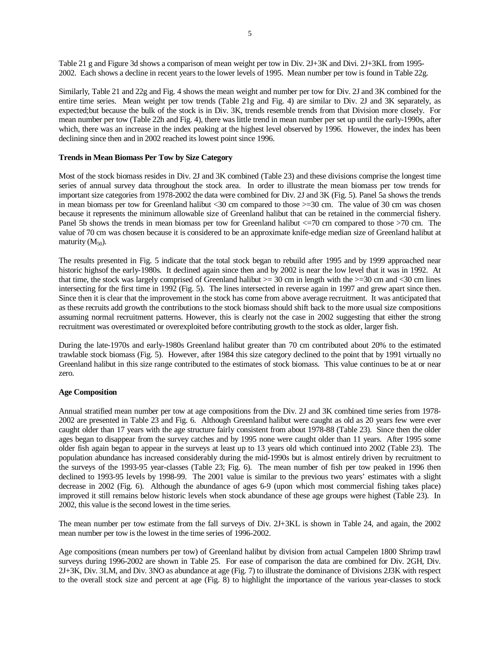Table 21 g and Figure 3d shows a comparison of mean weight per tow in Div. 2J+3K and Divi. 2J+3KL from 1995- 2002. Each shows a decline in recent years to the lower levels of 1995. Mean number per tow is found in Table 22g.

Similarly, Table 21 and 22g and Fig. 4 shows the mean weight and number per tow for Div. 2J and 3K combined for the entire time series. Mean weight per tow trends (Table 21g and Fig. 4) are similar to Div. 2J and 3K separately, as expected;but because the bulk of the stock is in Div. 3K, trends resemble trends from that Division more closely. For mean number per tow (Table 22h and Fig. 4), there was little trend in mean number per set up until the early-1990s, after which, there was an increase in the index peaking at the highest level observed by 1996. However, the index has been declining since then and in 2002 reached its lowest point since 1996.

### **Trends in Mean Biomass Per Tow by Size Category**

Most of the stock biomass resides in Div. 2J and 3K combined (Table 23) and these divisions comprise the longest time series of annual survey data throughout the stock area. In order to illustrate the mean biomass per tow trends for important size categories from 1978-2002 the data were combined for Div. 2J and 3K (Fig. 5). Panel 5a shows the trends in mean biomass per tow for Greenland halibut  $\langle 30 \text{ cm}$  compared to those  $\rangle = 30 \text{ cm}$ . The value of 30 cm was chosen because it represents the minimum allowable size of Greenland halibut that can be retained in the commercial fishery. Panel 5b shows the trends in mean biomass per tow for Greenland halibut  $\langle 50 \rangle$  cm compared to those  $>70$  cm. The value of 70 cm was chosen because it is considered to be an approximate knife-edge median size of Greenland halibut at maturity  $(M_{50})$ .

The results presented in Fig. 5 indicate that the total stock began to rebuild after 1995 and by 1999 approached near historic highsof the early-1980s. It declined again since then and by 2002 is near the low level that it was in 1992. At that time, the stock was largely comprised of Greenland halibut  $> = 30$  cm in length with the  $> = 30$  cm and  $< 30$  cm lines intersecting for the first time in 1992 (Fig. 5). The lines intersected in reverse again in 1997 and grew apart since then. Since then it is clear that the improvement in the stock has come from above average recruitment. It was anticipated that as these recruits add growth the contributions to the stock biomass should shift back to the more usual size compositions assuming normal recruitment patterns. However, this is clearly not the case in 2002 suggesting that either the strong recruitment was overestimated or overexploited before contributing growth to the stock as older, larger fish.

During the late-1970s and early-1980s Greenland halibut greater than 70 cm contributed about 20% to the estimated trawlable stock biomass (Fig. 5). However, after 1984 this size category declined to the point that by 1991 virtually no Greenland halibut in this size range contributed to the estimates of stock biomass. This value continues to be at or near zero.

### **Age Composition**

Annual stratified mean number per tow at age compositions from the Div. 2J and 3K combined time series from 1978- 2002 are presented in Table 23 and Fig. 6. Although Greenland halibut were caught as old as 20 years few were ever caught older than 17 years with the age structure fairly consistent from about 1978-88 (Table 23). Since then the older ages began to disappear from the survey catches and by 1995 none were caught older than 11 years. After 1995 some older fish again began to appear in the surveys at least up to 13 years old which continued into 2002 (Table 23). The population abundance has increased considerably during the mid-1990s but is almost entirely driven by recruitment to the surveys of the 1993-95 year-classes (Table 23; Fig. 6). The mean number of fish per tow peaked in 1996 then declined to 1993-95 levels by 1998-99. The 2001 value is similar to the previous two years' estimates with a slight decrease in 2002 (Fig. 6). Although the abundance of ages 6-9 (upon which most commercial fishing takes place) improved it still remains below historic levels when stock abundance of these age groups were highest (Table 23). In 2002, this value is the second lowest in the time series.

The mean number per tow estimate from the fall surveys of Div. 2J+3KL is shown in Table 24, and again, the 2002 mean number per tow is the lowest in the time series of 1996-2002.

Age compositions (mean numbers per tow) of Greenland halibut by division from actual Campelen 1800 Shrimp trawl surveys during 1996-2002 are shown in Table 25. For ease of comparison the data are combined for Div. 2GH, Div. 2J+3K, Div. 3LM, and Div. 3NO as abundance at age (Fig. 7) to illustrate the dominance of Divisions 2J3K with respect to the overall stock size and percent at age (Fig. 8) to highlight the importance of the various year-classes to stock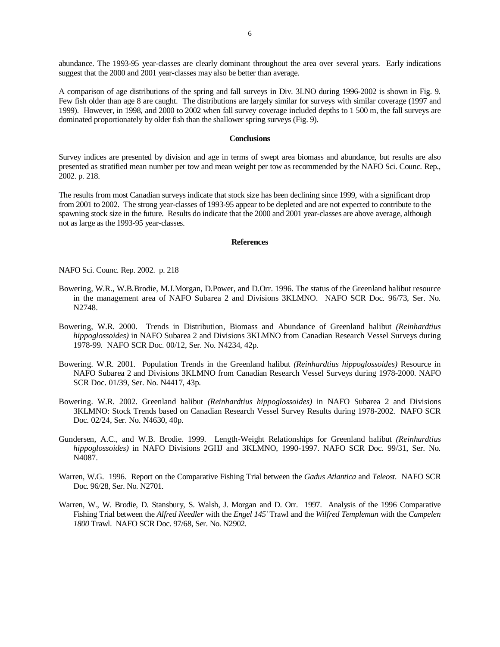abundance. The 1993-95 year-classes are clearly dominant throughout the area over several years. Early indications suggest that the 2000 and 2001 year-classes may also be better than average.

A comparison of age distributions of the spring and fall surveys in Div. 3LNO during 1996-2002 is shown in Fig. 9. Few fish older than age 8 are caught. The distributions are largely similar for surveys with similar coverage (1997 and 1999). However, in 1998, and 2000 to 2002 when fall survey coverage included depths to 1 500 m, the fall surveys are dominated proportionately by older fish than the shallower spring surveys (Fig. 9).

#### **Conclusions**

Survey indices are presented by division and age in terms of swept area biomass and abundance, but results are also presented as stratified mean number per tow and mean weight per tow as recommended by the NAFO Sci. Counc. Rep., 2002. p. 218.

The results from most Canadian surveys indicate that stock size has been declining since 1999, with a significant drop from 2001 to 2002. The strong year-classes of 1993-95 appear to be depleted and are not expected to contribute to the spawning stock size in the future. Results do indicate that the 2000 and 2001 year-classes are above average, although not as large as the 1993-95 year-classes.

### **References**

NAFO Sci. Counc. Rep. 2002. p. 218

- Bowering, W.R., W.B.Brodie, M.J.Morgan, D.Power, and D.Orr. 1996. The status of the Greenland halibut resource in the management area of NAFO Subarea 2 and Divisions 3KLMNO. NAFO SCR Doc. 96/73, Ser. No. N2748.
- Bowering, W.R. 2000. Trends in Distribution, Biomass and Abundance of Greenland halibut *(Reinhardtius hippoglossoides)* in NAFO Subarea 2 and Divisions 3KLMNO from Canadian Research Vessel Surveys during 1978-99. NAFO SCR Doc. 00/12, Ser. No. N4234, 42p.
- Bowering. W.R. 2001. Population Trends in the Greenland halibut *(Reinhardtius hippoglossoides)* Resource in NAFO Subarea 2 and Divisions 3KLMNO from Canadian Research Vessel Surveys during 1978-2000. NAFO SCR Doc. 01/39, Ser. No. N4417, 43p.
- Bowering. W.R. 2002. Greenland halibut *(Reinhardtius hippoglossoides)* in NAFO Subarea 2 and Divisions 3KLMNO: Stock Trends based on Canadian Research Vessel Survey Results during 1978-2002. NAFO SCR Doc. 02/24, Ser. No. N4630, 40p.
- Gundersen, A.C., and W.B. Brodie. 1999. Length-Weight Relationships for Greenland halibut *(Reinhardtius hippoglossoides)* in NAFO Divisions 2GHJ and 3KLMNO, 1990-1997. NAFO SCR Doc. 99/31, Ser. No. N4087.
- Warren, W.G. 1996. Report on the Comparative Fishing Trial between the *Gadus Atlantica* and *Teleost*. NAFO SCR Doc. 96/28, Ser. No. N2701.
- Warren, W., W. Brodie, D. Stansbury, S. Walsh, J. Morgan and D. Orr. 1997. Analysis of the 1996 Comparative Fishing Trial between the *Alfred Needler* with the *Engel 145'* Trawl and the *Wilfred Templeman* with the *Campelen 1800* Trawl. NAFO SCR Doc. 97/68, Ser. No. N2902.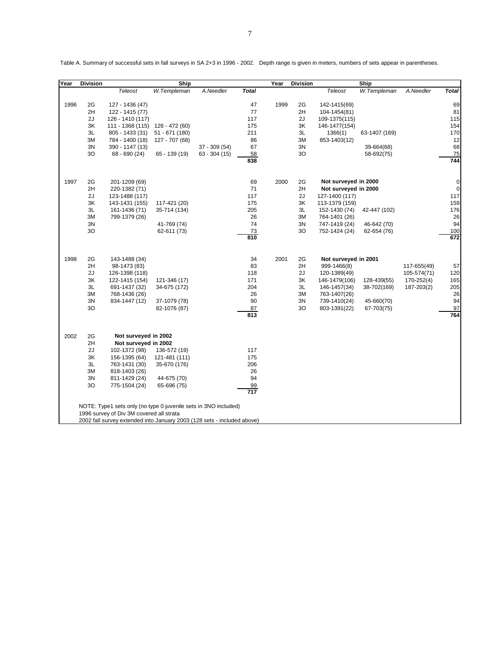| Year | <b>Division</b> |                                                                         | Ship            |                |                        | Year | <b>Division</b> |                                                     | Ship          |                            |              |
|------|-----------------|-------------------------------------------------------------------------|-----------------|----------------|------------------------|------|-----------------|-----------------------------------------------------|---------------|----------------------------|--------------|
|      |                 | <b>Teleost</b>                                                          | W.Templeman     | A.Needler      | <b>Total</b>           |      |                 | Teleost                                             | W.Templeman   | A.Needler                  | <b>Total</b> |
| 1996 | 2G              | 127 - 1436 (47)                                                         |                 |                | 47                     | 1999 | 2G              | 142-1415(69)                                        |               |                            | 69           |
|      | 2H              | 122 - 1415 (77)                                                         |                 |                | 77                     |      | 2H              | 104-1454(81)                                        |               |                            | 81           |
|      | 2J              | 126 - 1410 (117)                                                        |                 |                | 117                    |      | 2J              | 109-1375(115)                                       |               |                            | 115          |
|      | ЗK              | 111 - 1368 (115)                                                        | 126 - 472 (60)  |                | 175                    |      | ЗK              | 146-1477(154)                                       |               |                            | 154          |
|      | 3L              | 805 - 1433 (31)                                                         | $51 - 671(180)$ |                | 211                    |      | 3L              | 1366(1)                                             | 63-1407 (169) |                            | 170          |
|      | ЗM              | 784 - 1400 (18)                                                         | 127 - 707 (68)  |                | 86                     |      | ЗM              | 853-1403(12)                                        |               |                            | 12           |
|      | 3N              | 390 - 1147 (13)                                                         |                 | $37 - 309(54)$ | 67                     |      | 3N              |                                                     | 39-664(68)    |                            | 68           |
|      | 30              | 68 - 690 (24)                                                           | $65 - 139(19)$  | $63 - 304(15)$ | 58                     |      | 30              |                                                     | 58-692(75)    |                            | 75           |
|      |                 |                                                                         |                 |                | 838                    |      |                 |                                                     |               |                            | 744          |
| 1997 | 2G              | 201-1209 (69)                                                           |                 |                | 69                     | 2000 | 2G              | Not surveyed in 2000                                |               |                            | 0            |
|      | 2H              | 220-1382 (71)                                                           |                 |                | 71                     |      | 2H              | Not surveyed in 2000                                |               |                            | $\pmb{0}$    |
|      | 2J              | 123-1488 (117)                                                          |                 |                | 117                    |      | 2J              | 127-1400 (117)                                      |               |                            | 117          |
|      | 3K              | 143-1431 (155)                                                          | 117-421 (20)    |                | 175                    |      | 3K              | 113-1379 (159)                                      |               |                            | 159          |
|      | 3L              | 161-1436 (71)                                                           | 35-714 (134)    |                | 205                    |      | 3L              | 152-1430 (74)                                       | 42-447 (102)  |                            | 176          |
|      | 3M              | 799-1379 (26)                                                           |                 |                | 26                     |      | 3M              | 764-1401 (26)                                       |               |                            | 26           |
|      | 3N              |                                                                         | 41-769 (74)     |                | 74                     |      | 3N              | 747-1419 (24)                                       | 46-642 (70)   |                            | 94           |
|      | 3O              |                                                                         | 62-611 (73)     |                | 73<br>810              |      | 3O              | 752-1424 (24)                                       | 62-654 (76)   |                            | 100<br>672   |
| 1998 | 2G<br>2H<br>2J  | 143-1488 (34)<br>98-1473 (83)<br>126-1398 (118)                         |                 |                | 34<br>83<br>118        | 2001 | 2G<br>2H<br>2J  | Not surveyed in 2001<br>999-1466(8)<br>120-1389(49) |               | 117-655(49)<br>105-574(71) | 57<br>120    |
|      | ЗK              | 122-1415 (154)                                                          | 121-346 (17)    |                | 171                    |      | 3K              | 146-1479(106)                                       | 128-439(55)   | 170-252(4)                 | 165          |
|      | 3L              | 691-1437 (32)                                                           | 34-675 (172)    |                | 204                    |      | 3L              | 146-1457(34)                                        | 38-702(169)   | 187-203(2)                 | 205          |
|      | 3M              | 768-1436 (26)                                                           |                 |                | 26                     |      | 3M              | 763-1407(26)                                        |               |                            | 26           |
|      | 3N              | 834-1447 (12)                                                           | 37-1079 (78)    |                | 90                     |      | 3N              | 739-1410(24)                                        | 45-660(70)    |                            | 94           |
|      | 3O              |                                                                         | 82-1076 (87)    |                | 87                     |      | 30              | 803-1391(22)                                        | 67-703(75)    |                            | 97           |
|      |                 |                                                                         |                 |                | 813                    |      |                 |                                                     |               |                            | 764          |
| 2002 | 2G              | Not surveyed in 2002                                                    |                 |                |                        |      |                 |                                                     |               |                            |              |
|      | 2H              | Not surveyed in 2002                                                    |                 |                |                        |      |                 |                                                     |               |                            |              |
|      | 2J              | 102-1372 (98)                                                           | 136-572 (19)    |                | 117                    |      |                 |                                                     |               |                            |              |
|      | ЗK              | 156-1395 (64)                                                           | 121-481 (111)   |                | 175                    |      |                 |                                                     |               |                            |              |
|      | 3L              | 763-1431 (30)                                                           | 35-670 (176)    |                | 206                    |      |                 |                                                     |               |                            |              |
|      | 3M              | 818-1403 (26)                                                           |                 |                | 26                     |      |                 |                                                     |               |                            |              |
|      | 3N              | 811-1429 (24)                                                           | 44-675 (70)     |                | 94                     |      |                 |                                                     |               |                            |              |
|      | 30              | 775-1504 (24)                                                           | 65-696 (75)     |                | 99<br>$\overline{717}$ |      |                 |                                                     |               |                            |              |
|      |                 | NOTE: Type1 sets only (no type 0 juvenile sets in 3NO included)         |                 |                |                        |      |                 |                                                     |               |                            |              |
|      |                 | 1996 survey of Div 3M covered all strata                                |                 |                |                        |      |                 |                                                     |               |                            |              |
|      |                 | 2002 fall survey extended into January 2003 (128 sets - included above) |                 |                |                        |      |                 |                                                     |               |                            |              |

Table A. Summary of successful sets in fall surveys in SA 2+3 in 1996 - 2002. Depth range is given in meters, numbers of sets appear in parentheses.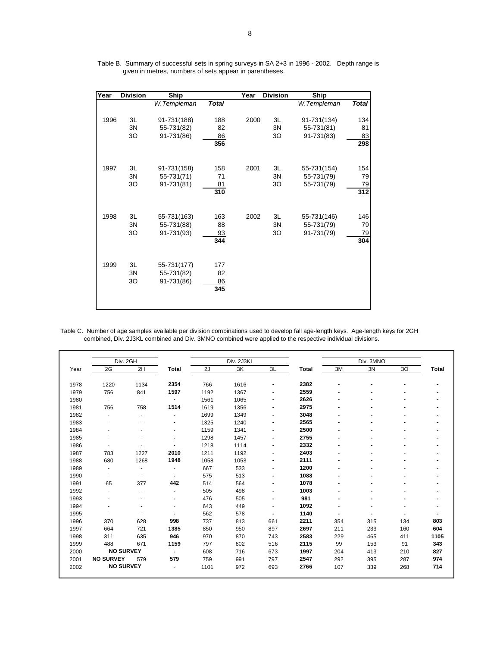| Year | <b>Division</b> | Ship         |              | Year | <b>Division</b> | Ship        |              |
|------|-----------------|--------------|--------------|------|-----------------|-------------|--------------|
|      |                 | W.Templeman  | <b>Total</b> |      |                 | W.Templeman | <b>Total</b> |
|      |                 |              |              |      |                 |             |              |
| 1996 | 3L              | 91-731(188)  | 188          | 2000 | 3L              | 91-731(134) | 134          |
|      | 3N              | 55-731(82)   | 82           |      | 3N              | 55-731(81)  | 81           |
|      | 30              | 91-731(86)   | 86           |      | 30              | 91-731(83)  | 83           |
|      |                 |              | 356          |      |                 |             | 298          |
|      |                 |              |              |      |                 |             |              |
|      |                 |              |              |      |                 |             |              |
| 1997 | 3L              | 91-731(158)  | 158          | 2001 | 3L              | 55-731(154) | 154          |
|      | 3N              | 55-731(71)   | 71           |      | 3N              | 55-731(79)  | 79           |
|      | 30              | 91-731(81)   | 81           |      | 30              | 55-731(79)  | 79           |
|      |                 |              | 310          |      |                 |             | 312          |
|      |                 |              |              |      |                 |             |              |
| 1998 | 3L              | 55-731 (163) | 163          | 2002 | 3L              | 55-731(146) | 146          |
|      | 3N              | 55-731(88)   | 88           |      | 3N              | 55-731(79)  | 79           |
|      | 30              | 91-731(93)   | 93           |      | 30              | 91-731(79)  | 79           |
|      |                 |              | 344          |      |                 |             | 304          |
|      |                 |              |              |      |                 |             |              |
|      |                 |              |              |      |                 |             |              |
| 1999 | 3L              | 55-731(177)  | 177          |      |                 |             |              |
|      | 3N              | 55-731(82)   | 82           |      |                 |             |              |
|      | 30              | 91-731(86)   | 86           |      |                 |             |              |
|      |                 |              | 345          |      |                 |             |              |
|      |                 |              |              |      |                 |             |              |
|      |                 |              |              |      |                 |             |              |

Table B. Summary of successful sets in spring surveys in SA 2+3 in 1996 - 2002. Depth range is given in metres, numbers of sets appear in parentheses.

Table C. Number of age samples available per division combinations used to develop fall age-length keys. Age-length keys for 2GH combined, Div. 2J3KL combined and Div. 3MNO combined were applied to the respective individual divisions.

|      | Div. 2GH         |                |                          |      | Div. 2J3KL |                          |              |     | Div. 3MNO                |     |              |
|------|------------------|----------------|--------------------------|------|------------|--------------------------|--------------|-----|--------------------------|-----|--------------|
| Year | 2G               | 2H             | <b>Total</b>             | 2J   | 3K         | 3L                       | <b>Total</b> | 3M  | 3N                       | 30  | <b>Total</b> |
| 1978 | 1220             | 1134           | 2354                     | 766  | 1616       | $\blacksquare$           | 2382         |     | $\blacksquare$           |     |              |
| 1979 | 756              | 841            | 1597                     | 1192 | 1367       | $\blacksquare$           | 2559         |     |                          |     |              |
| 1980 | $\blacksquare$   | $\blacksquare$ | $\blacksquare$           | 1561 | 1065       | $\blacksquare$           | 2626         |     |                          |     |              |
| 1981 | 756              | 758            | 1514                     | 1619 | 1356       | $\blacksquare$           | 2975         |     | $\overline{\phantom{0}}$ |     |              |
| 1982 |                  | ä,             | $\blacksquare$           | 1699 | 1349       | $\blacksquare$           | 3048         |     |                          |     |              |
| 1983 |                  | ٠              | $\overline{\phantom{0}}$ | 1325 | 1240       | $\overline{\phantom{0}}$ | 2565         |     |                          |     |              |
| 1984 |                  |                | $\blacksquare$           | 1159 | 1341       | $\overline{\phantom{a}}$ | 2500         |     |                          |     |              |
| 1985 |                  |                | $\overline{\phantom{0}}$ | 1298 | 1457       | $\blacksquare$           | 2755         | -   | $\overline{\phantom{0}}$ |     |              |
| 1986 |                  |                |                          | 1218 | 1114       | $\overline{\phantom{0}}$ | 2332         |     |                          |     |              |
| 1987 | 783              | 1227           | 2010                     | 1211 | 1192       | $\overline{\phantom{a}}$ | 2403         |     | $\blacksquare$           |     |              |
| 1988 | 680              | 1268           | 1948                     | 1058 | 1053       | $\blacksquare$           | 2111         |     | $\overline{\phantom{0}}$ |     |              |
| 1989 | ٠                | ä,             | $\blacksquare$           | 667  | 533        | $\blacksquare$           | 1200         | -   | $\blacksquare$           |     |              |
| 1990 | $\blacksquare$   |                |                          | 575  | 513        | $\overline{\phantom{0}}$ | 1088         |     |                          |     |              |
| 1991 | 65               | 377            | 442                      | 514  | 564        | $\overline{\phantom{0}}$ | 1078         |     |                          |     |              |
| 1992 |                  | ٠              |                          | 505  | 498        | $\blacksquare$           | 1003         |     | $\overline{\phantom{0}}$ |     |              |
| 1993 |                  | ä,             | -                        | 476  | 505        | $\blacksquare$           | 981          |     |                          |     |              |
| 1994 |                  |                | $\blacksquare$           | 643  | 449        | $\blacksquare$           | 1092         |     |                          |     |              |
| 1995 |                  |                |                          | 562  | 578        |                          | 1140         |     |                          |     |              |
| 1996 | 370              | 628            | 998                      | 737  | 813        | 661                      | 2211         | 354 | 315                      | 134 | 803          |
| 1997 | 664              | 721            | 1385                     | 850  | 950        | 897                      | 2697         | 211 | 233                      | 160 | 604          |
| 1998 | 311              | 635            | 946                      | 970  | 870        | 743                      | 2583         | 229 | 465                      | 411 | 1105         |
| 1999 | 488              | 671            | 1159                     | 797  | 802        | 516                      | 2115         | 99  | 153                      | 91  | 343          |
| 2000 | <b>NO SURVEY</b> |                |                          | 608  | 716        | 673                      | 1997         | 204 | 413                      | 210 | 827          |
| 2001 | <b>NO SURVEY</b> | 579            | 579                      | 759  | 991        | 797                      | 2547         | 292 | 395                      | 287 | 974          |
| 2002 | <b>NO SURVEY</b> |                |                          | 1101 | 972        | 693                      | 2766         | 107 | 339                      | 268 | 714          |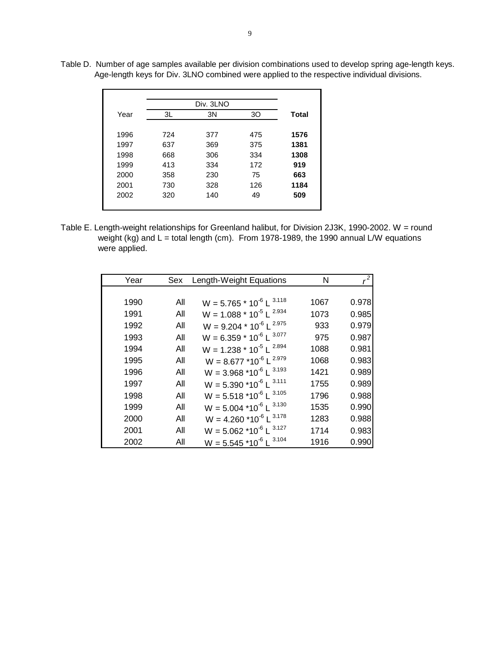|      |     | Div. 3LNO |     |              |
|------|-----|-----------|-----|--------------|
| Year | 3L  | 3N        | 30  | <b>Total</b> |
|      |     |           |     |              |
| 1996 | 724 | 377       | 475 | 1576         |
| 1997 | 637 | 369       | 375 | 1381         |
| 1998 | 668 | 306       | 334 | 1308         |
| 1999 | 413 | 334       | 172 | 919          |
| 2000 | 358 | 230       | 75  | 663          |
| 2001 | 730 | 328       | 126 | 1184         |
| 2002 | 320 | 140       | 49  | 509          |
|      |     |           |     |              |

Table D. Number of age samples available per division combinations used to develop spring age-length keys. Age-length keys for Div. 3LNO combined were applied to the respective individual divisions.

Table E. Length-weight relationships for Greenland halibut, for Division 2J3K, 1990-2002. W = round weight (kg) and L = total length (cm). From 1978-1989, the 1990 annual L/W equations were applied.

| Year | Sex | Length-Weight Equations                          | Ν    |       |
|------|-----|--------------------------------------------------|------|-------|
|      |     |                                                  |      |       |
| 1990 | All | $W = 5.765 * 10^{-6} L^{3.118}$                  | 1067 | 0.978 |
| 1991 | All | $W = 1.088 * 10^{-5} L^{2.934}$                  | 1073 | 0.985 |
| 1992 | All | $W = 9.204 * 10^{-6} L^{2.975}$                  | 933  | 0.979 |
| 1993 | All | $W = 6.359 * 10^{-6} L^{3.077}$                  | 975  | 0.987 |
| 1994 | All | $W = 1.238 * 10^{-5} L^{2.894}$                  | 1088 | 0.981 |
| 1995 | All | $W = 8.677 * 10^{-6} L^{2.979}$                  | 1068 | 0.983 |
| 1996 | All | $W = 3.968 * 10^{-6} L^{3.193}$                  | 1421 | 0.989 |
| 1997 | All | $W = 5.390$ *10 <sup>-6</sup> L <sup>3.111</sup> | 1755 | 0.989 |
| 1998 | All | $W = 5.518 * 10^{-6} L^{3.105}$                  | 1796 | 0.988 |
| 1999 | All | $W = 5.004$ *10 <sup>-6</sup> L <sup>3.130</sup> | 1535 | 0.990 |
| 2000 | All | $W = 4.260$ *10 <sup>-6</sup> L <sup>3.178</sup> | 1283 | 0.988 |
| 2001 | All | $W = 5.062 * 10^{-6} L^{3.127}$                  | 1714 | 0.983 |
| 2002 | All | $W = 5.545$ *10 <sup>-6</sup> L <sup>3.104</sup> | 1916 | 0.990 |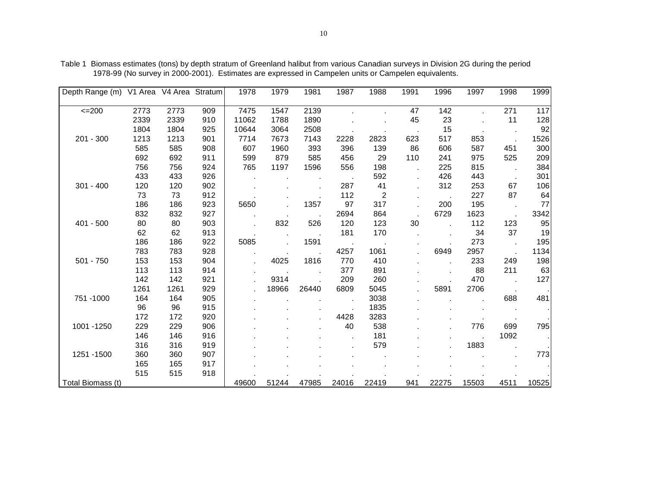| Depth Range (m)   |      | V1 Area V4 Area Stratum |     | 1978  | 1979  | 1981  | 1987       | 1988           | 1991 | 1996  | 1997  | 1998 | 1999  |
|-------------------|------|-------------------------|-----|-------|-------|-------|------------|----------------|------|-------|-------|------|-------|
|                   |      |                         |     |       |       |       |            |                |      |       |       |      |       |
| $=200$            | 2773 | 2773                    | 909 | 7475  | 1547  | 2139  |            |                | 47   | 142   |       | 271  | 117   |
|                   | 2339 | 2339                    | 910 | 11062 | 1788  | 1890  |            |                | 45   | 23    |       | 11   | 128   |
|                   | 1804 | 1804                    | 925 | 10644 | 3064  | 2508  |            |                |      | 15    |       |      | 92    |
| 201 - 300         | 1213 | 1213                    | 901 | 7714  | 7673  | 7143  | 2228       | 2823           | 623  | 517   | 853   |      | 1526  |
|                   | 585  | 585                     | 908 | 607   | 1960  | 393   | 396        | 139            | 86   | 606   | 587   | 451  | 300   |
|                   | 692  | 692                     | 911 | 599   | 879   | 585   | 456        | 29             | 110  | 241   | 975   | 525  | 209   |
|                   | 756  | 756                     | 924 | 765   | 1197  | 1596  | 556        | 198            |      | 225   | 815   |      | 384   |
|                   | 433  | 433                     | 926 |       |       |       |            | 592            |      | 426   | 443   |      | 301   |
| $301 - 400$       | 120  | 120                     | 902 |       |       |       | 287        | 41             |      | 312   | 253   | 67   | 106   |
|                   | 73   | 73                      | 912 |       |       |       | 112        | $\overline{2}$ |      |       | 227   | 87   | 64    |
|                   | 186  | 186                     | 923 | 5650  |       | 1357  | 97         | 317            |      | 200   | 195   |      | 77    |
|                   | 832  | 832                     | 927 |       |       |       | 2694       | 864            |      | 6729  | 1623  |      | 3342  |
| $401 - 500$       | 80   | 80                      | 903 |       | 832   | 526   | 120        | 123            | 30   |       | 112   | 123  | 95    |
|                   | 62   | 62                      | 913 |       |       |       | 181        | 170            |      |       | 34    | 37   | 19    |
|                   | 186  | 186                     | 922 | 5085  |       | 1591  |            |                |      |       | 273   |      | 195   |
|                   | 783  | 783                     | 928 |       |       |       | 4257       | 1061           |      | 6949  | 2957  |      | 1134  |
| $501 - 750$       | 153  | 153                     | 904 |       | 4025  | 1816  | 770        | 410            |      |       | 233   | 249  | 198   |
|                   | 113  | 113                     | 914 |       |       |       | 377        | 891            |      |       | 88    | 211  | 63    |
|                   | 142  | 142                     | 921 |       | 9314  |       | 209        | 260            |      |       | 470   |      | 127   |
|                   | 1261 | 1261                    | 929 |       | 18966 | 26440 | 6809       | 5045           |      | 5891  | 2706  |      |       |
| 751-1000          | 164  | 164                     | 905 |       |       |       |            | 3038           |      |       |       | 688  | 481   |
|                   | 96   | 96                      | 915 |       |       |       |            | 1835           |      |       |       |      |       |
|                   | 172  | 172                     | 920 |       |       |       | 4428       | 3283           |      |       |       |      |       |
| 1001 - 1250       | 229  | 229                     | 906 |       |       |       | 40         | 538            |      |       | 776   | 699  | 795   |
|                   | 146  | 146                     | 916 |       |       |       | $\epsilon$ | 181            |      |       |       | 1092 |       |
|                   | 316  | 316                     | 919 |       |       |       |            | 579            |      |       | 1883  |      |       |
| 1251 - 1500       | 360  | 360                     | 907 |       |       |       |            |                |      |       |       |      | 773   |
|                   | 165  | 165                     | 917 |       |       |       |            |                |      |       |       |      |       |
|                   | 515  | 515                     | 918 |       |       |       |            |                |      |       |       |      |       |
| Total Biomass (t) |      |                         |     | 49600 | 51244 | 47985 | 24016      | 22419          | 941  | 22275 | 15503 | 4511 | 10525 |

Table 1 Biomass estimates (tons) by depth stratum of Greenland halibut from various Canadian surveys in Division 2G during the period 1978-99 (No survey in 2000-2001). Estimates are expressed in Campelen units or Campelen equivalents.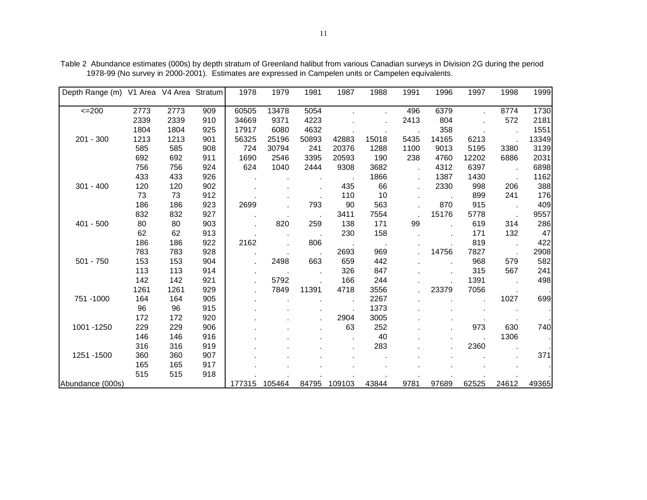| Depth Range (m) V1 Area V4 Area Stratum |      |      |     | 1978   | 1979   | 1981  | 1987   | 1988  | 1991 | 1996  | 1997  | 1998  | 1999  |
|-----------------------------------------|------|------|-----|--------|--------|-------|--------|-------|------|-------|-------|-------|-------|
|                                         |      |      |     |        |        |       |        |       |      |       |       |       |       |
| $=200$                                  | 2773 | 2773 | 909 | 60505  | 13478  | 5054  |        |       | 496  | 6379  |       | 8774  | 1730  |
|                                         | 2339 | 2339 | 910 | 34669  | 9371   | 4223  |        |       | 2413 | 804   |       | 572   | 2181  |
|                                         | 1804 | 1804 | 925 | 17917  | 6080   | 4632  |        |       |      | 358   |       |       | 1551  |
| 201 - 300                               | 1213 | 1213 | 901 | 56325  | 25196  | 50893 | 42883  | 15018 | 5435 | 14165 | 6213  |       | 13349 |
|                                         | 585  | 585  | 908 | 724    | 30794  | 241   | 20376  | 1288  | 1100 | 9013  | 5195  | 3380  | 3139  |
|                                         | 692  | 692  | 911 | 1690   | 2546   | 3395  | 20593  | 190   | 238  | 4760  | 12202 | 6886  | 2031  |
|                                         | 756  | 756  | 924 | 624    | 1040   | 2444  | 9308   | 3682  |      | 4312  | 6397  |       | 6898  |
|                                         | 433  | 433  | 926 |        |        |       |        | 1866  |      | 1387  | 1430  |       | 1162  |
| $301 - 400$                             | 120  | 120  | 902 |        |        |       | 435    | 66    |      | 2330  | 998   | 206   | 388   |
|                                         | 73   | 73   | 912 |        |        |       | 110    | 10    |      |       | 899   | 241   | 176   |
|                                         | 186  | 186  | 923 | 2699   |        | 793   | 90     | 563   |      | 870   | 915   |       | 409   |
|                                         | 832  | 832  | 927 |        |        |       | 3411   | 7554  |      | 15176 | 5778  |       | 9557  |
| $401 - 500$                             | 80   | 80   | 903 |        | 820    | 259   | 138    | 171   | 99   |       | 619   | 314   | 286   |
|                                         | 62   | 62   | 913 |        |        |       | 230    | 158   |      |       | 171   | 132   | 47    |
|                                         | 186  | 186  | 922 | 2162   |        | 806   |        |       |      |       | 819   |       | 422   |
|                                         | 783  | 783  | 928 |        |        |       | 2693   | 969   |      | 14756 | 7827  |       | 2908  |
| 501 - 750                               | 153  | 153  | 904 |        | 2498   | 663   | 659    | 442   |      |       | 968   | 579   | 582   |
|                                         | 113  | 113  | 914 |        |        |       | 326    | 847   |      |       | 315   | 567   | 241   |
|                                         | 142  | 142  | 921 |        | 5792   |       | 166    | 244   |      |       | 1391  |       | 498   |
|                                         | 1261 | 1261 | 929 |        | 7849   | 11391 | 4718   | 3556  |      | 23379 | 7056  |       |       |
| 751 - 1000                              | 164  | 164  | 905 |        |        |       |        | 2267  |      |       |       | 1027  | 699   |
|                                         | 96   | 96   | 915 |        |        |       |        | 1373  |      |       |       |       |       |
|                                         | 172  | 172  | 920 |        |        |       | 2904   | 3005  |      |       |       |       |       |
| 1001 - 1250                             | 229  | 229  | 906 |        |        |       | 63     | 252   |      |       | 973   | 630   | 740   |
|                                         | 146  | 146  | 916 |        |        |       |        | 40    |      |       |       | 1306  |       |
|                                         | 316  | 316  | 919 |        |        |       |        | 283   |      |       | 2360  |       |       |
| 1251-1500                               | 360  | 360  | 907 |        |        |       |        |       |      |       |       |       | 371   |
|                                         | 165  | 165  | 917 |        |        |       |        |       |      |       |       |       |       |
|                                         | 515  | 515  | 918 |        |        |       |        |       |      |       |       |       |       |
| Abundance (000s)                        |      |      |     | 177315 | 105464 | 84795 | 109103 | 43844 | 9781 | 97689 | 62525 | 24612 | 49365 |

Table 2 Abundance estimates (000s) by depth stratum of Greenland halibut from various Canadian surveys in Division 2G during the period 1978-99 (No survey in 2000-2001). Estimates are expressed in Campelen units or Campelen equivalents.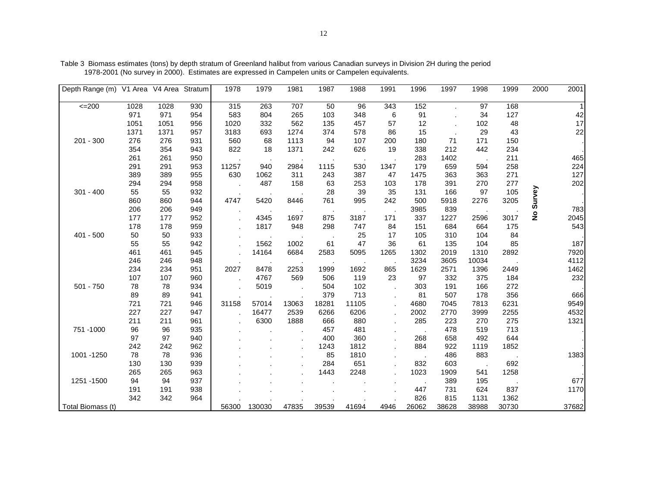| Depth Range (m)   | V1 Area V4 Area |      | Stratum | 1978  | 1979   | 1981  | 1987  | 1988  | 1991 | 1996  | 1997  | 1998  | 1999  | 2000          | 2001  |
|-------------------|-----------------|------|---------|-------|--------|-------|-------|-------|------|-------|-------|-------|-------|---------------|-------|
| $\leq$ 200        | 1028            | 1028 | 930     | 315   | 263    | 707   | 50    | 96    | 343  | 152   |       | 97    | 168   |               |       |
|                   | 971             | 971  | 954     | 583   | 804    | 265   | 103   | 348   | 6    | 91    |       | 34    | 127   |               | 42    |
|                   | 1051            | 1051 | 956     | 1020  | 332    | 562   | 135   | 457   | 57   | 12    |       | 102   | 48    |               | 17    |
|                   | 1371            | 1371 | 957     | 3183  | 693    | 1274  | 374   | 578   | 86   | 15    |       | 29    | 43    |               | 22    |
| 201 - 300         | 276             | 276  | 931     | 560   | 68     | 1113  | 94    | 107   | 200  | 180   | 71    | 171   | 150   |               |       |
|                   | 354             | 354  | 943     | 822   | 18     | 1371  | 242   | 626   | 19   | 338   | 212   | 442   | 234   |               |       |
|                   | 261             | 261  | 950     |       |        |       |       |       |      | 283   | 1402  |       | 211   |               | 465   |
|                   | 291             | 291  | 953     | 11257 | 940    | 2984  | 1115  | 530   | 1347 | 179   | 659   | 594   | 258   |               | 224   |
|                   | 389             | 389  | 955     | 630   | 1062   | 311   | 243   | 387   | 47   | 1475  | 363   | 363   | 271   |               | 127   |
|                   | 294             | 294  | 958     |       | 487    | 158   | 63    | 253   | 103  | 178   | 391   | 270   | 277   |               | 202   |
| $301 - 400$       | 55              | 55   | 932     |       |        |       | 28    | 39    | 35   | 131   | 166   | 97    | 105   | Survey        |       |
|                   | 860             | 860  | 944     | 4747  | 5420   | 8446  | 761   | 995   | 242  | 500   | 5918  | 2276  | 3205  |               |       |
|                   | 206             | 206  | 949     |       |        |       |       |       |      | 3985  | 839   |       |       |               | 783   |
|                   | 177             | 177  | 952     |       | 4345   | 1697  | 875   | 3187  | 171  | 337   | 1227  | 2596  | 3017  | $\frac{1}{2}$ | 2045  |
|                   | 178             | 178  | 959     |       | 1817   | 948   | 298   | 747   | 84   | 151   | 684   | 664   | 175   |               | 543   |
| $401 - 500$       | 50              | 50   | 933     |       |        |       |       | 25    | 17   | 105   | 310   | 104   | 84    |               |       |
|                   | 55              | 55   | 942     |       | 1562   | 1002  | 61    | 47    | 36   | 61    | 135   | 104   | 85    |               | 187   |
|                   | 461             | 461  | 945     |       | 14164  | 6684  | 2583  | 5095  | 1265 | 1302  | 2019  | 1310  | 2892  |               | 7920  |
|                   | 246             | 246  | 948     |       |        |       |       |       |      | 3234  | 3605  | 10034 |       |               | 4112  |
|                   | 234             | 234  | 951     | 2027  | 8478   | 2253  | 1999  | 1692  | 865  | 1629  | 2571  | 1396  | 2449  |               | 1462  |
|                   | 107             | 107  | 960     |       | 4767   | 569   | 506   | 119   | 23   | 97    | 332   | 375   | 184   |               | 232   |
| $501 - 750$       | 78              | 78   | 934     |       | 5019   |       | 504   | 102   |      | 303   | 191   | 166   | 272   |               |       |
|                   | 89              | 89   | 941     |       |        |       | 379   | 713   |      | 81    | 507   | 178   | 356   |               | 666   |
|                   | 721             | 721  | 946     | 31158 | 57014  | 13063 | 18281 | 11105 |      | 4680  | 7045  | 7813  | 6231  |               | 9549  |
|                   | 227             | 227  | 947     |       | 16477  | 2539  | 6266  | 6206  |      | 2002  | 2770  | 3999  | 2255  |               | 4532  |
|                   | 211             | 211  | 961     |       | 6300   | 1888  | 666   | 880   |      | 285   | 223   | 270   | 275   |               | 1321  |
| 751 - 1000        | 96              | 96   | 935     |       |        |       | 457   | 481   |      |       | 478   | 519   | 713   |               |       |
|                   | 97              | 97   | 940     |       |        |       | 400   | 360   |      | 268   | 658   | 492   | 644   |               |       |
|                   | 242             | 242  | 962     |       |        |       | 1243  | 1812  |      | 884   | 922   | 1119  | 1852  |               |       |
| 1001 - 1250       | 78              | 78   | 936     |       |        |       | 85    | 1810  |      |       | 486   | 883   |       |               | 1383  |
|                   | 130             | 130  | 939     |       |        |       | 284   | 651   |      | 832   | 603   |       | 692   |               |       |
|                   | 265             | 265  | 963     |       |        |       | 1443  | 2248  |      | 1023  | 1909  | 541   | 1258  |               |       |
| 1251-1500         | 94              | 94   | 937     |       |        |       |       |       |      |       | 389   | 195   |       |               | 677   |
|                   | 191             | 191  | 938     |       |        |       |       |       |      | 447   | 731   | 624   | 837   |               | 1170  |
|                   | 342             | 342  | 964     |       |        |       |       |       |      | 826   | 815   | 1131  | 1362  |               |       |
| Total Biomass (t) |                 |      |         | 56300 | 130030 | 47835 | 39539 | 41694 | 4946 | 26062 | 38628 | 38988 | 30730 |               | 37682 |

Table 3 Biomass estimates (tons) by depth stratum of Greenland halibut from various Canadian surveys in Division 2H during the period 1978-2001 (No survey in 2000). Estimates are expressed in Campelen units or Campelen equivalents.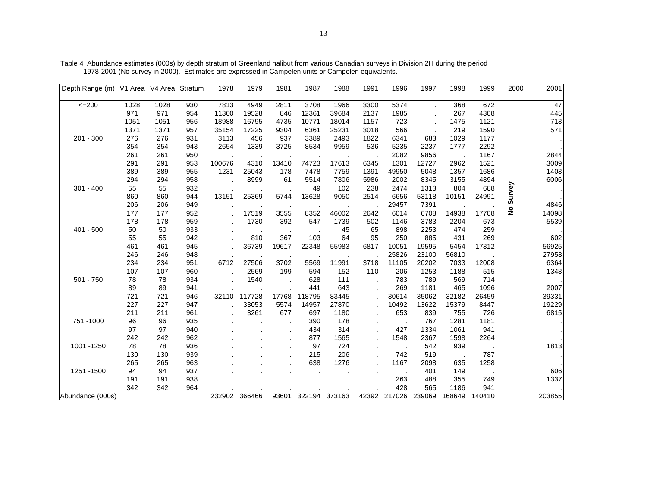| Depth Range (m)  | V1 Area V4 Area Stratum |      |     | 1978   | 1979   | 1981  | 1987   | 1988   | 1991  | 1996   | 1997   | 1998   | 1999   | 2000          | 2001            |
|------------------|-------------------------|------|-----|--------|--------|-------|--------|--------|-------|--------|--------|--------|--------|---------------|-----------------|
| $\leq$ 200       | 1028                    | 1028 | 930 | 7813   | 4949   | 2811  | 3708   | 1966   | 3300  | 5374   |        | 368    | 672    |               | $\overline{47}$ |
|                  | 971                     | 971  | 954 | 11300  | 19528  | 846   | 12361  | 39684  | 2137  | 1985   |        | 267    | 4308   |               | 445             |
|                  | 1051                    | 1051 | 956 | 18988  | 16795  | 4735  | 10771  | 18014  | 1157  | 723    |        | 1475   | 1121   |               | 713             |
|                  | 1371                    | 1371 | 957 | 35154  | 17225  | 9304  | 6361   | 25231  | 3018  | 566    |        | 219    | 1590   |               | 571             |
| 201 - 300        | 276                     | 276  | 931 | 3113   | 456    | 937   | 3389   | 2493   | 1822  | 6341   | 683    | 1029   | 1177   |               |                 |
|                  | 354                     | 354  | 943 | 2654   | 1339   | 3725  | 8534   | 9959   | 536   | 5235   | 2237   | 1777   | 2292   |               |                 |
|                  | 261                     | 261  | 950 |        |        |       |        |        |       | 2082   | 9856   |        | 1167   |               | 2844            |
|                  | 291                     | 291  | 953 | 100676 | 4310   | 13410 | 74723  | 17613  | 6345  | 1301   | 12727  | 2962   | 1521   |               | 3009            |
|                  | 389                     | 389  | 955 | 1231   | 25043  | 178   | 7478   | 7759   | 1391  | 49950  | 5048   | 1357   | 1686   |               | 1403            |
|                  | 294                     | 294  | 958 |        | 8999   | 61    | 5514   | 7806   | 5986  | 2002   | 8345   | 3155   | 4894   |               | 6006            |
| $301 - 400$      | 55                      | 55   | 932 |        |        |       | 49     | 102    | 238   | 2474   | 1313   | 804    | 688    |               |                 |
|                  | 860                     | 860  | 944 | 13151  | 25369  | 5744  | 13628  | 9050   | 2514  | 6656   | 53118  | 10151  | 24991  | Survey        |                 |
|                  | 206                     | 206  | 949 |        |        |       |        |        |       | 29457  | 7391   |        |        |               | 4846            |
|                  | 177                     | 177  | 952 |        | 17519  | 3555  | 8352   | 46002  | 2642  | 6014   | 6708   | 14938  | 17708  | $\frac{1}{2}$ | 14098           |
|                  | 178                     | 178  | 959 |        | 1730   | 392   | 547    | 1739   | 502   | 1146   | 3783   | 2204   | 673    |               | 5539            |
| 401 - 500        | 50                      | 50   | 933 |        |        |       |        | 45     | 65    | 898    | 2253   | 474    | 259    |               |                 |
|                  | 55                      | 55   | 942 |        | 810    | 367   | 103    | 64     | 95    | 250    | 885    | 431    | 269    |               | 602             |
|                  | 461                     | 461  | 945 |        | 36739  | 19617 | 22348  | 55983  | 6817  | 10051  | 19595  | 5454   | 17312  |               | 56925           |
|                  | 246                     | 246  | 948 |        |        |       |        |        |       | 25826  | 23100  | 56810  |        |               | 27958           |
|                  | 234                     | 234  | 951 | 6712   | 27506  | 3702  | 5569   | 11991  | 3718  | 11105  | 20202  | 7033   | 12008  |               | 6364            |
|                  | 107                     | 107  | 960 |        | 2569   | 199   | 594    | 152    | 110   | 206    | 1253   | 1188   | 515    |               | 1348            |
| $501 - 750$      | 78                      | 78   | 934 |        | 1540   |       | 628    | 111    |       | 783    | 789    | 569    | 714    |               |                 |
|                  | 89                      | 89   | 941 |        |        |       | 441    | 643    |       | 269    | 1181   | 465    | 1096   |               | 2007            |
|                  | 721                     | 721  | 946 | 32110  | 117728 | 17768 | 118795 | 83445  |       | 30614  | 35062  | 32182  | 26459  |               | 39331           |
|                  | 227                     | 227  | 947 |        | 33053  | 5574  | 14957  | 27870  |       | 10492  | 13622  | 15379  | 8447   |               | 19229           |
|                  | 211                     | 211  | 961 |        | 3261   | 677   | 697    | 1180   |       | 653    | 839    | 755    | 726    |               | 6815            |
| 751 - 1000       | 96                      | 96   | 935 |        |        |       | 390    | 178    |       |        | 767    | 1281   | 1181   |               |                 |
|                  | 97                      | 97   | 940 |        |        |       | 434    | 314    |       | 427    | 1334   | 1061   | 941    |               |                 |
|                  | 242                     | 242  | 962 |        |        |       | 877    | 1565   |       | 1548   | 2367   | 1598   | 2264   |               |                 |
| 1001 - 1250      | 78                      | 78   | 936 |        |        |       | 97     | 724    |       |        | 542    | 939    |        |               | 1813            |
|                  | 130                     | 130  | 939 |        |        |       | 215    | 206    |       | 742    | 519    |        | 787    |               |                 |
|                  | 265                     | 265  | 963 |        |        |       | 638    | 1276   |       | 1167   | 2098   | 635    | 1258   |               |                 |
| 1251 - 1500      | 94                      | 94   | 937 |        |        |       |        |        |       |        | 401    | 149    |        |               | 606             |
|                  | 191                     | 191  | 938 |        |        |       |        |        |       | 263    | 488    | 355    | 749    |               | 1337            |
|                  | 342                     | 342  | 964 |        |        |       |        |        |       | 428    | 565    | 1186   | 941    |               |                 |
| Abundance (000s) |                         |      |     | 232902 | 366466 | 93601 | 322194 | 373163 | 42392 | 217026 | 239069 | 168649 | 140410 |               | 203855          |

Table 4 Abundance estimates (000s) by depth stratum of Greenland halibut from various Canadian surveys in Division 2H during the period 1978-2001 (No survey in 2000). Estimates are expressed in Campelen units or Campelen equivalents.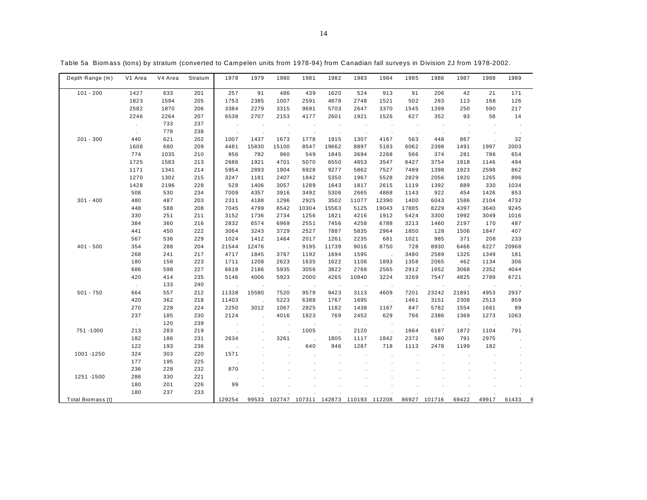| Depth Range (m)   | V1 Area    | V4 Area | Stratum | 1978    | 1979   | 1980                       | 1981                 | 1982                 | 1983                 | 1984           | 1985      | 1986    | 1987    | 1988    | 1989  |   |
|-------------------|------------|---------|---------|---------|--------|----------------------------|----------------------|----------------------|----------------------|----------------|-----------|---------|---------|---------|-------|---|
| $101 - 200$       | 1427       | 633     | 201     | 257     | 91     | 486                        | 439                  | 1620                 | 524                  | 913            | 91        | 206     | 42      | 21      | 171   |   |
|                   | 1823       | 1594    | 205     | 1753    | 2385   | 1007                       | 2591                 | 4878                 | 2748                 | 1521           | 502       | 283     | 113     | 168     | 126   |   |
|                   | 2582       | 1870    | 206     | 3384    | 2279   | 3315                       | 9691                 | 5703                 | 2647                 | 3370           | 1545      | 1399    | 250     | 590     | 217   |   |
|                   | 2246       | 2264    | 207     | 6538    | 2707   | 2153                       | 4177                 | 2601                 | 1921                 | 1526           | 627       | 352     | 93      | 58      | 14    |   |
|                   | $\epsilon$ | 733     | 237     | $\cdot$ |        | $\mathcal{L}_{\mathbf{a}}$ | $\blacksquare$       | $\cdot$              | $\blacksquare$       | $\blacksquare$ | $\cdot$   | $\cdot$ | $\cdot$ | $\cdot$ |       |   |
|                   |            | 778     | 238     |         |        |                            |                      |                      |                      |                | $\cdot$   |         |         |         |       |   |
| $201 - 300$       | 440        | 621     | 202     | 1007    | 1437   | 1673                       | 1778                 | 1915                 | 1307                 | 4167           | 563       | 448     | 867     |         | 32    |   |
|                   | 1608       | 680     | 209     | 4481    | 15830  | 15100                      | 8547                 | 19662                | 8897                 | 5183           | 6062      | 2398    | 1491    | 1997    | 2003  |   |
|                   | 774        | 1035    | 210     | 956     | 782    | 960                        | 549                  | 1845                 | 3694                 | 2268           | 566       | 374     | 281     | 786     | 654   |   |
|                   | 1725       | 1583    | 213     | 2686    | 1921   | 4701                       | 5070                 | 6550                 | 4853                 | 3547           | 6427      | 3754    | 1918    | 1146    | 494   |   |
|                   | 1171       | 1341    | 214     | 5954    | 2893   | 1904                       | 6928                 | 9277                 | 5862                 | 7527           | 7489      | 1398    | 1923    | 2598    | 862   |   |
|                   | 1270       | 1302    | 215     | 3247    | 1181   | 2407                       | 1842                 | 5350                 | 1967                 | 5528           | 2829      | 2056    | 1920    | 1265    | 896   |   |
|                   | 1428       | 2196    | 228     | 528     | 1406   | 3057                       | 1289                 | 1643                 | 1817                 | 2615           | 1119      | 1392    | 889     | 330     | 1034  |   |
|                   | 508        | 530     | 234     | 7009    | 4357   | 3916                       | 3492                 | 5306                 | 2665                 | 4868           | 1143      | 922     | 454     | 1426    | 853   |   |
| $301 - 400$       | 480        | 487     | 203     | 2311    | 4188   | 1296                       | 2925                 | 3502                 | 11077                | 12390          | 1400      | 6043    | 1586    | 2104    | 4732  |   |
|                   | 448        | 588     | 208     | 7045    | 4799   | 6542                       | 10304                | 15563                | 5125                 | 19043          | 17885     | 8229    | 4397    | 3640    | 9245  |   |
|                   | 330        | 251     | 211     | 3152    | 1736   | 2734                       | 1256                 | 1821                 | 4216                 | 1912           | 5424      | 3300    | 1992    | 3049    | 1016  |   |
|                   | 384        | 360     | 216     | 2832    | 6574   | 6969                       | 2551                 | 7456                 | 4258                 | 6788           | 3213      | 1460    | 2197    | 170     | 487   |   |
|                   | 441        | 450     | 222     | 3064    | 3243   | 3729                       | 2527                 | 7887                 | 5835                 | 2964           | 1850      | 128     | 1506    | 1847    | 407   |   |
|                   | 567        | 536     | 229     | 1024    | 1412   | 1464                       | 2017                 | 1261                 | 2235                 | 681            | 1021      | 985     | 371     | 208     | 233   |   |
| $401 - 500$       | 354        | 288     | 204     | 21544   | 12476  | $\mathbf{r}$               | 9195                 | 11739                | 9016                 | 8750           | 728       | 8930    | 6466    | 6227    | 20968 |   |
|                   | 268        | 241     | 217     | 4717    | 1845   | 3767                       | 1192                 | 1694                 | 1595                 |                | 3480      | 2589    | 1325    | 1349    | 181   |   |
|                   | 180        | 158     | 223     | 1711    | 1208   | 2623                       | 1635                 | 1622                 | 1106                 | 1893           | 1358      | 2065    | 462     | 1134    | 306   |   |
|                   | 686        | 598     | 227     | 6618    | 2186   | 5935                       | 3056                 | 3822                 | 2768                 | 2565           | 2912      | 1652    | 3068    | 2352    | 4044  |   |
|                   | 420        | 414     | 235     | 5146    | 4006   | 5923                       | 2000                 | 4265                 | 10840                | 3224           | 3269      | 7547    | 4825    | 2789    | 6721  |   |
|                   | $\sim$     | 133     | 240     |         | $\sim$ | ÷.                         | $\ddot{\phantom{a}}$ | $\ddot{\phantom{a}}$ | $\ddot{\phantom{a}}$ | ÷.             | $\lambda$ | $\cdot$ | $\sim$  | . .     |       |   |
| $501 - 750$       | 664        | 557     | 212     | 11338   | 15580  | 7520                       | 9579                 | 9423                 | 3113                 | 4609           | 7201      | 23242   | 21891   | 4953    | 2937  |   |
|                   | 420        | 362     | 218     | 11403   |        | 5223                       | 6388                 | 1767                 | 1695                 | $\sim$         | 1461      | 3151    | 2308    | 2513    | 859   |   |
|                   | 270        | 228     | 224     | 2250    | 3012   | 1067                       | 2825                 | 1182                 | 1438                 | 1167           | 847       | 5782    | 1554    | 1661    | 89    |   |
|                   | 237        | 185     | 230     | 2124    |        | 4016                       | 1823                 | 769                  | 2452                 | 629            | 766       | 2386    | 1369    | 1273    | 1063  |   |
|                   | $\sim$     | 120     | 239     |         |        |                            |                      |                      |                      |                |           |         |         |         |       |   |
| 751 - 1000        | 213        | 283     | 219     |         |        | J.                         | 1005                 | $\cdot$              | 2120                 |                | 1664      | 6187    | 1872    | 1104    | 791   |   |
|                   | 182        | 186     | 231     | 2634    |        | 3261                       |                      | 1805                 | 1117                 | 1842           | 2372      | 580     | 791     | 2975    |       |   |
|                   | 122        | 193     | 236     |         |        |                            | 640                  | 946                  | 1287                 | 718            | 1113      | 2478    | 1199    | 182     |       |   |
| 1001 - 1250       | 324        | 303     | 220     | 1571    |        |                            |                      |                      |                      |                |           |         |         |         |       |   |
|                   | 177        | 195     | 225     |         |        |                            |                      |                      |                      |                |           |         |         |         |       |   |
|                   | 236        | 228     | 232     | 870     |        |                            |                      |                      |                      |                |           |         |         |         |       |   |
| 1251 - 1500       | 286        | 330     | 221     |         |        |                            |                      |                      |                      |                |           |         |         |         |       |   |
|                   | 180        | 201     | 226     | 99      |        |                            |                      |                      |                      |                |           |         |         |         |       |   |
|                   | 180        | 237     | 233     |         |        |                            |                      |                      |                      |                |           |         |         |         |       |   |
| Total Biomass (t) |            |         |         | 129254  | 99533  | 102747                     | 107311               | 142873               | 110193               | 112208         | 86927     | 101716  | 69422   | 49917   | 61433 | Բ |

Table 5a Biomass (tons) by stratum (converted to Campelen units from 1978-94) from Canadian fall surveys in Division 2J from 1978-2002.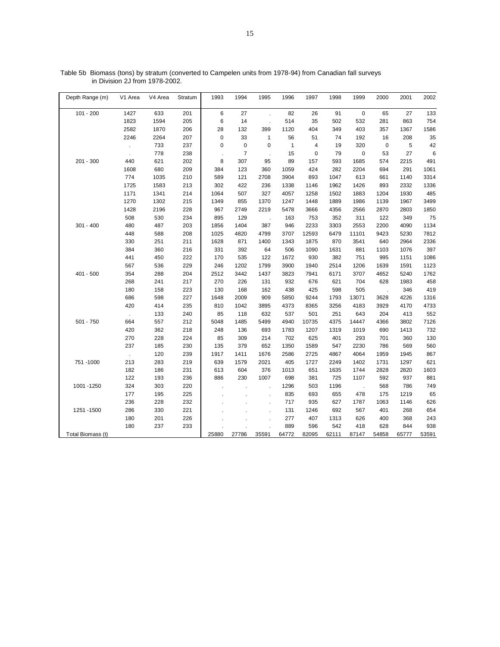| Depth Range (m)   | V1 Area       | V4 Area | Stratum | 1993        | 1994           | 1995           | 1996         | 1997        | 1998  | 1999          | 2000        | 2001  | 2002  |
|-------------------|---------------|---------|---------|-------------|----------------|----------------|--------------|-------------|-------|---------------|-------------|-------|-------|
| $101 - 200$       | 1427          | 633     | 201     | 6           | 27             |                | 82           | 26          | 91    | 0             | 65          | 27    | 133   |
|                   | 1823          | 1594    | 205     | 6           | 14             | $\overline{a}$ | 514          | 35          | 502   | 532           | 281         | 863   | 754   |
|                   | 2582          | 1870    | 206     | 28          | 132            | 399            | 1120         | 404         | 349   | 403           | 357         | 1367  | 1586  |
|                   | 2246          | 2264    | 207     | $\mathbf 0$ | 33             | $\mathbf{1}$   | 56           | 51          | 74    | 192           | 16          | 208   | 35    |
|                   |               | 733     | 237     | 0           | $\mathbf 0$    | $\mathbf 0$    | $\mathbf{1}$ | 4           | 19    | 320           | $\mathbf 0$ | 5     | 42    |
|                   | $\mathcal{L}$ | 778     | 238     |             | $\overline{7}$ |                | 15           | $\mathbf 0$ | 79    | 0             | 53          | 27    | 6     |
| $201 - 300$       | 440           | 621     | 202     | 8           | 307            | 95             | 89           | 157         | 593   | 1685          | 574         | 2215  | 491   |
|                   | 1608          | 680     | 209     | 384         | 123            | 360            | 1059         | 424         | 282   | 2204          | 694         | 291   | 1061  |
|                   | 774           | 1035    | 210     | 589         | 121            | 2708           | 3904         | 893         | 1047  | 613           | 661         | 1140  | 3314  |
|                   | 1725          | 1583    | 213     | 302         | 422            | 236            | 1338         | 1146        | 1962  | 1426          | 893         | 2332  | 1336  |
|                   | 1171          | 1341    | 214     | 1064        | 507            | 327            | 4057         | 1258        | 1502  | 1883          | 1204        | 1930  | 485   |
|                   | 1270          | 1302    | 215     | 1349        | 855            | 1370           | 1247         | 1448        | 1889  | 1986          | 1139        | 1967  | 3499  |
|                   | 1428          | 2196    | 228     | 967         | 2749           | 2219           | 5478         | 3666        | 4356  | 2566          | 2870        | 2803  | 1850  |
|                   | 508           | 530     | 234     | 895         | 129            | $\sim$         | 163          | 753         | 352   | 311           | 122         | 349   | 75    |
| $301 - 400$       | 480           | 487     | 203     | 1856        | 1404           | 387            | 946          | 2233        | 3303  | 2553          | 2200        | 4090  | 1134  |
|                   | 448           | 588     | 208     | 1025        | 4820           | 4799           | 3707         | 12593       | 6479  | 11101         | 9423        | 5230  | 7812  |
|                   | 330           | 251     | 211     | 1628        | 871            | 1400           | 1343         | 1875        | 870   | 3541          | 640         | 2964  | 2336  |
|                   | 384           | 360     | 216     | 331         | 392            | 64             | 506          | 1090        | 1631  | 881           | 1103        | 1076  | 397   |
|                   | 441           | 450     | 222     | 170         | 535            | 122            | 1672         | 930         | 382   | 751           | 995         | 1151  | 1086  |
|                   | 567           | 536     | 229     | 246         | 1202           | 1799           | 3900         | 1940        | 2514  | 1206          | 1639        | 1591  | 1123  |
| 401 - 500         | 354           | 288     | 204     | 2512        | 3442           | 1437           | 3823         | 7941        | 6171  | 3707          | 4652        | 5240  | 1762  |
|                   | 268           | 241     | 217     | 270         | 226            | 131            | 932          | 676         | 621   | 704           | 628         | 1983  | 458   |
|                   | 180           | 158     | 223     | 130         | 168            | 162            | 438          | 425         | 598   | 505           | $\Delta$    | 346   | 419   |
|                   | 686           | 598     | 227     | 1648        | 2009           | 909            | 5850         | 9244        | 1793  | 13071         | 3628        | 4226  | 1316  |
|                   | 420           | 414     | 235     | 810         | 1042           | 3895           | 4373         | 8365        | 3256  | 4183          | 3929        | 4170  | 4733  |
|                   | $\cdot$       | 133     | 240     | 85          | 118            | 632            | 537          | 501         | 251   | 643           | 204         | 413   | 552   |
| $501 - 750$       | 664           | 557     | 212     | 5048        | 1485           | 5499           | 4940         | 10735       | 4375  | 14447         | 4366        | 3802  | 7126  |
|                   | 420           | 362     | 218     | 248         | 136            | 693            | 1783         | 1207        | 1319  | 1019          | 690         | 1413  | 732   |
|                   | 270           | 228     | 224     | 85          | 309            | 214            | 702          | 625         | 401   | 293           | 701         | 360   | 130   |
|                   | 237           | 185     | 230     | 135         | 379            | 652            | 1350         | 1589        | 547   | 2230          | 786         | 569   | 560   |
|                   | $\mathcal{L}$ | 120     | 239     | 1917        | 1411           | 1676           | 2586         | 2725        | 4867  | 4064          | 1959        | 1945  | 867   |
| 751 - 1000        | 213           | 283     | 219     | 639         | 1579           | 2021           | 405          | 1727        | 2249  | 1402          | 1731        | 1297  | 621   |
|                   | 182           | 186     | 231     | 613         | 604            | 376            | 1013         | 651         | 1635  | 1744          | 2828        | 2820  | 1603  |
|                   | 122           | 193     | 236     | 886         | 230            | 1007           | 698          | 381         | 725   | 1107          | 592         | 937   | 881   |
| 1001 - 1250       | 324           | 303     | 220     |             |                |                | 1296         | 503         | 1196  | $\mathcal{L}$ | 568         | 786   | 749   |
|                   | 177           | 195     | 225     |             |                |                | 835          | 693         | 655   | 478           | 175         | 1219  | 65    |
|                   | 236           | 228     | 232     |             |                | ÷,             | 717          | 935         | 627   | 1787          | 1063        | 1146  | 626   |
| 1251 - 1500       | 286           | 330     | 221     |             |                |                | 131          | 1246        | 692   | 567           | 401         | 268   | 654   |
|                   | 180           | 201     | 226     |             |                |                | 277          | 407         | 1313  | 626           | 400         | 368   | 243   |
|                   | 180           | 237     | 233     |             |                |                | 889          | 596         | 542   | 418           | 628         | 844   | 938   |
| Total Biomass (t) |               |         |         | 25880       | 27786          | 35591          | 64772        | 82095       | 62111 | 87147         | 54858       | 65777 | 53591 |

Table 5b Biomass (tons) by stratum (converted to Campelen units from 1978-94) from Canadian fall surveys in Division 2J from 1978-2002.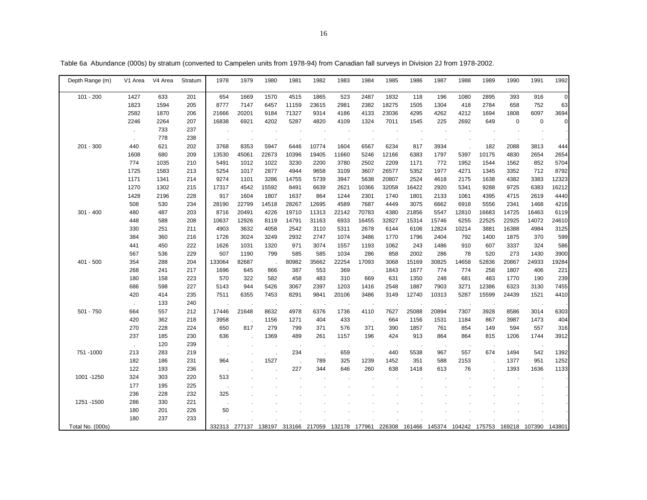| Depth Range (m)  | V1 Area | V4 Area | Stratum | 1978   | 1979          | 1980   | 1981   | 1982   | 1983          | 1984     | 1985   | 1986  | 1987          | 1988          | 1989  | 1990        | 1991        | 1992        |
|------------------|---------|---------|---------|--------|---------------|--------|--------|--------|---------------|----------|--------|-------|---------------|---------------|-------|-------------|-------------|-------------|
|                  |         |         |         |        |               |        |        |        |               |          |        |       |               |               |       |             |             |             |
| $101 - 200$      | 1427    | 633     | 201     | 654    | 1669          | 1570   | 4515   | 1865   | 523           | 2487     | 1832   | 118   | 196           | 1080          | 2895  | 393         | 916         | $\mathbf 0$ |
|                  | 1823    | 1594    | 205     | 8777   | 7147          | 6457   | 11159  | 23615  | 2981          | 2382     | 18275  | 1505  | 1304          | 418           | 2784  | 658         | 752         | 63          |
|                  | 2582    | 1870    | 206     | 21666  | 20201         | 9184   | 71327  | 9314   | 4186          | 4133     | 23036  | 4295  | 4262          | 4212          | 1694  | 1808        | 6097        | 3694        |
|                  | 2246    | 2264    | 207     | 16838  | 6921          | 4202   | 5287   | 4820   | 4109          | 1324     | 7011   | 1545  | 225           | 2692          | 649   | $\mathbf 0$ | $\mathbf 0$ | $\mathbf 0$ |
|                  |         | 733     | 237     |        |               |        |        |        |               |          |        |       |               |               |       |             |             |             |
|                  | $\sim$  | 778     | 238     |        |               |        |        |        |               |          |        | ÷.    |               |               |       |             |             |             |
| $201 - 300$      | 440     | 621     | 202     | 3768   | 8353          | 5947   | 6446   | 10774  | 1604          | 6567     | 6234   | 817   | 3934          |               | 182   | 2088        | 3813        | 444         |
|                  | 1608    | 680     | 209     | 13530  | 45061         | 22673  | 10396  | 19405  | 11660         | 5246     | 12166  | 6383  | 1797          | 5397          | 10175 | 4830        | 2654        | 2654        |
|                  | 774     | 1035    | 210     | 5491   | 1012          | 1022   | 3230   | 2200   | 3780          | 2502     | 2209   | 1171  | 772           | 1952          | 1544  | 1562        | 852         | 5704        |
|                  | 1725    | 1583    | 213     | 5254   | 1017          | 2877   | 4944   | 9658   | 3109          | 3607     | 26577  | 5352  | 1977          | 4271          | 1345  | 3352        | 712         | 8792        |
|                  | 1171    | 1341    | 214     | 9274   | 1101          | 3286   | 14755  | 5739   | 3947          | 5638     | 20807  | 2524  | 4618          | 2175          | 1638  | 4382        | 3383        | 12323       |
|                  | 1270    | 1302    | 215     | 17317  | 4542          | 15592  | 8491   | 6639   | 2621          | 10366    | 32058  | 16422 | 2920          | 5341          | 9288  | 9725        | 6383        | 16212       |
|                  | 1428    | 2196    | 228     | 917    | 1604          | 1807   | 1637   | 864    | 1244          | 2301     | 1740   | 1801  | 2133          | 1061          | 4395  | 4715        | 2619        | 4440        |
|                  | 508     | 530     | 234     | 28190  | 22799         | 14518  | 28267  | 12695  | 4589          | 7687     | 4449   | 3075  | 6662          | 6918          | 5556  | 2341        | 1468        | 4216        |
| $301 - 400$      | 480     | 487     | 203     | 8716   | 20491         | 4226   | 19710  | 11313  | 22142         | 70783    | 4380   | 21856 | 5547          | 12810         | 16683 | 14725       | 16463       | 6119        |
|                  | 448     | 588     | 208     | 10637  | 12926         | 8119   | 14791  | 31163  | 6933          | 16455    | 32827  | 15314 | 15746         | 6255          | 22525 | 22925       | 14072       | 24610       |
|                  | 330     | 251     | 211     | 4903   | 3632          | 4058   | 2542   | 3110   | 5311          | 2678     | 6144   | 6106  | 12824         | 10214         | 3881  | 16388       | 4984        | 3125        |
|                  | 384     | 360     | 216     | 1726   | 3024          | 3249   | 2932   | 2747   | 1074          | 3486     | 1770   | 1796  | 2404          | 792           | 1400  | 1875        | 370         | 599         |
|                  | 441     | 450     | 222     | 1626   | 1031          | 1320   | 971    | 3074   | 1557          | 1193     | 1062   | 243   | 1486          | 910           | 607   | 3337        | 324         | 586         |
|                  | 567     | 536     | 229     | 507    | 1190          | 799    | 585    | 585    | 1034          | 286      | 858    | 2002  | 286           | 78            | 520   | 273         | 1430        | 3900        |
| 401 - 500        | 354     | 288     | 204     | 133064 | 82687         |        | 80982  | 35662  | 22254         | 17093    | 3068   | 15169 | 30825         | 14658         | 52836 | 20867       | 24933       | 19284       |
|                  | 268     | 241     | 217     | 1696   | 645           | 866    | 387    | 553    | 369           |          | 1843   | 1677  | 774           | 774           | 258   | 1807        | 406         | 221         |
|                  | 180     | 158     | 223     | 570    | 322           | 582    | 458    | 483    | 310           | 669      | 631    | 1350  | 248           | 681           | 483   | 1770        | 190         | 239         |
|                  | 686     | 598     | 227     | 5143   | 944           | 5426   | 3067   | 2397   | 1203          | 1416     | 2548   | 1887  | 7903          | 3271          | 12386 | 6323        | 3130        | 7455        |
|                  | 420     | 414     | 235     | 7511   | 6355          | 7453   | 8291   | 9841   | 20106         | 3486     | 3149   | 12740 | 10313         | 5287          | 15599 | 24439       | 1521        | 4410        |
|                  |         | 133     | 240     |        |               |        |        |        | ÷,            |          |        |       |               |               |       |             |             |             |
| 501 - 750        | 664     | 557     | 212     | 17446  | 21648         | 8632   | 4978   | 6376   | 1736          | 4110     | 7627   | 25088 | 20894         | 7307          | 3928  | 8586        | 3014        | 6303        |
|                  | 420     | 362     | 218     | 3958   | ÷,            | 1156   | 1271   | 404    | 433           | $\alpha$ | 664    | 1156  | 1531          | 1184          | 867   | 3987        | 1473        | 404         |
|                  | 270     | 228     | 224     | 650    | 817           | 279    | 799    | 371    | 576           | 371      | 390    | 1857  | 761           | 854           | 149   | 594         | 557         | 316         |
|                  | 237     | 185     | 230     | 636    |               | 1369   | 489    | 261    | 1157          | 196      | 424    | 913   | 864           | 864           | 815   | 1206        | 1744        | 3912        |
|                  |         | 120     | 239     |        |               |        |        |        |               |          |        |       |               |               |       |             |             |             |
| 751 - 1000       | 213     | 283     | 219     |        |               |        | 234    | $\sim$ | 659           |          | 440    | 5538  | 967           | 557           | 674   | 1494        | 542         | 1392        |
|                  | 182     | 186     | 231     | 964    |               | 1527   |        | 789    | 325           | 1239     | 1452   | 351   | 588           | 2153          |       | 1377        | 951         | 1252        |
|                  | 122     | 193     | 236     |        |               |        | 227    | 344    | 646           | 260      | 638    | 1418  | 613           | 76            |       | 1393        | 1636        | 1133        |
| 1001 - 1250      | 324     | 303     | 220     | 513    |               |        |        |        |               |          |        |       |               |               |       |             |             |             |
|                  | 177     | 195     | 225     |        |               |        |        |        |               |          |        |       |               |               |       |             |             |             |
|                  | 236     | 228     | 232     | 325    |               |        |        |        |               |          |        |       |               |               |       |             |             |             |
| 1251 - 1500      | 286     | 330     | 221     |        |               |        |        |        |               |          |        |       |               |               |       |             |             |             |
|                  | 180     | 201     | 226     | 50     |               |        |        |        |               |          |        |       |               |               |       |             |             |             |
|                  | 180     | 237     | 233     |        |               |        |        |        |               |          |        |       |               |               |       |             |             |             |
| Total No. (000s) |         |         |         |        | 332313 277137 | 138197 | 313166 | 217059 | 132178 177961 |          | 226308 |       | 161466 145374 | 104242 175753 |       | 169218      | 107390      | 143801      |

Table 6a Abundance (000s) by stratum (converted to Campelen units from 1978-94) from Canadian fall surveys in Division 2J from 1978-2002.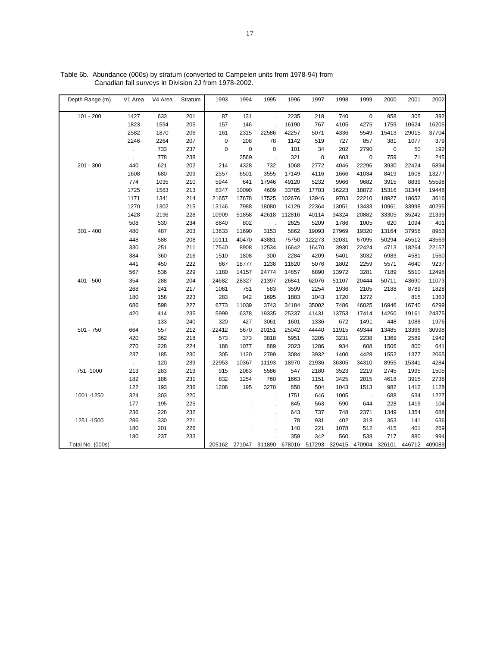| Depth Range (m)  | V1 Area | V4 Area | Stratum | 1993                 | 1994   | 1995                     | 1996   | 1997        | 1998   | 1999   | 2000        | 2001   | 2002   |
|------------------|---------|---------|---------|----------------------|--------|--------------------------|--------|-------------|--------|--------|-------------|--------|--------|
| $101 - 200$      | 1427    | 633     | 201     | 87                   | 131    |                          | 2235   | 218         | 740    | 0      | 958         | 305    | 392    |
|                  | 1823    | 1594    | 205     | 157                  | 146    | $\overline{\phantom{a}}$ | 16190  | 767         | 4105   | 4276   | 1759        | 10624  | 16205  |
|                  | 2582    | 1870    | 206     | 161                  | 2315   | 22586                    | 42257  | 5071        | 4336   | 5549   | 15413       | 29015  | 37704  |
|                  | 2246    | 2264    | 207     | $\mathbf 0$          | 208    | 78                       | 1142   | 519         | 727    | 857    | 381         | 1077   | 379    |
|                  |         | 733     | 237     | $\mathbf 0$          | 0      | $\pmb{0}$                | 101    | 34          | 202    | 2790   | $\mathbf 0$ | 50     | 192    |
|                  | $\cdot$ | 778     | 238     | $\ddot{\phantom{a}}$ | 2569   | ÷,                       | 321    | $\mathbf 0$ | 603    | 0      | 759         | 71     | 245    |
| $201 - 300$      | 440     | 621     | 202     | 214                  | 4328   | 732                      | 1068   | 2772        | 4046   | 22296  | 3930        | 22424  | 5894   |
|                  | 1608    | 680     | 209     | 2557                 | 6501   | 3555                     | 17149  | 4116        | 1666   | 41034  | 8419        | 1608   | 13277  |
|                  | 774     | 1035    | 210     | 5944                 | 641    | 17946                    | 49120  | 5232        | 9966   | 9682   | 3915        | 8839   | 55598  |
|                  | 1725    | 1583    | 213     | 8347                 | 10090  | 4609                     | 33785  | 17703       | 16223  | 18872  | 15316       | 31344  | 19448  |
|                  | 1171    | 1341    | 214     | 21657                | 17678  | 17525                    | 102676 | 13946       | 9703   | 22210  | 18927       | 18652  | 3616   |
|                  | 1270    | 1302    | 215     | 13146                | 7988   | 18080                    | 14129  | 22364       | 13051  | 13433  | 10961       | 33998  | 40295  |
|                  | 1428    | 2196    | 228     | 10909                | 51858  | 42618                    | 112816 | 40114       | 34324  | 20882  | 33305       | 35242  | 21339  |
|                  | 508     | 530     | 234     | 8640                 | 802    |                          | 2625   | 5209        | 1786   | 1005   | 620         | 1094   | 401    |
| $301 - 400$      | 480     | 487     | 203     | 13633                | 11690  | 3153                     | 5862   | 19093       | 27969  | 19320  | 13164       | 37956  | 8953   |
|                  | 448     | 588     | 208     | 10111                | 40470  | 43881                    | 75750  | 122273      | 32031  | 67095  | 50294       | 45512  | 43569  |
|                  | 330     | 251     | 211     | 17540                | 8908   | 12534                    | 16642  | 16470       | 3930   | 22424  | 4713        | 18264  | 22157  |
|                  | 384     | 360     | 216     | 1510                 | 1808   | 300                      | 2284   | 4209        | 5401   | 3032   | 6983        | 4581   | 1560   |
|                  | 441     | 450     | 222     | 867                  | 18777  | 1238                     | 11620  | 5076        | 1802   | 2259   | 5571        | 4640   | 9237   |
|                  | 567     | 536     | 229     | 1180                 | 14157  | 24774                    | 14857  | 6890        | 13972  | 3281   | 7189        | 5510   | 12498  |
| 401 - 500        | 354     | 288     | 204     | 24682                | 28327  | 21397                    | 26841  | 62076       | 51107  | 20444  | 50711       | 43690  | 11073  |
|                  | 268     | 241     | 217     | 1061                 | 751    | 583                      | 3599   | 2254        | 1936   | 2105   | 2188        | 8789   | 1828   |
|                  | 180     | 158     | 223     | 283                  | 942    | 1695                     | 1883   | 1043        | 1720   | 1272   |             | 815    | 1363   |
|                  | 686     | 598     | 227     | 6773                 | 11039  | 3743                     | 34184  | 35002       | 7486   | 46025  | 16946       | 16740  | 6299   |
|                  | 420     | 414     | 235     | 5999                 | 6378   | 19335                    | 25337  | 41431       | 13753  | 17414  | 14260       | 19161  | 24375  |
|                  |         | 133     | 240     | 320                  | 427    | 3061                     | 1601   | 1336        | 672    | 1491   | 448         | 1088   | 1976   |
| 501 - 750        | 664     | 557     | 212     | 22412                | 5670   | 20151                    | 25042  | 44440       | 11915  | 49344  | 13485       | 13366  | 30998  |
|                  | 420     | 362     | 218     | 573                  | 373    | 3818                     | 5951   | 3205        | 3231   | 2238   | 1369        | 2589   | 1942   |
|                  | 270     | 228     | 224     | 188                  | 1077   | 889                      | 2023   | 1286        | 934    | 608    | 1506        | 800    | 641    |
|                  | 237     | 185     | 230     | 305                  | 1120   | 2799                     | 3084   | 3932        | 1400   | 4428   | 1552        | 1377   | 2065   |
|                  |         | 120     | 239     | 22953                | 10367  | 11193                    | 18970  | 21936       | 36305  | 34310  | 8955        | 15341  | 4284   |
| 751-1000         | 213     | 283     | 219     | 915                  | 2063   | 5586                     | 547    | 2180        | 3523   | 2219   | 2745        | 1995   | 1505   |
|                  | 182     | 186     | 231     | 832                  | 1254   | 760                      | 1663   | 1151        | 3425   | 2815   | 4618        | 3915   | 2738   |
|                  | 122     | 193     | 236     | 1208                 | 195    | 3270                     | 850    | 504         | 1043   | 1513   | 982         | 1412   | 1128   |
| 1001 - 1250      | 324     | 303     | 220     |                      |        |                          | 1751   | 646         | 1005   |        | 688         | 634    | 1227   |
|                  | 177     | 195     | 225     |                      |        | $\overline{\phantom{a}}$ | 845    | 563         | 590    | 644    | 228         | 1419   | 104    |
|                  | 236     | 228     | 232     |                      |        |                          | 643    | 737         | 748    | 2371   | 1349        | 1354   | 688    |
| 1251 - 1500      | 286     | 330     | 221     |                      |        |                          | 78     | 931         | 402    | 318    | 363         | 141    | 636    |
|                  | 180     | 201     | 226     |                      |        |                          | 140    | 221         | 1078   | 512    | 415         | 401    | 269    |
|                  | 180     | 237     | 233     |                      |        |                          | 359    | 342         | 560    | 538    | 717         | 880    | 994    |
| Total No. (000s) |         |         |         | 205162               | 271047 | 311890                   | 678016 | 517293      | 329415 | 470904 | 326101      | 446712 | 409089 |

Table 6b. Abundance (000s) by stratum (converted to Campelen units from 1978-94) from Canadian fall surveys in Division 2J from 1978-2002.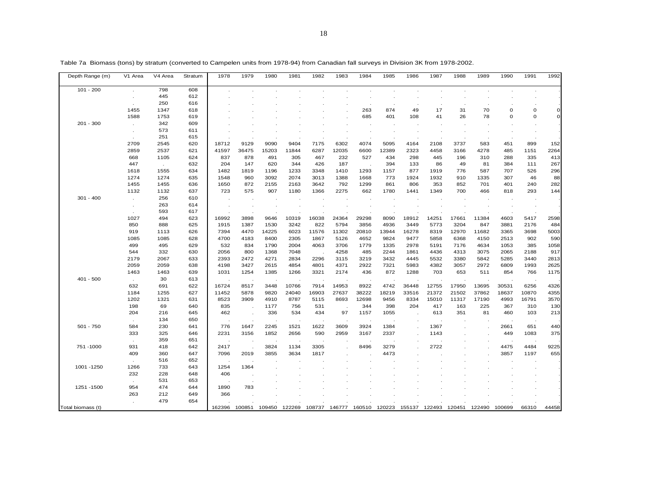| Depth Range (m) | V1 Area      | V4 Area | Stratum | 1978    | 1979                 | 1980  | 1981  | 1982                 | 1983  | 1984    | 1985  | 1986  | 1987  | 1988  | 1989  | 1990        | 1991     | 1992         |
|-----------------|--------------|---------|---------|---------|----------------------|-------|-------|----------------------|-------|---------|-------|-------|-------|-------|-------|-------------|----------|--------------|
| $101 - 200$     |              | 798     | 608     |         |                      |       |       |                      |       |         |       |       |       |       |       |             |          |              |
|                 |              | 445     | 612     |         |                      |       |       |                      |       |         |       |       |       |       |       |             |          |              |
|                 |              | 250     | 616     |         |                      |       |       |                      |       |         |       |       |       |       |       |             |          |              |
|                 | 1455         | 1347    | 618     |         |                      |       |       |                      |       | 263     | 874   | 49    | 17    | 31    | 70    | 0           | 0        | $\mathbf 0$  |
|                 | 1588         | 1753    | 619     |         |                      |       |       |                      |       | 685     | 401   | 108   | 41    | 26    | 78    | $\mathbf 0$ | $\Omega$ | $\mathsf{C}$ |
| $201 - 300$     | $\mathbf{r}$ | 342     | 609     |         |                      |       |       |                      |       |         |       |       |       |       |       |             |          |              |
|                 |              | 573     | 611     |         |                      |       |       |                      |       |         |       |       |       |       |       |             |          |              |
|                 |              | 251     | 615     |         |                      |       |       |                      |       |         |       |       |       |       |       |             |          |              |
|                 | 2709         | 2545    | 620     | 18712   | 9129                 | 9090  | 9404  | 7175                 | 6302  | 4074    | 5095  | 4164  | 2108  | 3737  | 583   | 451         | 899      | 152          |
|                 | 2859         | 2537    | 621     | 41597   | 36475                | 15203 | 11844 | 6287                 | 12035 | 6600    | 12389 | 2323  | 4458  | 3166  | 4278  | 485         | 1151     | 2264         |
|                 | 668          | 1105    | 624     | 837     | 878                  | 491   | 305   | 467                  | 232   | 527     | 434   | 298   | 445   | 196   | 310   | 288         | 335      | 413          |
|                 | 447          | $\sim$  | 632     | 204     | 147                  | 620   | 344   | 426                  | 187   |         | 394   | 133   | 86    | 49    | 81    | 384         | 111      | 267          |
|                 | 1618         | 1555    | 634     | 1482    | 1819                 | 1196  | 1233  | 3348                 | 1410  | 1293    | 1157  | 877   | 1919  | 776   | 587   | 707         | 526      | 296          |
|                 | 1274         | 1274    | 635     | 1548    | 960                  | 3092  | 2074  | 3013                 | 1388  | 1668    | 773   | 1924  | 1932  | 910   | 1335  | 307         | 46       | 88           |
|                 | 1455         | 1455    | 636     | 1650    | 872                  | 2155  | 2163  | 3642                 | 792   | 1299    | 861   | 806   | 353   | 852   | 701   | 401         | 240      | 282          |
|                 | 1132         | 1132    | 637     | 723     | 575                  | 907   | 1180  | 1366                 | 2275  | 662     | 1780  | 1441  | 1349  | 700   | 466   | 818         | 293      | 144          |
| $301 - 400$     | $\cdot$      | 256     | 610     |         | $\cdot$              |       |       |                      |       |         |       |       |       |       |       |             |          |              |
|                 | $\cdot$      | 263     | 614     | $\cdot$ | $\blacksquare$       |       |       |                      |       | $\cdot$ |       |       |       |       |       |             |          |              |
|                 |              | 593     | 617     |         |                      |       |       |                      |       |         |       |       |       |       |       |             |          |              |
|                 | 1027         | 494     | 623     | 16992   | 3898                 | 9646  | 10319 | 16038                | 24364 | 29298   | 8090  | 18912 | 14251 | 17661 | 11384 | 4603        | 5417     | 2598         |
|                 | 850          | 888     | 625     | 1915    | 1387                 | 1530  | 3242  | 822                  | 5794  | 3856    | 4936  | 3449  | 5773  | 3204  | 847   | 3881        | 2176     | 484          |
|                 | 919          | 1113    | 626     | 7394    | 4470                 | 14225 | 6023  | 11576                | 11302 | 20810   | 13944 | 16278 | 8319  | 12970 | 11682 | 3365        | 3698     | 5003         |
|                 | 1085         | 1085    | 628     | 4700    | 4183                 | 8400  | 2305  | 1867                 | 5126  | 4652    | 9824  | 9477  | 5858  | 6368  | 4150  | 2513        | 902      | 590          |
|                 | 499          | 495     | 629     | 532     | 834                  | 1790  | 2004  | 4063                 | 3706  | 1779    | 1335  | 2978  | 5191  | 7176  | 4634  | 1053        | 385      | 1058         |
|                 | 544          | 332     | 630     | 2056    | 800                  | 1368  | 7048  | $\ddot{\phantom{a}}$ | 4258  | 485     | 2244  | 1861  | 4436  | 4313  | 3075  | 2065        | 2188     | 917          |
|                 | 2179         | 2067    | 633     | 2393    | 2472                 | 4271  | 2834  | 2296                 | 3115  | 3219    | 3432  | 4445  | 5532  | 3380  | 5842  | 5285        | 3440     | 2813         |
|                 | 2059         | 2059    | 638     | 4198    | 3427                 | 2615  | 4854  | 4801                 | 4371  | 2922    | 7321  | 5983  | 4382  | 3057  | 2972  | 6809        | 1993     | 2625         |
|                 | 1463         | 1463    | 639     | 1031    | 1254                 | 1385  | 1266  | 3321                 | 2174  | 436     | 872   | 1288  | 703   | 653   | 511   | 854         | 766      | 1175         |
| $401 - 500$     |              | 30      | 613     |         |                      |       |       |                      |       |         |       |       |       |       |       |             |          |              |
|                 | 632          | 691     | 622     | 16724   | 8517                 | 3448  | 10766 | 7914                 | 14953 | 8922    | 4742  | 36448 | 12755 | 17950 | 13695 | 30531       | 6256     | 4326         |
|                 | 1184         | 1255    | 627     | 11452   | 5878                 | 9820  | 24040 | 16903                | 27637 | 38222   | 18219 | 33516 | 21372 | 21502 | 37862 | 18637       | 10870    | 4355         |
|                 | 1202         | 1321    | 631     | 8523    | 3909                 | 4910  | 8787  | 5115                 | 8693  | 12698   | 9456  | 8334  | 15010 | 11317 | 17190 | 4993        | 16791    | 3570         |
|                 | 198          | 69      | 640     | 835     |                      | 1177  | 756   | 531                  |       | 344     | 398   | 204   | 417   | 163   | 225   | 367         | 310      | 130          |
|                 | 204          | 216     | 645     | 462     | $\cdot$              | 336   | 534   | 434                  | 97    | 1157    | 1055  |       | 613   | 351   | 81    | 460         | 103      | 213          |
|                 |              | 134     | 650     |         | $\cdot$              |       |       |                      |       |         |       |       |       |       |       |             |          |              |
|                 |              |         |         |         |                      |       |       |                      |       |         |       |       |       |       |       |             |          |              |
| $501 - 750$     | 584          | 230     | 641     | 776     | 1647                 | 2245  | 1521  | 1622                 | 3609  | 3924    | 1384  |       | 1367  |       |       | 2661        | 651      | 440          |
|                 | 333          | 325     | 646     | 2231    | 3156                 | 1852  | 2656  | 590                  | 2959  | 3167    | 2337  |       | 1143  |       |       | 449         | 1083     | 375          |
|                 |              | 359     | 651     |         |                      |       |       |                      |       |         |       |       |       |       |       |             |          |              |
| 751-1000        | 931          | 418     | 642     | 2417    | $\ddot{\phantom{a}}$ | 3824  | 1134  | 3305                 |       | 8496    | 3279  |       | 2722  |       |       | 4475        | 4484     | 9225         |
|                 | 409          | 360     | 647     | 7096    | 2019                 | 3855  | 3634  | 1817                 |       |         | 4473  |       |       |       |       | 3857        | 1197     | 655          |
|                 |              | 516     | 652     |         |                      |       |       |                      |       |         |       |       |       |       |       |             |          |              |
| 1001-1250       | 1266         | 733     | 643     | 1254    | 1364                 |       |       |                      |       |         |       |       |       |       |       |             |          |              |
|                 | 232          | 228     | 648     | 406     |                      |       |       |                      |       |         |       |       |       |       |       |             |          |              |
|                 |              | 531     | 653     |         |                      |       |       |                      |       |         |       |       |       |       |       |             |          |              |
| 1251 - 1500     | 954          | 474     | 644     | 1890    | 783                  |       |       |                      |       |         |       |       |       |       |       |             |          |              |

. 479 654 . . . . . . . . . . . . . . . Total biomass (t) 162396 100851 109450 122269 108737 146777 160510 120223 155137 122493 120451 122490 100699 66310 44458

263 212 649 366 . . . . . . . . . . . . . .

Table 7a Biomass (tons) by stratum (converted to Campelen units from 1978-94) from Canadian fall surveys in Division 3K from 1978-2002.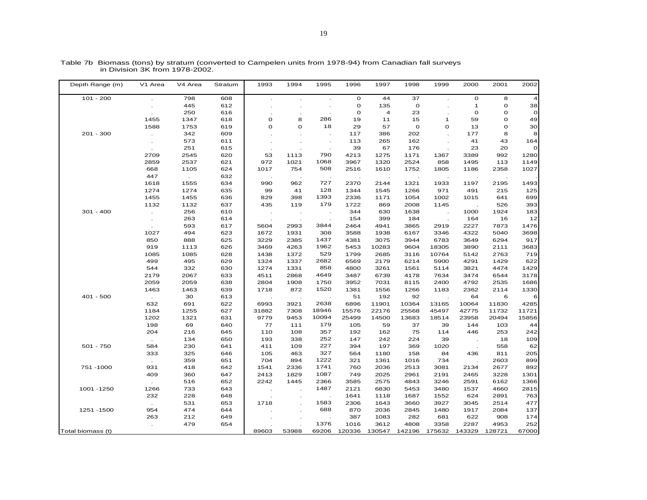| Depth Range (m)   | V1 Area                     | V4 Area | Stratum | 1993                 | 1994           | 1995           | 1996         | 1997   | 1998         | 1999                     | 2000         | 2001        | 2002    |
|-------------------|-----------------------------|---------|---------|----------------------|----------------|----------------|--------------|--------|--------------|--------------------------|--------------|-------------|---------|
| $101 - 200$       |                             | 798     | 608     |                      |                |                | $\mathbf 0$  | 44     | 37           |                          | $\mathbf O$  | 8           |         |
|                   |                             | 445     | 612     |                      |                |                | $\mathbf O$  | 135    | $\mathbf 0$  |                          | $\mathbf{1}$ | O           | 38      |
|                   |                             | 250     | 616     |                      |                |                | $\mathbf{o}$ | 4      | 23           |                          | O            | $\mathbf 0$ | $\circ$ |
|                   | 1455                        | 1347    | 618     | o                    | 8              | 286            | 19           | 11     | 15           | $\overline{1}$           | 59           | o           | 49      |
|                   | 1588                        | 1753    | 619     | $\mathbf{o}$         | $\mathbf{o}$   | 18             | 29           | 57     | $\mathbf{o}$ | $\mathbf O$              | 13           | O           | 30      |
| $201 - 300$       |                             | 342     | 609     |                      |                |                | 117          | 386    | 202          |                          | 177          | 8           | 8       |
|                   |                             | 573     | 611     |                      |                |                | 113          | 265    | 162          |                          | 41           | 43          | 164     |
|                   |                             | 251     | 615     |                      |                |                | 39           | 67     | 176          |                          | 23           | 20          | $\circ$ |
|                   | 2709                        | 2545    | 620     | 53                   | 1113           | 790            | 4213         | 1275   | 1171         | 1367                     | 3389         | 992         | 1280    |
|                   | 2859                        | 2537    | 621     | 972                  | 1021           | 1068           | 3967         | 1320   | 2524         | 858                      | 1495         | 113         | 1149    |
|                   | 668                         | 1105    | 624     | 1017                 | 754            | 508            | 2516         | 1610   | 1752         | 1805                     | 1186         | 2358        | 1027    |
|                   | 447                         |         | 632     |                      |                | $\cdot$        |              |        |              |                          |              |             |         |
|                   | 1618                        | 1555    | 634     | 990                  | 962            | 727            | 2370         | 2144   | 1321         | 1933                     | 1197         | 2195        | 1493    |
|                   | 1274                        | 1274    | 635     | 99                   | 41             | 128            | 1344         | 1545   | 1266         | 971                      | 491          | 215         | 125     |
|                   | 1455                        | 1455    | 636     | 829                  | 398            | 1393           | 2336         | 1171   | 1054         | 1002                     | 1015         | 641         | 699     |
|                   | 1132                        | 1132    | 637     | 435                  | 119            | 179            | 1722         | 869    | 2008         | 1145                     |              | 526         | 393     |
| $301 - 400$       | $\mathcal{L}_{\mathcal{A}}$ | 256     | 610     |                      |                |                | 344          | 630    | 1638         | $\overline{\phantom{a}}$ | 1000         | 1924        | 183     |
|                   | $\cdot$                     | 263     | 614     | $\ddot{\phantom{a}}$ | $\blacksquare$ |                | 154          | 399    | 184          |                          | 164          | 16          | 12      |
|                   |                             | 593     | 617     | 5604                 | 2993           | 3844           | 2464         | 4941   | 3865         | 2919                     | 2227         | 7873        | 1476    |
|                   | 1027                        | 494     | 623     | 1672                 | 1931           | 308            | 3588         | 1938   | 6167         | 3346                     | 4322         | 5040        | 3698    |
|                   | 850                         | 888     | 625     | 3229                 | 2385           | 1437           | 4381         | 3075   | 3944         | 6783                     | 3649         | 6294        | 917     |
|                   | 919                         | 1113    | 626     | 3469                 | 4263           | 1962           | 5453         | 10283  | 9604         | 18305                    | 3890         | 2111        | 3683    |
|                   | 1085                        | 1085    | 628     | 1438                 | 1372           | 529            | 1799         | 2685   | 3116         | 10764                    | 5142         | 2763        | 719     |
|                   | 499                         | 495     | 629     | 1324                 | 1337           | 2682           | 6569         | 2179   | 6214         | 5900                     | 4291         | 1429        | 622     |
|                   | 544                         | 332     | 630     | 1274                 | 1331           | 858            | 4800         | 3261   | 1561         | 5114                     | 3821         | 4474        | 1429    |
|                   | 2179                        | 2067    | 633     | 4511                 | 2868           | 4649           | 3487         | 6739   | 4178         | 7634                     | 3474         | 6544        | 3178    |
|                   | 2059                        | 2059    | 638     | 2804                 | 1908           | 1750           | 3952         | 7031   | 8115         | 2400                     | 4792         | 2535        | 1686    |
|                   | 1463                        | 1463    | 639     | 1718                 | 872            | 1520           | 1381         | 1556   | 1266         | 1183                     | 2362         | 2114        | 1330    |
| $401 - 500$       | $\sim$                      | 30      | 613     |                      |                | $\blacksquare$ | 51           | 192    | 92           | $\blacksquare$           | 64           | 6           | 6       |
|                   | 632                         | 691     | 622     | 6993                 | 3921           | 2638           | 6896         | 11901  | 10364        | 13165                    | 10064        | 11830       | 4285    |
|                   | 1184                        | 1255    | 627     | 31882                | 7308           | 18946          | 15576        | 22176  | 25568        | 45497                    | 42775        | 11732       | 11721   |
|                   | 1202                        | 1321    | 631     | 9779                 | 9453           | 10094          | 25499        | 14500  | 13683        | 18514                    | 23958        | 20494       | 15856   |
|                   | 198                         | 69      | 640     | 77                   | 111            | 179            | 105          | 59     | 37           | 39                       | 144          | 103         | 44      |
|                   | 204                         | 216     | 645     | 110                  | 108            | 357            | 192          | 162    | 75           | 114                      | 446          | 253         | 242     |
|                   |                             | 134     | 650     | 193                  | 338            | 252            | 147          | 242    | 224          | 39                       |              | 18          | 109     |
| $501 - 750$       | 584                         | 230     | 641     | 411                  | 109            | 227            | 394          | 197    | 369          | 1020                     | $\sim$       | 558         | 62      |
|                   | 333                         | 325     | 646     | 105                  | 463            | 327            | 564          | 1180   | 158          | 84                       | 436          | 811         | 205     |
|                   |                             | 359     | 651     | 704                  | 894            | 1222           | 321          | 1361   | 1016         | 734                      |              | 2603        | 899     |
| 751 - 1000        | 931                         | 418     | 642     | 1541                 | 2336           | 1741           | 760          | 2036   | 2513         | 3081                     | 2134         | 2677        | 892     |
|                   | 409                         | 360     | 647     | 2413                 | 1829           | 1087           | 749          | 2025   | 2961         | 2191                     | 2465         | 3228        | 1301    |
|                   |                             | 516     | 652     | 2242                 | 1445           | 2366           | 3585         | 2575   | 4843         | 3246                     | 2591         | 6162        | 1366    |
| 1001 - 1250       | 1266                        | 733     | 643     |                      |                | 1487           | 2121         | 6830   | 5453         | 3480                     | 1537         | 4660        | 2815    |
|                   | 232                         | 228     | 648     |                      |                |                | 1641         | 1118   | 1687         | 1552                     | 624          | 2891        | 763     |
|                   |                             | 531     | 653     | 1718                 |                | 1583           | 2306         | 1643   | 3660         | 3927                     | 3045         | 2514        | 477     |
| 1251 - 1500       | 954                         | 474     | 644     |                      |                | 688            | 870          | 2036   | 2845         | 1480                     | 1917         | 2084        | 137     |
|                   | 263                         | 212     | 649     |                      |                |                | 387          | 1083   | 282          | 681                      | 622          | 908         | 174     |
|                   | $\sim$                      | 479     | 654     |                      |                | 1376           | 1016         | 3612   | 4808         | 3358                     | 2287         | 4953        | 252     |
| Total biomass (t) |                             |         |         | 89603                | 53988          | 69206          | 120336       | 130547 | 142196       | 175632                   | 143329       | 128721      | 67000   |

Table 7b Biomass (tons) by stratum (converted to Campelen units from 1978-94) from Canadian fall surveys in Division 3K from 1978-2002.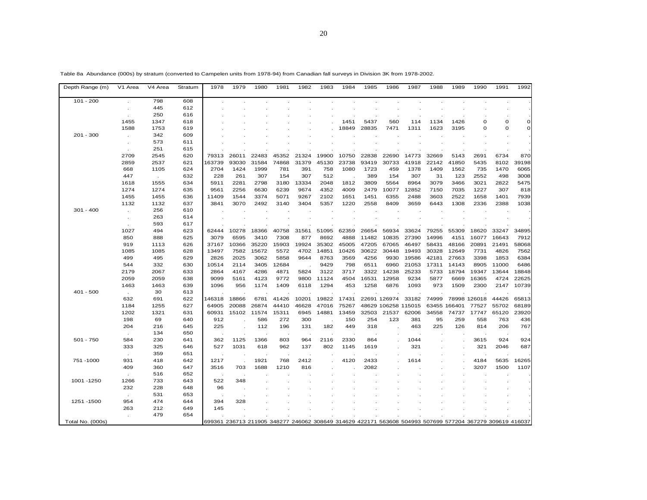| Depth Range (m)  | V1 Area     | V4 Area   | Stratum    | 1978   | 1979  | 1980  | 1981  | 1982  | 1983  | 1984  | 1985  | 1986                                                                                                     | 1987   | 1988  | 1989         | 1990                  | 1991     | 1992         |
|------------------|-------------|-----------|------------|--------|-------|-------|-------|-------|-------|-------|-------|----------------------------------------------------------------------------------------------------------|--------|-------|--------------|-----------------------|----------|--------------|
| $101 - 200$      |             | 798       | 608        |        |       |       |       |       |       |       |       |                                                                                                          |        |       |              |                       |          |              |
|                  |             | 445       | 612        |        |       |       |       |       |       |       |       |                                                                                                          |        |       |              |                       |          |              |
|                  |             | 250       | 616        |        |       |       |       |       |       |       |       |                                                                                                          |        |       |              |                       |          |              |
|                  | 1455        | 1347      | 618        |        |       |       |       |       |       | 1451  | 5437  | 560                                                                                                      | 114    | 1134  | 1426         | $\Omega$              | $\Omega$ | $\mathbf 0$  |
|                  | 1588        | 1753      | 619        |        |       |       |       |       |       | 18849 | 28835 | 7471                                                                                                     | 1311   | 1623  | 3195         | $\Omega$              | $\Omega$ | $\mathbf{O}$ |
| $201 - 300$      |             | 342       | 609        |        |       |       |       |       |       |       |       |                                                                                                          |        |       |              |                       |          |              |
|                  |             | 573       | 611        |        |       |       |       |       |       |       |       |                                                                                                          |        |       |              |                       |          |              |
|                  |             | 251       | 615        |        |       |       |       |       |       |       |       |                                                                                                          |        |       |              |                       |          |              |
|                  | 2709        | 2545      | 620        | 79313  | 26011 | 22483 | 45352 | 21324 | 19900 | 10750 | 22838 | 22690                                                                                                    | 14773  | 32669 | 5143         | 2691                  | 6734     | 870          |
|                  | 2859        | 2537      | 621        | 163739 | 93030 | 31584 | 74868 | 31379 | 45130 | 23738 | 93419 | 30733                                                                                                    | 41918  | 22142 | 41850        | 5435                  | 8102     | 39198        |
|                  | 668         | 1105      | 624        | 2704   | 1424  | 1999  | 781   | 391   | 758   | 1080  | 1723  | 459                                                                                                      | 1378   | 1409  | 1562         | 735                   | 1470     | 6065         |
|                  | 447         | $\sim$    | 632        | 228    | 261   | 307   | 154   | 307   | 512   |       | 389   | 154                                                                                                      | 307    | 31    | 123          | 2552                  | 498      | 3008         |
|                  | 1618        | 1555      | 634        | 5911   | 2281  | 2798  | 3180  | 13334 | 2048  | 1812  | 3809  | 5564                                                                                                     | 8964   | 3079  | 3466         | 3021                  | 2822     | 5475         |
|                  | 1274        | 1274      | 635        | 9561   | 2256  | 6630  | 6239  | 9674  | 4352  | 4009  | 2479  | 10077                                                                                                    | 12852  | 7150  | 7035         | 1227                  | 307      | 818          |
|                  | 1455        | 1455      | 636        | 11409  | 1544  | 3374  | 5071  | 9267  | 2102  | 1651  | 1451  | 6355                                                                                                     | 2488   | 3603  | 2522         | 1658                  | 1401     | 7939         |
|                  | 1132        | 1132      | 637        | 3841   | 3070  | 2492  | 3140  | 3404  | 5357  | 1220  | 2558  | 8409                                                                                                     | 3659   | 6443  | 1308         | 2336                  | 2388     | 1038         |
| $301 - 400$      |             | 256       | 610        |        |       |       |       |       |       |       |       |                                                                                                          |        |       |              |                       |          |              |
|                  | $\cdot$     | 263       | 614        |        |       |       |       |       |       |       |       |                                                                                                          |        |       |              |                       |          |              |
|                  |             | 593       | 617        |        |       |       |       |       |       |       |       |                                                                                                          |        |       |              |                       |          |              |
|                  | 1027        | 494       | 623        | 62444  | 10278 | 18366 | 40758 | 31561 | 51095 | 62359 | 26654 | 56934                                                                                                    | 33624  | 79255 | 55309        | 18620                 | 33247    | 34895        |
|                  | 850         | 888       | 625        | 3079   | 6595  | 3410  | 7308  | 877   | 8692  | 4888  | 11482 | 10835                                                                                                    | 27390  | 14996 | 4151         | 16077                 | 16643    | 7912         |
|                  | 919         | 1113      | 626        | 37167  | 10366 | 35220 | 15903 | 19924 | 35302 | 45005 | 47205 | 67065                                                                                                    | 46497  | 58431 | 48166        | 20891                 | 21491    | 58068        |
|                  | 1085        | 1085      | 628        | 13497  | 7582  | 15672 | 5572  | 4702  | 14851 | 10426 | 30622 | 30448                                                                                                    | 19493  | 30328 | 12649        | 7731                  | 4826     | 7562         |
|                  | 499         | 495       | 629        | 2826   | 2025  | 3062  | 5858  | 9644  | 8763  | 3569  | 4256  | 9930                                                                                                     | 19586  | 42181 | 27663        | 3398                  | 1853     | 6384         |
|                  | 544         | 332       | 630        | 10514  | 2114  | 3405  | 12684 |       | 9429  | 798   | 6511  | 6960                                                                                                     | 21053  | 17311 | 14143        | 8905                  | 11000    | 6486         |
|                  | 2179        | 2067      | 633        | 2864   | 4167  | 4286  | 4871  | 5824  | 3122  | 3717  | 3322  | 14238                                                                                                    | 25233  | 5733  | 18794        | 19347                 | 13644    | 18848        |
|                  | 2059        | 2059      | 638        | 9099   | 5161  | 4123  | 9772  | 9800  | 11124 | 4504  | 16531 | 12958                                                                                                    | 9234   | 5877  | 6669         | 16365                 | 4724     | 22625        |
|                  | 1463        | 1463      | 639        | 1096   | 956   | 1174  | 1409  | 6118  | 1294  | 453   | 1258  | 6876                                                                                                     | 1093   | 973   | 1509         | 2300                  | 2147     | 10739        |
| $401 - 500$      |             | 30<br>691 | 613<br>622 | 146318 | 18866 | 6781  | 41426 | 10201 | 19822 | 17431 |       | 22691 126974                                                                                             | 33182  | 74999 |              |                       | 44426    | 65813        |
|                  | 632<br>1184 | 1255      | 627        | 64905  | 20088 | 26874 | 44410 | 46628 | 47016 | 75267 |       | 48629 106258                                                                                             | 115015 |       | 63455 166401 | 78998 126018<br>77527 | 55702    | 68189        |
|                  | 1202        | 1321      | 631        | 60931  | 15102 | 11574 | 15311 | 6945  | 14881 | 13459 | 32503 | 21537                                                                                                    | 62006  | 34558 | 74737        | 17747                 | 65120    | 23920        |
|                  | 198         | 69        | 640        | 912    |       | 586   | 272   | 300   |       | 150   | 254   | 123                                                                                                      | 381    | 95    | 259          | 558                   | 763      | 436          |
|                  | 204         | 216       | 645        | 225    |       | 112   | 196   | 131   | 182   | 449   | 318   |                                                                                                          | 463    | 225   | 126          | 814                   | 206      | 767          |
|                  |             | 134       | 650        |        |       |       |       |       |       |       |       |                                                                                                          |        |       |              |                       |          |              |
| $501 - 750$      | 584         | 230       | 641        | 362    | 1125  | 1366  | 803   | 964   | 2116  | 2330  | 864   |                                                                                                          | 1044   |       |              | 3615                  | 924      | 924          |
|                  | 333         | 325       | 646        | 527    | 1031  | 618   | 962   | 137   | 802   | 1145  | 1619  |                                                                                                          | 321    |       |              | 321                   | 2046     | 687          |
|                  |             | 359       | 651        |        |       |       |       |       |       |       |       |                                                                                                          |        |       |              |                       |          |              |
| 751-1000         | 931         | 418       | 642        | 1217   |       | 1921  | 768   | 2412  |       | 4120  | 2433  |                                                                                                          | 1614   |       |              | 4184                  | 5635     | 16265        |
|                  | 409         | 360       | 647        | 3516   | 703   | 1688  | 1210  | 816   |       |       | 2082  |                                                                                                          |        |       |              | 3207                  | 1500     | 1107         |
|                  |             | 516       | 652        |        |       |       |       |       |       |       |       |                                                                                                          |        |       |              |                       |          |              |
| 1001 - 1250      | 1266        | 733       | 643        | 522    | 348   |       |       |       |       |       |       |                                                                                                          |        |       |              |                       |          |              |
|                  | 232         | 228       | 648        | 96     |       |       |       |       |       |       |       |                                                                                                          |        |       |              |                       |          |              |
|                  |             | 531       | 653        |        |       |       |       |       |       |       |       |                                                                                                          |        |       |              |                       |          |              |
| 1251 - 1500      | 954         | 474       | 644        | 394    | 328   |       |       |       |       |       |       |                                                                                                          |        |       |              |                       |          |              |
|                  | 263         | 212       | 649        | 145    |       |       |       |       |       |       |       |                                                                                                          |        |       |              |                       |          |              |
|                  |             | 479       | 654        |        |       |       |       |       |       |       |       |                                                                                                          |        |       |              |                       |          |              |
| Total No. (000s) |             |           |            |        |       |       |       |       |       |       |       | 699361 236713 211905 348277 246062 308649 314629 422171 563608 504993 507699 577204 367279 309619 416037 |        |       |              |                       |          |              |

Table 8a Abundance (000s) by stratum (converted to Campelen units from 1978-94) from Canadian fall surveys in Division 3K from 1978-2002.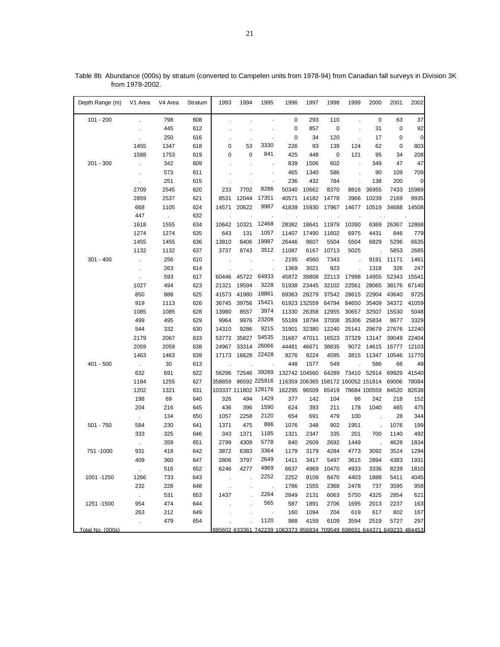| Depth Range (m)  | V1 Area        | V4 Area       | Stratum | 1993                 | 1994  | 1995            | 1996                                                                   | 1997          | 1998        | 1999           | 2000                               | 2001  | 2002        |
|------------------|----------------|---------------|---------|----------------------|-------|-----------------|------------------------------------------------------------------------|---------------|-------------|----------------|------------------------------------|-------|-------------|
| $101 - 200$      |                | 798           | 608     |                      |       |                 | 0                                                                      | 293           | 110         | $\overline{a}$ | $\pmb{0}$                          | 63    | 37          |
|                  |                | 445           | 612     |                      |       |                 | 0                                                                      | 857           | $\mathbf 0$ |                | 31                                 | 0     | 92          |
|                  |                | 250           | 616     |                      |       |                 | 0                                                                      | 34            | 120         |                | 17                                 | 0     | $\mathbf 0$ |
|                  | 1455           | 1347          | 618     | 0                    | 53    | 3330            | 226                                                                    | 93            | 139         | 124            | 62                                 | 0     | 803         |
|                  | 1588           | 1753          | 619     | 0                    | 0     | 841             | 425                                                                    | 448           | 0           | 121            | 95                                 | 34    | 208         |
| $201 - 300$      | $\epsilon$     | 342           | 609     |                      |       |                 | 839                                                                    | 1506          | 602         |                | 349                                | 47    | 47          |
|                  |                | 573           | 611     |                      |       |                 | 465                                                                    | 1340          | 586         |                | 90                                 | 109   | 709         |
|                  | ×.             | 251           | 615     |                      |       |                 | 236                                                                    | 432           | 784         |                | 138                                | 200   | 0           |
|                  | 2709           | 2545          | 620     | 233                  | 7702  | 8286            | 50340                                                                  | 10662         | 8370        | 8816           | 36955                              | 7433  | 15989       |
|                  | 2859           | 2537          | 621     | 8531                 | 12044 | 17351           | 40571                                                                  | 14182         | 14778       | 3966           | 10239                              | 2169  | 9935        |
|                  | 668            | 1105          | 624     | 14571                | 20622 | 9987            | 41839                                                                  | 15930         | 17967       | 14677          | 10519                              | 34688 | 14508       |
|                  | 447            | $\mathcal{L}$ | 632     |                      |       |                 |                                                                        |               |             |                | $\ddotsc$                          |       |             |
|                  | 1618           | 1555          | 634     | 10642                | 10321 | 12468           | 28382                                                                  | 18641         | 11979       | 10390          | 6369                               | 26367 | 12868       |
|                  | 1274           | 1274          | 635     | 643                  | 131   | 1057            | 11407                                                                  | 17490         | 11602       | 6975           | 4431                               | 846   | 779         |
|                  | 1455           | 1455          | 636     | 13810                | 8406  | 19987           | 26446                                                                  | 9607          | 5504        | 5504           | 6829                               | 5296  | 6635        |
|                  | 1132           | 1132          | 637     | 3737                 | 8743  | 3512            | 11087                                                                  | 6167          | 10713       | 5025           |                                    | 5853  | 2685        |
| $301 - 400$      |                | 256           | 610     |                      |       |                 | 2195                                                                   | 4560          | 7343        |                | 9191                               | 11171 | 1461        |
|                  |                | 263           | 614     |                      |       |                 | 1369                                                                   | 3021          | 923         |                | 1318                               | 326   | 247         |
|                  |                | 593           | 617     | 60446                | 45722 | 64933           | 45872                                                                  | 39808         | 22113       | 17998          | 14955                              | 52343 | 15541       |
|                  | 1027           | 494           | 623     | 21321                | 19594 | 3228            | 51938                                                                  | 23445         | 32102       | 22561          | 28065                              | 38176 | 67140       |
|                  | 850            | 888           | 625     | 41573                | 41980 | 18861           | 69363                                                                  | 28279         | 37542       | 28615          | 22904                              | 43640 | 9725        |
|                  | 919            | 1113          | 626     | 36745                | 39756 | 15421           |                                                                        | 61923 132559  | 64794       | 84650          | 35409                              | 34372 | 41059       |
|                  | 1085           | 1085          | 628     | 13980                | 8557  | 3974            | 11330                                                                  | 26358         | 12955       | 30657          | 32507                              | 15530 | 5048        |
|                  | 499            | 495           | 629     | 9964                 | 9976  | 23208           | 55189                                                                  | 18794         | 37008       | 35306          | 25834                              | 8677  | 3329        |
|                  | 544            | 332           | 630     | 14310                | 9286  | 9215            | 31901                                                                  | 32380         | 12240       | 25141          | 29679                              | 27676 | 12240       |
|                  | 2179           | 2067          | 633     | 53772                | 35827 | 54535           | 31687                                                                  | 47011         | 16523       | 37329          | 13147                              | 39049 | 22404       |
|                  | 2059           | 2059          | 638     | 24967                | 33314 | 26066           | 44481                                                                  | 46671         | 38835       | 9072           | 14615                              | 16777 | 12103       |
|                  | 1463           | 1463          | 639     | 17173                | 16628 | 22428           | 9276                                                                   | 9224          | 4595        | 3815           | 11347                              | 10546 | 11770       |
| $401 - 500$      | $\mathcal{L}$  | 30            | 613     |                      |       |                 | 448                                                                    | 1577          | 549         |                | 586                                | 66    | 49          |
|                  | 632            | 691           | 622     | 56296                | 72546 | 39289           |                                                                        | 132742 104560 | 64289       |                | 73410 52914                        | 69929 | 41540       |
|                  | 1184           | 1255          | 627     | 358859               |       | 96592 225916    |                                                                        |               |             |                | 116359 206365 158172 160052 151814 | 69006 | 78084       |
|                  | 1202           | 1321          | 631     | 103337 111802 128176 |       |                 | 162295                                                                 | 96509         | 65419       |                | 78684 100559                       | 84520 | 82638       |
|                  | 198            | 69            | 640     | 326                  | 494   | 1429            | 377                                                                    | 142           | 104         | 66             | 242                                | 218   | 152         |
|                  | 204            | 216           | 645     | 436                  | 396   | 1590            | 624                                                                    | 393           | 211         | 178            | 1040                               | 465   | 475         |
|                  | $\mathcal{L}$  | 134           | 650     | 1057                 | 2258  | 2120            | 654                                                                    | 691           | 479         | 100            |                                    | 28    | 344         |
| $501 - 750$      | 584            | 230           | 641     | 1371                 | 475   | 886             | 1076                                                                   | 348           | 902         | 1951           |                                    | 1076  | 199         |
|                  | 333            | 325           | 646     | 343                  | 1371  | 1185            | 1321                                                                   | 2347          | 335         | 201            | 700                                | 1140  | 492         |
|                  | $\mathbf{r}$   | 359           | 651     | 2799                 | 4309  | 5778            | 840                                                                    | 2609          | 2692        | 1449           |                                    | 4628  | 1834        |
| 751 - 1000       | 931            | 418           | 642     | 3872                 | 6383  | 3364            | 1179                                                                   | 3179          | 4284        | 4773           | 3092                               | 3524  | 1294        |
|                  | 409            | 360           | 647     | 2806                 | 3797  | 2649            | 1411                                                                   | 3417          | 5497        | 3615           | 2894                               | 4383  | 1931        |
|                  | $\sim$         | 516           | 652     | 6246                 | 4277  | 4969            | 6637                                                                   | 4969          | 10470       | 4933           | 3336                               | 8239  | 1810        |
| 1001 - 1250      | 1266           | 733           | 643     |                      |       | 2252            | 2252                                                                   | 9109          | 8470        | 4403           | 1888                               | 5411  | 4045        |
|                  | 232            | 228           | 648     |                      |       | $\cdot$         | 1786                                                                   | 1555          | 2368        | 2478           | 737                                | 3595  | 958         |
|                  | $\sim 10^{-1}$ | 531           | 653     | 1437                 |       | 2264            | 2849                                                                   | 2131          | 6063        | 5750           | 4325                               | 2854  | 621         |
| 1251 - 1500      | 954            | 474           | 644     |                      |       | 565             | 587                                                                    | 1891          | 2706        | 1695           | 2013                               | 2237  | 163         |
|                  | 263            | 212           | 649     |                      |       | $\sim$ 10 $\pm$ | 160                                                                    | 1094          | 204         | 619            | 617                                | 802   | 167         |
|                  | $\mathbf{r}$   | 479           | 654     |                      |       | 1120            | 988                                                                    | 4159          | 6109        | 3594           | 2519                               | 5727  | 297         |
| Total No. (000s) |                |               |         |                      |       |                 | 885602 633361 742239 1063373 956834 709549 698691 644371 649233 484453 |               |             |                |                                    |       |             |

Table 8b Abundance (000s) by stratum (converted to Campelen units from 1978-94) from Canadian fall surveys in Division 3K from 1978-2002.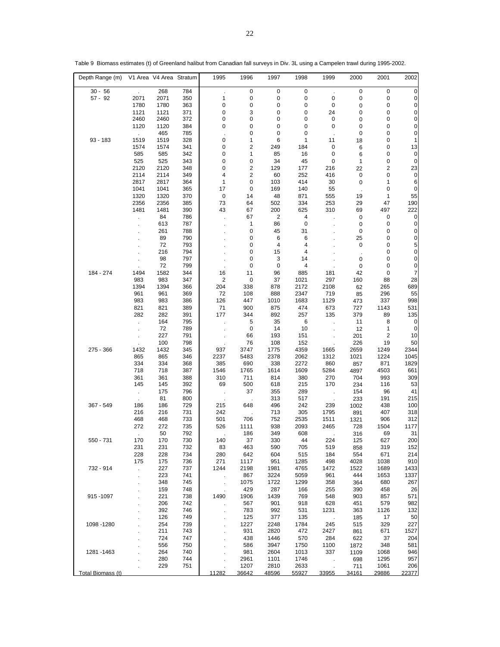| Depth Range (m)   |                             | V1 Area V4 Area Stratum |            | 1995                 | 1996                         | 1997                    | 1998                          | 1999                 | 2000             | 2001         | 2002                |
|-------------------|-----------------------------|-------------------------|------------|----------------------|------------------------------|-------------------------|-------------------------------|----------------------|------------------|--------------|---------------------|
| $30 - 56$         | $\mathcal{L}^{\mathcal{L}}$ | 268                     | 784        |                      | 0                            | 0                       | 0                             | ÷.                   | 0                | 0            | 0                   |
| $57 - 92$         | 2071                        | 2071                    | 350        | 1                    | 0                            | 0                       | $\pmb{0}$                     | 0                    | 0                | 0            | $\overline{0}$      |
|                   | 1780                        | 1780                    | 363        | 0                    | 0                            | 0                       | 0                             | 0                    | 0                | 0            | $\overline{0}$      |
|                   | 1121                        | 1121                    | 371        | 0                    | 3                            | 0                       | 0                             | 24                   | 0                | 0            | $\overline{0}$      |
|                   | 2460                        | 2460                    | 372        | 0                    | 0                            | 0                       | 0                             | 0                    | 0                | 0            | $\overline{0}$      |
|                   | 1120                        | 1120                    | 384        | 0                    | 0                            | 0                       | 0                             | 0                    | 0                | 0            | 0                   |
|                   | $\sim$                      | 465                     | 785        |                      | 0                            | 0                       | 0                             | ÷.                   | 0                | 0            | 0                   |
| $93 - 183$        | 1519                        | 1519                    | 328        | 0                    | 1                            | 6                       | 1                             | 11                   | 18               | 0            | 1                   |
|                   | 1574                        | 1574                    | 341        | 0                    | $\overline{2}$               | 249                     | 184                           | 0                    | 6                | 0            | 13                  |
|                   | 585                         | 585                     | 342        | 0                    | 1                            | 85                      | 16                            | 0                    | 6                | 0            | 0                   |
|                   | 525<br>2120                 | 525<br>2120             | 343<br>348 | 0<br>0               | 0<br>$\overline{\mathbf{c}}$ | 34<br>129               | 45<br>177                     | 0<br>216             | 1                | 0<br>2       | $\mathbf 0$<br>23   |
|                   | 2114                        | 2114                    | 349        | 4                    | $\overline{\mathbf{c}}$      | 60                      | 252                           | 416                  | 22<br>0          | 0            | $\mathbf 0$         |
|                   | 2817                        | 2817                    | 364        | 1                    | 0                            | 103                     | 414                           | 30                   | $\mathbf 0$      | 1            | 6                   |
|                   | 1041                        | 1041                    | 365        | 17                   | 0                            | 169                     | 140                           | 55                   |                  | 0            | 0                   |
|                   | 1320                        | 1320                    | 370        | $\pmb{0}$            | 14                           | 48                      | 871                           | 555                  | 19               | 1            | 55                  |
|                   | 2356                        | 2356                    | 385        | 73                   | 64                           | 502                     | 334                           | 253                  | 29               | 47           | 190                 |
|                   | 1481                        | 1481                    | 390        | 43                   | 67                           | 200                     | 625                           | 310                  | 69               | 497          | 222                 |
|                   |                             | 84                      | 786        |                      | 67                           | $\overline{\mathbf{c}}$ | 4                             |                      | 0                | 0            | $\mathbf 0$         |
|                   | $\mathbf{r}$                | 613                     | 787        | $\ddot{\phantom{a}}$ | 1                            | 86                      | $\mathbf 0$                   | $\ddot{\phantom{a}}$ | 0                | 0            | 0                   |
|                   |                             | 261                     | 788        |                      | 0                            | 45                      | 31                            |                      | 0                | 0            | 0                   |
|                   |                             | 89                      | 790        |                      | 0                            | 6                       | 6                             |                      | 25               | 0            | $\overline{0}$      |
|                   |                             | 72                      | 793        |                      | 0                            | 4                       | 4                             |                      | 0                | 0            | 5                   |
|                   |                             | 216<br>98               | 794<br>797 |                      | 0<br>0                       | 15<br>3                 | $\overline{\mathbf{4}}$<br>14 |                      |                  | 0<br>0       | $\overline{0}$<br>0 |
|                   |                             | 72                      | 799        |                      | 0                            | 0                       | 4                             |                      | 0<br>$\mathbf 0$ | $\pmb{0}$    | 0                   |
| 184 - 274         | 1494                        | 1582                    | 344        | 16                   | 11                           | 96                      | 885                           | 181                  | 42               | 0            | 7                   |
|                   | 983                         | 983                     | 347        | $\overline{c}$       | $\mathbf 0$                  | 37                      | 1021                          | 297                  | 160              | 88           | 28                  |
|                   | 1394                        | 1394                    | 366        | 204                  | 338                          | 878                     | 2172                          | 2108                 | 62               | 265          | 689                 |
|                   | 961                         | 961                     | 369        | 72                   | 108                          | 888                     | 2347                          | 719                  | 85               | 296          | 55                  |
|                   | 983                         | 983                     | 386        | 126                  | 447                          | 1010                    | 1683                          | 1129                 | 473              | 337          | 998                 |
|                   | 821                         | 821                     | 389        | 71                   | 900                          | 875                     | 474                           | 673                  | 727              | 1143         | 531                 |
|                   | 282                         | 282                     | 391        | 177                  | 344                          | 892                     | 257                           | 135                  | 379              | 89           | 135                 |
|                   | $\ddot{\phantom{a}}$        | 164                     | 795        | $\ddot{\phantom{a}}$ | 5                            | 35                      | 6                             | $\mathcal{L}$        | 11               | 8            | 0                   |
|                   |                             | 72                      | 789        |                      | 0                            | 14                      | 10                            | $\cdot$              | 12               | $\mathbf{1}$ | 0                   |
|                   |                             | 227                     | 791        |                      | 66                           | 193                     | 151                           |                      | 201              | 2            | 10                  |
| 275 - 366         | 1432                        | 100<br>1432             | 798<br>345 | 937                  | 76<br>3747                   | 108<br>1775             | 152<br>4359                   | 1665                 | 226<br>2659      | 19<br>1249   | 50<br>2344          |
|                   | 865                         | 865                     | 346        | 2237                 | 5483                         | 2378                    | 2062                          | 1312                 | 1021             | 1224         | 1045                |
|                   | 334                         | 334                     | 368        | 385                  | 690                          | 338                     | 2272                          | 860                  | 857              | 871          | 1829                |
|                   | 718                         | 718                     | 387        | 1546                 | 1765                         | 1614                    | 1609                          | 5284                 | 4897             | 4503         | 661                 |
|                   | 361                         | 361                     | 388        | 310                  | 711                          | 814                     | 380                           | 270                  | 704              | 993          | 309                 |
|                   | 145                         | 145                     | 392        | 69                   | 500                          | 618                     | 215                           | 170                  | 234              | 116          | 53                  |
|                   |                             | 175                     | 796        | $\sim$               | 37                           | 355                     | 289                           | $\mathbf{r}$         | 154              | 96           | 41                  |
|                   |                             | 81                      | 800        |                      |                              | 313                     | 517                           |                      | 233              | 191          | 215                 |
| 367 - 549         | 186                         | 186                     | 729        | 215                  | 648                          | 496                     | 242                           | 239                  | 1002             | 438          | 100                 |
|                   | 216                         | 216                     | 731        | 242                  |                              | 713                     | 305                           | 1795                 | 891              | 407          | 318                 |
|                   | 468                         | 468                     | 733        | 501                  | 706                          | 752                     | 2535                          | 1511                 | 1321             | 906<br>1504  | 312                 |
|                   | 272                         | 272<br>50               | 735<br>792 | 526                  | 1111<br>186                  | 938<br>349              | 2093<br>608                   | 2465                 | 728<br>316       | 69           | 1177<br>31          |
| 550 - 731         | 170                         | 170                     | 730        | 140                  | 37                           | 330                     | 44                            | 224                  | 125              | 627          | 200                 |
|                   | 231                         | 231                     | 732        | 83                   | 463                          | 590                     | 705                           | 519                  | 858              | 319          | 152                 |
|                   | 228                         | 228                     | 734        | 280                  | 642                          | 604                     | 515                           | 184                  | 554              | 671          | 214                 |
|                   | 175                         | 175                     | 736        | 271                  | 1117                         | 951                     | 1285                          | 498                  | 4028             | 1038         | 910                 |
| 732 - 914         | ä,                          | 227                     | 737        | 1244                 | 2198                         | 1981                    | 4765                          | 1472                 | 1522             | 1689         | 1433                |
|                   | ä,                          | 223                     | 741        | $\cdot$              | 867                          | 3224                    | 5059                          | 961                  | 444              | 1653         | 1337                |
|                   |                             | 348                     | 745        | $\ddot{\phantom{a}}$ | 1075                         | 1722                    | 1299                          | 358                  | 364              | 680          | 267                 |
|                   |                             | 159                     | 748        | ÷,                   | 429                          | 287                     | 166                           | 255                  | 390              | 458          | 26                  |
| 915 - 1097        |                             | 221                     | 738        | 1490                 | 1906                         | 1439                    | 769                           | 548                  | 903              | 857          | 571                 |
|                   | $\mathbf{r}$                | 206                     | 742        |                      | 567                          | 901                     | 918                           | 628                  | 451              | 579          | 982                 |
|                   |                             | 392<br>126              | 746<br>749 | $\epsilon$           | 783<br>125                   | 992<br>377              | 531<br>135                    | 1231                 | 363<br>185       | 1126<br>17   | 132<br>50           |
| 1098 - 1280       |                             | 254                     | 739        |                      | 1227                         | 2248                    | 1784                          | 245                  | 515              | 329          | 227                 |
|                   |                             | 211                     | 743        |                      | 931                          | 2820                    | 472                           | 2427                 | 861              | 671          | 1527                |
|                   |                             | 724                     | 747        |                      | 438                          | 1446                    | 570                           | 284                  | 622              | 37           | 204                 |
|                   |                             | 556                     | 750        |                      | 586                          | 3947                    | 1750                          | 1100                 | 1872             | 348          | 581                 |
| 1281 - 1463       |                             | 264                     | 740        |                      | 981                          | 2604                    | 1013                          | 337                  | 1109             | 1068         | 946                 |
|                   |                             | 280                     | 744        |                      | 2961                         | 1101                    | 1746                          | $\cdot$              | 698              | 1295         | 957                 |
|                   |                             | 229                     | 751        |                      | 1207                         | 2810                    | 2633                          |                      | 711              | 1061         | 206                 |
| Total Biomass (t) |                             |                         |            | 11282                | 36642                        | 48596                   | 55927                         | 33955                | 34161            | 29886        | 22377               |

Table 9 Biomass estimates (t) of Greenland halibut from Canadian fall surveys in Div. 3L using a Campelen trawl during 1995-2002.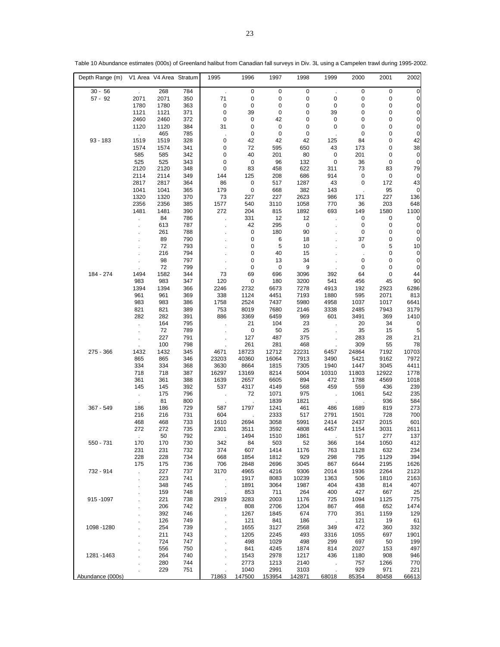| Depth Range (m)  |              | V1 Area V4 Area Stratum |            | 1995   | 1996        | 1997         | 1998        | 1999        | 2000        | 2001        | 2002        |
|------------------|--------------|-------------------------|------------|--------|-------------|--------------|-------------|-------------|-------------|-------------|-------------|
| $30 - 56$        |              | 268                     | 784        | $\sim$ | 0           | 0            | $\mathbf 0$ |             | 0           | 0           | 0           |
| $57 - 92$        | 2071         | 2071                    | 350        | 71     | $\pmb{0}$   | 0            | 0           | 0           | 0           | 0           | 0           |
|                  | 1780         | 1780                    | 363        | 0      | $\pmb{0}$   | 0            | 0           | 0           | 0           | 0           | 0           |
|                  | 1121         | 1121                    | 371        | 0      | 39          | 0            | 0           | 39          | 0           | 0           | 0           |
|                  | 2460         | 2460                    | 372        | 0      | $\pmb{0}$   | 42           | 0           | 0           | 0           | 0           | 0           |
|                  | 1120         | 1120                    | 384        | 31     | 0           | 0            | 0           | 0           | 0           | 0           | 0           |
|                  |              | 465                     | 785        |        | $\mathbf 0$ | 0            | $\mathbf 0$ |             | 0           | 0           | 0           |
| 93 - 183         | 1519         | 1519                    | 328        | 0      | 42          | 42           | 42          | 125         | 84          | 0           | 42          |
|                  | 1574         | 1574                    | 341        | 0      | 72          | 595          | 650         | 43          | 173         | 0           | 38          |
|                  | 585          | 585                     | 342        | 0      | 40          | 201          | 80          | $\pmb{0}$   | 201         | 0           | 0           |
|                  | 525          | 525                     | 343        | 0      | $\mathbf 0$ | 96           | 132         | $\mathbf 0$ | 36          | $\mathbf 0$ | $\mathbf 0$ |
|                  | 2120         | 2120                    | 348        | 0      | 83          | 458          | 622         | 311         | 73          | 83          | 79          |
|                  | 2114         | 2114                    | 349        | 144    | 125         | 208          | 686         | 914         | $\mathbf 0$ | 0           | 0           |
|                  | 2817         | 2817                    | 364        | 86     | $\pmb{0}$   | 517          | 1287        | 43          | $\mathbf 0$ | 172         | 43          |
|                  | 1041         | 1041                    | 365        | 179    | $\mathbf 0$ | 668          | 382         | 143         | ÷,          | 95          | 0           |
|                  | 1320         | 1320                    | 370        | 73     | 227         | 227          | 2623        | 986         | 171         | 227         | 136         |
|                  | 2356         | 2356                    | 385        | 1577   | 540         | 3110         | 1058        | 770         | 36          | 203         | 648         |
|                  | 1481         | 1481                    | 390        | 272    | 204         | 815          | 1892        | 693         | 149         | 1580        | 1100        |
|                  |              | 84                      | 786        |        | 331         | 12           | 12          |             | 0           | 0           | 0           |
|                  |              | 613                     | 787        |        | 42          | 295          | $\pmb{0}$   |             | 0           | 0           | 0           |
|                  |              | 261                     | 788        |        | 0           | 180          | 90          |             | 0           | 0           | 0           |
|                  |              | 89                      | 790        |        | 0           | 6            | 18          |             | 37          | 0           | 0           |
|                  |              | 72                      | 793        |        | 0           | 5            | 10          |             | 0           | 5           | 10          |
|                  |              | 216                     | 794        |        | 0           | 40           | 15          |             | ÷,          | 0           | 0           |
|                  |              | 98                      | 797        |        | 0           | 13           | 34          |             | 0           | 0           | $\mathbf 0$ |
|                  |              | 72                      | 799        |        | 0           | 0            | 9           |             | 0           | $\mathbf 0$ | 0           |
| 184 - 274        | 1494         | 1582                    | 344        | 73     | 69          | 696          | 3096        | 392         | 64          | 0           | 44          |
|                  | 983          | 983                     | 347        | 120    | $\mathbf 0$ | 180          | 3200        | 541         | 456         | 45          | 90          |
|                  | 1394         | 1394                    | 366        | 2246   | 2732        | 6673         | 7278        | 4913        | 192         | 2923        | 6286        |
|                  | 961          | 961                     | 369        | 338    | 1124        | 4451         | 7193        | 1880        | 595         | 2071        | 813         |
|                  | 983          | 983                     | 386        | 1758   | 2524        | 7437         | 5980        | 4958        | 1037        | 1017        | 6641        |
|                  | 821          | 821                     | 389        | 753    | 8019        | 7680         | 2146        | 3338        | 2485        | 7943        | 3179        |
|                  | 282          | 282                     | 391        | 886    | 3369        | 6459         | 969         | 601         | 3491        | 369         | 1410        |
|                  |              | 164                     | 795        |        | 21          | 104          | 23          |             | 20          | 34          | 0           |
|                  |              | 72                      | 789        |        | $\pmb{0}$   | 50           | 25          |             | 35          | 15          | 5           |
|                  |              | 227                     | 791        |        | 127         | 487          | 375         |             | 283         | 28          | 21          |
|                  |              | 100                     | 798        |        | 261         | 281          | 468         |             | 309         | 55          | 78          |
| 275 - 366        | 1432         | 1432                    | 345        | 4671   | 18723       | 12712        | 22231       | 6457        | 24864       | 7192        | 10703       |
|                  | 865          | 865                     | 346        | 23203  | 40360       | 16064        | 7913        | 3490        | 5421        | 9162        | 7972        |
|                  | 334          | 334                     | 368        | 3630   | 8664        | 1815         | 7305        | 1940        | 1447        | 3045        | 4411        |
|                  | 718          | 718                     | 387        | 16297  | 13169       | 8214         | 5004        | 10310       | 11803       | 12922       | 1778        |
|                  | 361          | 361                     | 388        | 1639   | 2657        | 6605         | 894         | 472         | 1788        | 4569        | 1018        |
|                  | 145          | 145                     | 392        | 537    | 4317        | 4149         | 568         | 459         | 559         | 436         | 239         |
|                  |              | 175                     | 796        |        | 72          | 1071         | 975         |             | 1061        | 542         | 235         |
| 367 - 549        |              | 81<br>186               | 800<br>729 | 587    | 1797        | 1839<br>1241 | 1821<br>461 | 486         | 1689        | 936<br>819  | 584<br>273  |
|                  | 186<br>216   | 216                     | 731        | 604    |             | 2333         | 517         | 2791        | 1501        | 728         | 700         |
|                  | 468          | 468                     | 733        | 1610   | 2694        | 3058         | 5991        | 2414        | 2437        | 2015        | 601         |
|                  | 272          | 272                     | 735        | 2301   | 3511        | 3592         | 4808        | 4457        | 1154        | 3031        | 2611        |
|                  |              | 50                      | 792        |        | 1494        | 1510         | 1861        |             | 517         | 277         | 137         |
| 550 - 731        | 170          | 170                     | 730        | 342    | 84          | 503          | 52          | 366         | 164         | 1050        | 412         |
|                  | 231          | 231                     | 732        | 374    | 607         | 1414         | 1176        | 763         | 1128        | 632         | 234         |
|                  | 228          | 228                     | 734        | 668    | 1854        | 1812         | 929         | 298         | 795         | 1129        | 394         |
|                  | 175          | 175                     | 736        | 706    | 2848        | 2696         | 3045        | 867         | 6644        | 2195        | 1626        |
| 732 - 914        | $\mathbf{r}$ | 227                     | 737        | 3170   | 4965        | 4216         | 9306        | 2014        | 1936        | 2264        | 2123        |
|                  |              | 223                     | 741        |        | 1917        | 8083         | 10239       | 1363        | 506         | 1810        | 2163        |
|                  |              | 348                     | 745        | ÷,     | 1891        | 3064         | 1987        | 404         | 438         | 814         | 407         |
|                  |              | 159                     | 748        |        | 853         | 711          | 264         | 400         | 427         | 667         | 25          |
| 915-1097         |              | 221                     | 738        | 2919   | 3283        | 2003         | 1176        | 725         | 1094        | 1125        | 775         |
|                  |              | 206                     | 742        |        | 808         | 2706         | 1204        | 867         | 468         | 652         | 1474        |
|                  |              | 392                     | 746        |        | 1267        | 1845         | 674         | 770         | 351         | 1159        | 129         |
|                  |              | 126                     | 749        |        | 121         | 841          | 186         | $\sim$      | 121         | 19          | 61          |
| 1098 - 1280      |              | 254                     | 739        |        | 1655        | 3127         | 2568        | 349         | 472         | 360         | 332         |
|                  |              | 211                     | 743        |        | 1205        | 2245         | 493         | 3316        | 1055        | 697         | 1901        |
|                  |              | 724                     | 747        |        | 498         | 1029         | 498         | 299         | 697         | 50          | 199         |
|                  |              | 556                     | 750        |        | 841         | 4245         | 1874        | 814         | 2027        | 153         | 497         |
| 1281 - 1463      |              | 264                     | 740        |        | 1543        | 2978         | 1217        | 436         | 1180        | 908         | 946         |
|                  |              | 280                     | 744        |        | 2773        | 1213         | 2140        |             | 757         | 1266        | 770         |
|                  |              | 229                     | 751        |        | 1040        | 2991         | 3103        |             | 929         | 971         | 221         |
| Abundance (000s) |              |                         |            | 71863  | 147500      | 153954       | 142871      | 68018       | 85354       | 80458       | 66613       |

Table 10 Abundance estimates (000s) of Greenland halibut from Canadian fall surveys in Div. 3L using a Campelen trawl during 1995-2002.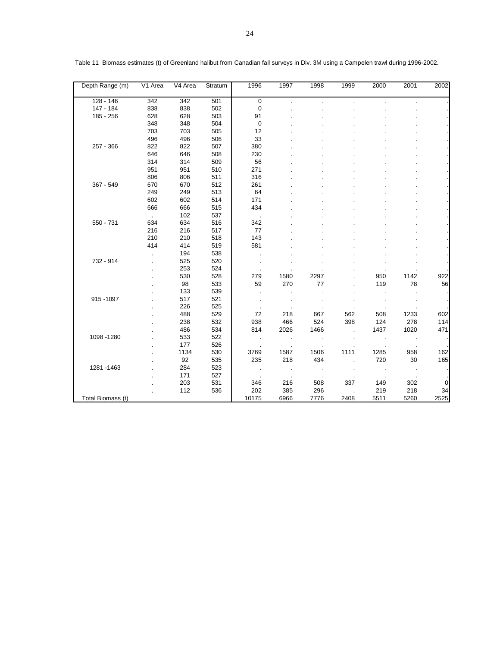| Depth Range (m)   | $V1$ Area | V4 Area | Stratum | 1996        | 1997    | 1998    | 1999                 | 2000           | 2001 | 2002 |
|-------------------|-----------|---------|---------|-------------|---------|---------|----------------------|----------------|------|------|
| 128 - 146         | 342       | 342     | 501     | $\mathbf 0$ |         |         |                      |                |      |      |
| 147 - 184         | 838       | 838     | 502     | $\mathbf 0$ |         |         |                      |                |      |      |
| 185 - 256         | 628       | 628     | 503     | 91          |         |         |                      |                |      |      |
|                   | 348       | 348     | 504     | 0           |         |         |                      |                |      |      |
|                   | 703       | 703     | 505     | 12          |         |         |                      |                |      |      |
|                   | 496       | 496     | 506     | 33          |         |         |                      |                |      |      |
| 257 - 366         | 822       | 822     | 507     | 380         |         |         |                      |                |      |      |
|                   | 646       | 646     | 508     | 230         |         |         |                      |                |      |      |
|                   | 314       | 314     | 509     | 56          |         |         |                      |                |      |      |
|                   | 951       | 951     | 510     | 271         |         |         |                      |                |      |      |
|                   | 806       | 806     | 511     | 316         |         |         |                      |                |      |      |
| 367 - 549         | 670       | 670     | 512     | 261         |         |         |                      |                |      |      |
|                   | 249       | 249     | 513     | 64          |         |         |                      |                |      |      |
|                   | 602       | 602     | 514     | 171         |         |         |                      |                |      |      |
|                   | 666       | 666     | 515     | 434         |         |         |                      |                |      |      |
|                   | $\sim$    | 102     | 537     |             |         |         |                      |                |      |      |
| 550 - 731         | 634       | 634     | 516     | 342         |         |         |                      |                |      |      |
|                   | 216       | 216     | 517     | 77          |         |         |                      |                |      |      |
|                   | 210       | 210     | 518     | 143         |         |         |                      |                |      |      |
|                   | 414       | 414     | 519     | 581         |         |         |                      |                |      |      |
|                   |           | 194     | 538     |             |         |         |                      |                |      |      |
| 732 - 914         |           | 525     | 520     |             |         |         |                      |                |      |      |
|                   |           | 253     | 524     |             |         |         |                      |                |      |      |
|                   |           | 530     | 528     | 279         | 1580    | 2297    |                      | 950            | 1142 | 922  |
|                   |           | 98      | 533     | 59          | 270     | 77      |                      | 119            | 78   | 56   |
|                   |           | 133     | 539     | $\cdot$     |         |         |                      | $\cdot$        |      |      |
| 915-1097          |           | 517     | 521     |             |         |         |                      |                |      |      |
|                   |           | 226     | 525     |             |         |         |                      |                |      |      |
|                   |           | 488     | 529     | 72          | 218     | 667     | 562                  | 508            | 1233 | 602  |
|                   |           | 238     | 532     | 938         | 466     | 524     | 398                  | 124            | 278  | 114  |
|                   |           | 486     | 534     | 814         | 2026    | 1466    | $\ddot{\phantom{a}}$ | 1437           | 1020 | 471  |
| 1098 - 1280       |           | 533     | 522     | $\cdot$     | $\cdot$ |         |                      |                |      |      |
|                   |           | 177     | 526     |             |         |         |                      |                |      |      |
|                   |           | 1134    | 530     | 3769        | 1587    | 1506    | 1111                 | 1285           | 958  | 162  |
|                   |           | 92      | 535     | 235         | 218     | 434     | ÷.                   | 720            | 30   | 165  |
| 1281-1463         |           | 284     | 523     | $\cdot$     | $\cdot$ | $\cdot$ |                      | $\cdot$        |      |      |
|                   |           | 171     | 527     |             |         |         |                      | $\blacksquare$ |      |      |
|                   |           | 203     | 531     | 346         | 216     | 508     | 337                  | 149            | 302  | 0    |
|                   |           | 112     | 536     | 202         | 385     | 296     |                      | 219            | 218  | 34   |
| Total Biomass (t) |           |         |         | 10175       | 6966    | 7776    | 2408                 | 5511           | 5260 | 2525 |

Table 11 Biomass estimates (t) of Greenland halibut from Canadian fall surveys in Div. 3M using a Campelen trawl during 1996-2002.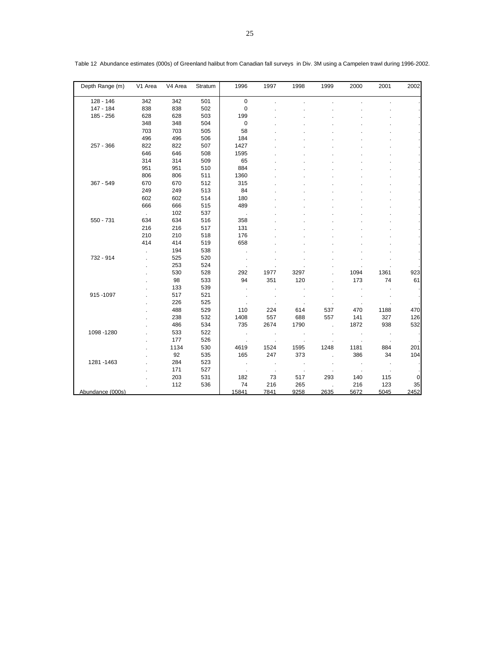| Depth Range (m)  | V1 Area | V4 Area | Stratum | 1996                 | 1997                 | 1998            | 1999     | 2000    | 2001                 | 2002 |
|------------------|---------|---------|---------|----------------------|----------------------|-----------------|----------|---------|----------------------|------|
| 128 - 146        | 342     | 342     | 501     | $\mathbf 0$          |                      |                 |          |         |                      |      |
| 147 - 184        | 838     | 838     | 502     | $\mathbf 0$          |                      |                 |          |         |                      |      |
| 185 - 256        | 628     | 628     | 503     | 199                  |                      |                 |          |         |                      |      |
|                  | 348     | 348     | 504     | $\mathbf 0$          |                      |                 |          |         |                      |      |
|                  | 703     | 703     | 505     | 58                   |                      |                 |          |         |                      |      |
|                  | 496     | 496     | 506     | 184                  |                      |                 |          |         |                      |      |
| 257 - 366        | 822     | 822     | 507     | 1427                 |                      |                 |          |         |                      |      |
|                  | 646     | 646     | 508     | 1595                 |                      |                 |          |         |                      |      |
|                  | 314     | 314     | 509     | 65                   |                      |                 |          |         |                      |      |
|                  | 951     | 951     | 510     | 884                  |                      |                 |          |         |                      |      |
|                  | 806     | 806     | 511     | 1360                 |                      |                 |          |         |                      |      |
| 367 - 549        | 670     | 670     | 512     | 315                  |                      |                 |          |         |                      |      |
|                  | 249     | 249     | 513     | 84                   |                      |                 |          |         |                      |      |
|                  | 602     | 602     | 514     | 180                  |                      |                 |          |         |                      |      |
|                  | 666     | 666     | 515     | 489                  |                      |                 |          |         |                      |      |
|                  | $\sim$  | 102     | 537     |                      |                      |                 |          |         |                      |      |
| 550 - 731        | 634     | 634     | 516     | 358                  |                      |                 |          |         |                      |      |
|                  | 216     | 216     | 517     | 131                  |                      |                 |          |         |                      |      |
|                  | 210     | 210     | 518     | 176                  |                      |                 |          |         |                      |      |
|                  | 414     | 414     | 519     | 658                  |                      |                 |          |         |                      |      |
|                  |         | 194     | 538     | $\blacksquare$       |                      |                 |          |         |                      |      |
| 732 - 914        |         | 525     | 520     |                      |                      |                 |          |         |                      |      |
|                  |         | 253     | 524     |                      |                      |                 |          |         |                      |      |
|                  |         | 530     | 528     | 292                  | 1977                 | 3297            |          | 1094    | 1361                 | 923  |
|                  |         | 98      | 533     | 94                   | 351                  | 120             |          | 173     | 74                   | 61   |
|                  |         | 133     | 539     | ÷,                   |                      |                 |          |         |                      |      |
| 915-1097         |         | 517     | 521     | $\blacksquare$       | $\cdot$              | $\cdot$         |          |         | $\cdot$              |      |
|                  |         | 226     | 525     |                      |                      |                 |          |         |                      |      |
|                  |         | 488     | 529     | 110                  | 224                  | 614             | 537      | 470     | 1188                 | 470  |
|                  |         | 238     | 532     | 1408                 | 557                  | 688             | 557      | 141     | 327                  | 126  |
|                  |         | 486     | 534     | 735                  | 2674                 | 1790            | $\Delta$ | 1872    | 938                  | 532  |
| 1098 - 1280      |         | 533     | 522     | $\sim$               | $\cdot$              |                 |          | $\cdot$ |                      |      |
|                  |         | 177     | 526     | $\ddot{\phantom{a}}$ | $\ddot{\phantom{a}}$ |                 |          |         | $\ddot{\phantom{1}}$ |      |
|                  |         | 1134    | 530     | 4619                 | 1524                 | 1595            | 1248     | 1181    | 884                  | 201  |
|                  |         | 92      | 535     | 165                  | 247                  | 373             | ÷,       | 386     | 34                   | 104  |
| 1281-1463        |         | 284     | 523     | $\sim$               | $\cdot$              | $\sim$ 10 $\pm$ | $\cdot$  | $\sim$  | $\sim$               |      |
|                  |         | 171     | 527     |                      |                      |                 |          |         |                      |      |
|                  |         | 203     | 531     | 182                  | 73                   | 517             | 293      | 140     | 115                  | 0    |
|                  |         | 112     | 536     | 74                   | 216                  | 265             |          | 216     | 123                  | 35   |
| Abundance (000s) |         |         |         | 15841                | 7841                 | 9258            | 2635     | 5672    | 5045                 | 2452 |

Table 12 Abundance estimates (000s) of Greenland halibut from Canadian fall surveys in Div. 3M using a Campelen trawl during 1996-2002.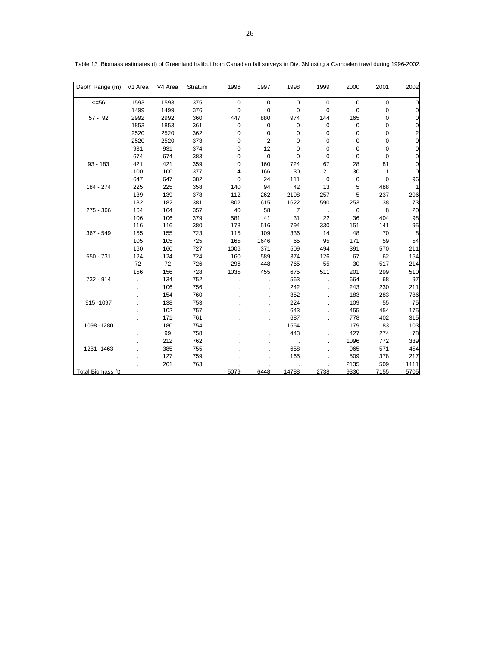| Depth Range (m)   | V1 Area | V4 Area | Stratum | 1996        | 1997        | 1998           | 1999        | 2000 | 2001 | 2002           |
|-------------------|---------|---------|---------|-------------|-------------|----------------|-------------|------|------|----------------|
| $<=56$            | 1593    | 1593    | 375     | $\mathbf 0$ | $\mathsf 0$ | 0              | $\mathbf 0$ | 0    | 0    | 0              |
|                   | 1499    | 1499    | 376     | 0           | 0           | 0              | $\mathbf 0$ | 0    | 0    | 0              |
| $57 - 92$         | 2992    | 2992    | 360     | 447         | 880         | 974            | 144         | 165  | 0    | 0              |
|                   | 1853    | 1853    | 361     | 0           | $\mathsf 0$ | 0              | 0           | 0    | 0    | 0              |
|                   | 2520    | 2520    | 362     | 0           | 0           | 0              | 0           | 0    | 0    | 2              |
|                   | 2520    | 2520    | 373     | 0           | 2           | 0              | 0           | 0    | 0    | $\mathbf 0$    |
|                   | 931     | 931     | 374     | 0           | 12          | 0              | 0           | 0    | 0    | $\overline{0}$ |
|                   | 674     | 674     | 383     | 0           | $\pmb{0}$   | 0              | 0           | 0    | 0    | $\overline{0}$ |
| $93 - 183$        | 421     | 421     | 359     | 0           | 160         | 724            | 67          | 28   | 81   | 0              |
|                   | 100     | 100     | 377     | 4           | 166         | 30             | 21          | 30   | 1    | $\pmb{0}$      |
|                   | 647     | 647     | 382     | 0           | 24          | 111            | 0           | 0    | 0    | 96             |
| 184 - 274         | 225     | 225     | 358     | 140         | 94          | 42             | 13          | 5    | 488  | 1              |
|                   | 139     | 139     | 378     | 112         | 262         | 2198           | 257         | 5    | 237  | 206            |
|                   | 182     | 182     | 381     | 802         | 615         | 1622           | 590         | 253  | 138  | 73             |
| $275 - 366$       | 164     | 164     | 357     | 40          | 58          | $\overline{7}$ |             | 6    | 8    | 20             |
|                   | 106     | 106     | 379     | 581         | 41          | 31             | 22          | 36   | 404  | 98             |
|                   | 116     | 116     | 380     | 178         | 516         | 794            | 330         | 151  | 141  | 95             |
| 367 - 549         | 155     | 155     | 723     | 115         | 109         | 336            | 14          | 48   | 70   | 8              |
|                   | 105     | 105     | 725     | 165         | 1646        | 65             | 95          | 171  | 59   | 54             |
|                   | 160     | 160     | 727     | 1006        | 371         | 509            | 494         | 391  | 570  | 211            |
| 550 - 731         | 124     | 124     | 724     | 160         | 589         | 374            | 126         | 67   | 62   | 154            |
|                   | 72      | 72      | 726     | 296         | 448         | 765            | 55          | 30   | 517  | 214            |
|                   | 156     | 156     | 728     | 1035        | 455         | 675            | 511         | 201  | 299  | 510            |
| 732 - 914         |         | 134     | 752     |             |             | 563            |             | 664  | 68   | 97             |
|                   |         | 106     | 756     |             |             | 242            |             | 243  | 230  | 211            |
|                   |         | 154     | 760     |             |             | 352            |             | 183  | 283  | 786            |
| 915-1097          |         | 138     | 753     |             |             | 224            |             | 109  | 55   | 75             |
|                   |         | 102     | 757     |             |             | 643            |             | 455  | 454  | 175            |
|                   |         | 171     | 761     |             |             | 687            |             | 778  | 402  | 315            |
| 1098 - 1280       |         | 180     | 754     |             |             | 1554           |             | 179  | 83   | 103            |
|                   |         | 99      | 758     |             |             | 443            |             | 427  | 274  | 78             |
|                   |         | 212     | 762     |             |             |                |             | 1096 | 772  | 339            |
| 1281 - 1463       |         | 385     | 755     |             |             | 658            |             | 965  | 571  | 454            |
|                   |         | 127     | 759     |             |             | 165            |             | 509  | 378  | 217            |
|                   |         | 261     | 763     |             |             |                |             | 2135 | 509  | 1111           |
| Total Biomass (t) |         |         |         | 5079        | 6448        | 14788          | 2738        | 9330 | 7155 | 5705           |

Table 13 Biomass estimates (t) of Greenland halibut from Canadian fall surveys in Div. 3N using a Campelen trawl during 1996-2002.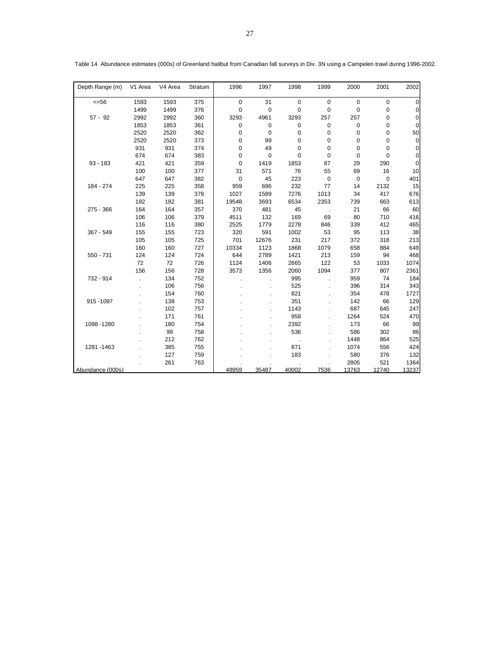| Depth Range (m)  | V1 Area | V4 Area | Stratum | 1996        | 1997        | 1998        | 1999        | 2000        | 2001        | 2002           |
|------------------|---------|---------|---------|-------------|-------------|-------------|-------------|-------------|-------------|----------------|
| $= 56$           | 1593    | 1593    | 375     | $\mathbf 0$ | 31          | $\mathbf 0$ | $\mathbf 0$ | $\mathbf 0$ | $\mathbf 0$ | $\overline{0}$ |
|                  | 1499    | 1499    | 376     | $\mathbf 0$ | $\mathbf 0$ | $\mathbf 0$ | $\mathbf 0$ | $\mathbf 0$ | 0           | 0              |
| $57 - 92$        | 2992    | 2992    | 360     | 3293        | 4961        | 3293        | 257         | 257         | 0           | $\overline{0}$ |
|                  | 1853    | 1853    | 361     | $\mathbf 0$ | $\mathbf 0$ | 0           | 0           | 0           | 0           | $\overline{0}$ |
|                  | 2520    | 2520    | 362     | $\mathbf 0$ | $\mathbf 0$ | 0           | 0           | 0           | $\mathbf 0$ | 50             |
|                  | 2520    | 2520    | 373     | 0           | 99          | $\mathbf 0$ | 0           | 0           | $\mathbf 0$ | $\overline{0}$ |
|                  | 931     | 931     | 374     | 0           | 49          | 0           | 0           | 0           | $\mathbf 0$ | $\overline{0}$ |
|                  | 674     | 674     | 383     | $\mathbf 0$ | $\mathbf 0$ | $\mathbf 0$ | 0           | 0           | $\mathbf 0$ | $\overline{0}$ |
| $93 - 183$       | 421     | 421     | 359     | $\mathbf 0$ | 1419        | 1853        | 87          | 29          | 290         | $\overline{0}$ |
|                  | 100     | 100     | 377     | 31          | 571         | 76          | 55          | 69          | 16          | 10             |
|                  | 647     | 647     | 382     | $\mathbf 0$ | 45          | 223         | $\mathbf 0$ | $\mathbf 0$ | $\mathbf 0$ | 401            |
| 184 - 274        | 225     | 225     | 358     | 959         | 696         | 232         | 77          | 14          | 2132        | 15             |
|                  | 139     | 139     | 378     | 1027        | 1589        | 7276        | 1013        | 34          | 417         | 676            |
|                  | 182     | 182     | 381     | 19548       | 3693        | 6534        | 2353        | 739         | 663         | 613            |
| 275 - 366        | 164     | 164     | 357     | 370         | 481         | 45          |             | 21          | 66          | 60             |
|                  | 106     | 106     | 379     | 4511        | 132         | 169         | 69          | 80          | 710         | 416            |
|                  | 116     | 116     | 380     | 2525        | 1779        | 2278        | 846         | 339         | 412         | 465            |
| 367 - 549        | 155     | 155     | 723     | 320         | 591         | 1002        | 53          | 95          | 113         | 38             |
|                  | 105     | 105     | 725     | 701         | 12676       | 231         | 217         | 372         | 318         | 213            |
|                  | 160     | 160     | 727     | 10334       | 1123        | 1868        | 1079        | 658         | 884         | 649            |
| 550 - 731        | 124     | 124     | 724     | 644         | 2789        | 1421        | 213         | 159         | 94          | 468            |
|                  | 72      | 72      | 726     | 1124        | 1406        | 2665        | 122         | 53          | 1033        | 1074           |
|                  | 156     | 156     | 728     | 3573        | 1356        | 2060        | 1094        | 377         | 807         | 2361           |
| 732 - 914        |         | 134     | 752     |             |             | 995         |             | 959         | 74          | 184            |
|                  |         | 106     | 756     |             |             | 525         |             | 396         | 314         | 343            |
|                  |         | 154     | 760     |             |             | 821         |             | 354         | 478         | 1727           |
| 915 - 1097       |         | 138     | 753     |             |             | 351         |             | 142         | 66          | 129            |
|                  |         | 102     | 757     |             |             | 1143        |             | 687         | 645         | 247            |
|                  |         | 171     | 761     |             |             | 958         |             | 1264        | 524         | 470            |
| 1098 - 1280      |         | 180     | 754     |             |             | 2392        |             | 173         | 66          | 99             |
|                  |         | 99      | 758     |             |             | 536         |             | 586         | 302         | 86             |
|                  |         | 212     | 762     |             |             |             |             | 1448        | 864         | 525            |
| 1281-1463        |         | 385     | 755     |             |             | 871         |             | 1074        | 556         | 424            |
|                  |         | 127     | 759     |             |             | 183         |             | 580         | 376         | 132            |
|                  |         | 261     | 763     |             |             |             |             | 2805        | 521         | 1364           |
| Abundance (000s) |         |         |         | 48959       | 35487       | 40002       | 7536        | 13763       | 12740       | 13237          |

Table 14 Abundance estimates (000s) of Greenland halibut from Canadian fall surveys in Div. 3N using a Campelen trawl during 1996-2002.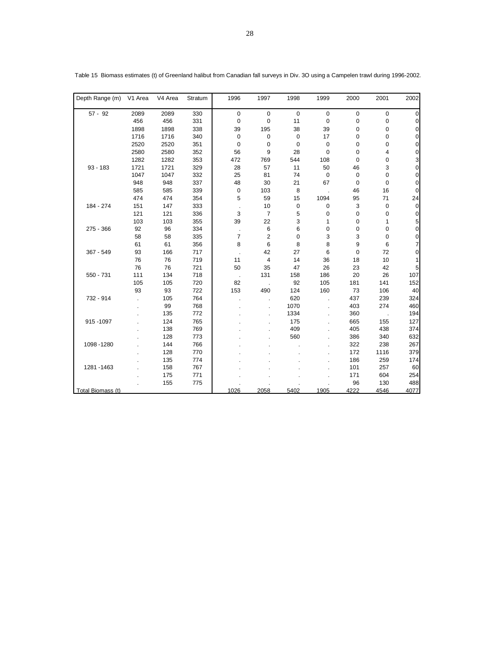| Depth Range (m)   | V1 Area | V4 Area | Stratum | 1996           | 1997                | 1998        | 1999        | 2000 | 2001        | 2002           |
|-------------------|---------|---------|---------|----------------|---------------------|-------------|-------------|------|-------------|----------------|
| $57 - 92$         | 2089    | 2089    | 330     | $\mathbf 0$    | $\mathsf{O}\xspace$ | $\mathbf 0$ | $\pmb{0}$   | 0    | $\mathbf 0$ | $\overline{0}$ |
|                   | 456     | 456     | 331     | 0              | 0                   | 11          | 0           | 0    | 0           | 0              |
|                   | 1898    | 1898    | 338     | 39             | 195                 | 38          | 39          | 0    | 0           | $\overline{0}$ |
|                   | 1716    | 1716    | 340     | 0              | $\mathsf 0$         | 0           | 17          | 0    | 0           | $\overline{0}$ |
|                   | 2520    | 2520    | 351     | $\mathbf 0$    | $\mathsf 0$         | $\mathbf 0$ | $\mathsf 0$ | 0    | 0           | $\overline{0}$ |
|                   | 2580    | 2580    | 352     | 56             | 9                   | 28          | 0           | 0    | 4           | $\Omega$       |
|                   | 1282    | 1282    | 353     | 472            | 769                 | 544         | 108         | 0    | 0           | 3              |
| $93 - 183$        | 1721    | 1721    | 329     | 28             | 57                  | 11          | 50          | 46   | 3           | $\mathbf 0$    |
|                   | 1047    | 1047    | 332     | 25             | 81                  | 74          | 0           | 0    | 0           | $\pmb{0}$      |
|                   | 948     | 948     | 337     | 48             | 30                  | 21          | 67          | 0    | 0           | $\mathbf 0$    |
|                   | 585     | 585     | 339     | 0              | 103                 | 8           |             | 46   | 16          | $\mathbf 0$    |
|                   | 474     | 474     | 354     | 5              | 59                  | 15          | 1094        | 95   | 71          | 24             |
| 184 - 274         | 151     | 147     | 333     |                | 10                  | 0           | $\mathbf 0$ | 3    | 0           | $\mathbf 0$    |
|                   | 121     | 121     | 336     | 3              | $\overline{7}$      | 5           | 0           | 0    | 0           | $\pmb{0}$      |
|                   | 103     | 103     | 355     | 39             | 22                  | 3           | 1           | 0    | 1           | 5              |
| 275 - 366         | 92      | 96      | 334     | $\cdot$        | 6                   | 6           | 0           | 0    | 0           | $\mathbf 0$    |
|                   | 58      | 58      | 335     | $\overline{7}$ | 2                   | 0           | 3           | 3    | 0           | 0              |
|                   | 61      | 61      | 356     | 8              | 6                   | 8           | 8           | 9    | 6           | 7              |
| 367 - 549         | 93      | 166     | 717     |                | 42                  | 27          | 6           | 0    | 72          | $\mathbf 0$    |
|                   | 76      | 76      | 719     | 11             | 4                   | 14          | 36          | 18   | 10          | 1              |
|                   | 76      | 76      | 721     | 50             | 35                  | 47          | 26          | 23   | 42          | 5              |
| 550 - 731         | 111     | 134     | 718     |                | 131                 | 158         | 186         | 20   | 26          | 107            |
|                   | 105     | 105     | 720     | 82             |                     | 92          | 105         | 181  | 141         | 152            |
|                   | 93      | 93      | 722     | 153            | 490                 | 124         | 160         | 73   | 106         | 40             |
| 732 - 914         |         | 105     | 764     |                |                     | 620         |             | 437  | 239         | 324            |
|                   |         | 99      | 768     |                |                     | 1070        |             | 403  | 274         | 460            |
|                   |         | 135     | 772     |                |                     | 1334        |             | 360  |             | 194            |
| 915-1097          |         | 124     | 765     |                |                     | 175         |             | 665  | 155         | 127            |
|                   |         | 138     | 769     |                |                     | 409         |             | 405  | 438         | 374            |
|                   |         | 128     | 773     |                |                     | 560         |             | 386  | 340         | 632            |
| 1098 - 1280       |         | 144     | 766     |                |                     |             |             | 322  | 238         | 267            |
|                   |         | 128     | 770     |                |                     |             |             | 172  | 1116        | 379            |
|                   |         | 135     | 774     |                |                     |             |             | 186  | 259         | 174            |
| 1281 - 1463       |         | 158     | 767     |                |                     |             |             | 101  | 257         | 60             |
|                   |         | 175     | 771     |                |                     |             |             | 171  | 604         | 254            |
|                   |         | 155     | 775     |                |                     |             |             | 96   | 130         | 488            |
| Total Biomass (t) |         |         |         | 1026           | 2058                | 5402        | 1905        | 4222 | 4546        | 4077           |

Table 15 Biomass estimates (t) of Greenland halibut from Canadian fall surveys in Div. 3O using a Campelen trawl during 1996-2002.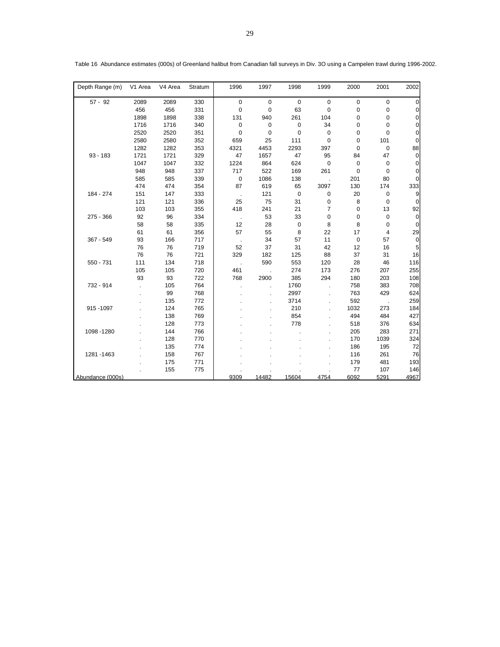| Depth Range (m)  | V1 Area | V4 Area | Stratum | 1996         | 1997                 | 1998        | 1999        | 2000        | 2001        | 2002           |
|------------------|---------|---------|---------|--------------|----------------------|-------------|-------------|-------------|-------------|----------------|
| $57 - 92$        | 2089    | 2089    | 330     | $\mathbf 0$  | $\mathbf 0$          | $\mathbf 0$ | $\mathbf 0$ | $\mathbf 0$ | 0           | 0              |
|                  | 456     | 456     | 331     | $\mathbf 0$  | 0                    | 63          | $\mathbf 0$ | $\mathbf 0$ | 0           | $\overline{0}$ |
|                  | 1898    | 1898    | 338     | 131          | 940                  | 261         | 104         | $\mathbf 0$ | 0           | $\overline{0}$ |
|                  | 1716    | 1716    | 340     | $\mathbf 0$  | $\pmb{0}$            | $\pmb{0}$   | 34          | $\mathbf 0$ | 0           | $\overline{0}$ |
|                  | 2520    | 2520    | 351     | 0            | $\mathbf 0$          | 0           | $\mathbf 0$ | $\mathbf 0$ | 0           | $\overline{0}$ |
|                  | 2580    | 2580    | 352     | 659          | 25                   | 111         | $\mathbf 0$ | $\mathbf 0$ | 101         | $\overline{0}$ |
|                  | 1282    | 1282    | 353     | 4321         | 4453                 | 2293        | 397         | 0           | 0           | 88             |
| $93 - 183$       | 1721    | 1721    | 329     | 47           | 1657                 | 47          | 95          | 84          | 47          | $\mathbf 0$    |
|                  | 1047    | 1047    | 332     | 1224         | 864                  | 624         | $\mathbf 0$ | $\mathbf 0$ | 0           | 0              |
|                  | 948     | 948     | 337     | 717          | 522                  | 169         | 261         | $\Omega$    | $\mathbf 0$ | 0              |
|                  | 585     | 585     | 339     | $\mathbf 0$  | 1086                 | 138         |             | 201         | 80          | $\overline{0}$ |
|                  | 474     | 474     | 354     | 87           | 619                  | 65          | 3097        | 130         | 174         | 333            |
| 184 - 274        | 151     | 147     | 333     |              | 121                  | $\mathbf 0$ | $\pmb{0}$   | 20          | 0           | $\overline{9}$ |
|                  | 121     | 121     | 336     | 25           | 75                   | 31          | 0           | 8           | 0           | $\overline{0}$ |
|                  | 103     | 103     | 355     | 418          | 241                  | 21          | 7           | $\mathbf 0$ | 13          | 92             |
| 275 - 366        | 92      | 96      | 334     | $\mathbf{r}$ | 53                   | 33          | 0           | $\mathbf 0$ | 0           | $\overline{0}$ |
|                  | 58      | 58      | 335     | 12           | 28                   | 0           | 8           | 8           | 0           | 0              |
|                  | 61      | 61      | 356     | 57           | 55                   | 8           | 22          | 17          | 4           | 29             |
| 367 - 549        | 93      | 166     | 717     |              | 34                   | 57          | 11          | $\mathbf 0$ | 57          | $\mathbf 0$    |
|                  | 76      | 76      | 719     | 52           | 37                   | 31          | 42          | 12          | 16          | 5              |
|                  | 76      | 76      | 721     | 329          | 182                  | 125         | 88          | 37          | 31          | 16             |
| 550 - 731        | 111     | 134     | 718     |              | 590                  | 553         | 120         | 28          | 46          | 116            |
|                  | 105     | 105     | 720     | 461          |                      | 274         | 173         | 276         | 207         | 255            |
|                  | 93      | 93      | 722     | 768          | 2900                 | 385         | 294         | 180         | 203         | 108            |
| 732 - 914        |         | 105     | 764     |              | $\ddot{\phantom{a}}$ | 1760        |             | 758         | 383         | 708            |
|                  |         | 99      | 768     |              |                      | 2997        |             | 763         | 429         | 624            |
|                  |         | 135     | 772     |              |                      | 3714        |             | 592         |             | 259            |
| 915 - 1097       |         | 124     | 765     |              |                      | 210         |             | 1032        | 273         | 184            |
|                  |         | 138     | 769     |              |                      | 854         |             | 494         | 484         | 427            |
|                  |         | 128     | 773     |              |                      | 778         |             | 518         | 376         | 634            |
| 1098-1280        |         | 144     | 766     |              |                      |             |             | 205         | 283         | 271            |
|                  |         | 128     | 770     |              |                      |             |             | 170         | 1039        | 324            |
|                  |         | 135     | 774     |              |                      |             |             | 186         | 195         | 72             |
| 1281-1463        |         | 158     | 767     |              |                      |             |             | 116         | 261         | 76             |
|                  |         | 175     | 771     |              |                      |             |             | 179         | 481         | 193            |
|                  |         | 155     | 775     |              |                      |             |             | 77          | 107         | 146            |
| Abundance (000s) |         |         |         | 9309         | 14482                | 15604       | 4754        | 6092        | 5291        | 4967           |

| Table 16 Abundance estimates (000s) of Greenland halibut from Canadian fall surveys in Div. 3O using a Campelen trawl during 1996-2002. |  |  |  |  |  |  |  |  |  |
|-----------------------------------------------------------------------------------------------------------------------------------------|--|--|--|--|--|--|--|--|--|
|-----------------------------------------------------------------------------------------------------------------------------------------|--|--|--|--|--|--|--|--|--|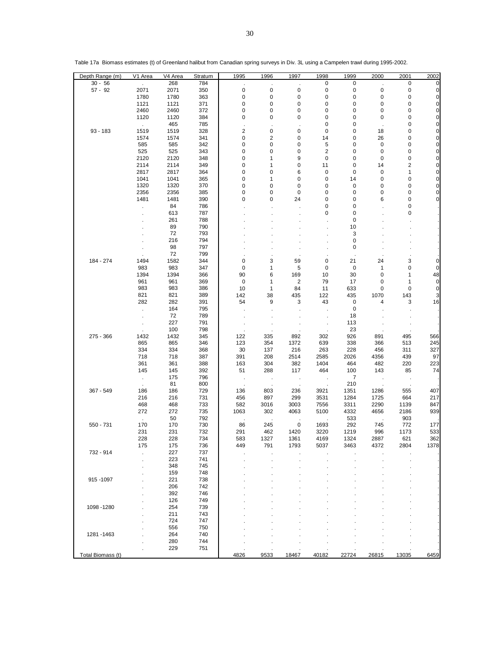| Depth Range (m)   | V1 Area                     | V4 Area      | Stratum    | 1995                | 1996                     | 1997                    | 1998                 | 1999              | 2000     | 2001      | 2002              |
|-------------------|-----------------------------|--------------|------------|---------------------|--------------------------|-------------------------|----------------------|-------------------|----------|-----------|-------------------|
| $30 - 56$         | $\mathcal{L}^{\mathcal{L}}$ | 268          | 784        |                     | $\cdot$                  |                         | 0                    | 0                 |          | 0         | 0                 |
| $57 - 92$         | 2071                        | 2071         | 350        | $\pmb{0}$           | 0                        | $\pmb{0}$               | 0                    | 0                 | 0        | $\pmb{0}$ | 0                 |
|                   | 1780                        | 1780         | 363        | 0                   | 0                        | 0                       | 0                    | 0                 | 0        | 0         | $\pmb{0}$         |
|                   | 1121                        | 1121         | 371        | 0                   | 0                        | 0                       | 0                    | 0                 | 0        | $\pmb{0}$ | $\pmb{0}$         |
|                   | 2460                        | 2460         | 372        | 0                   | 0                        | 0                       | 0                    | $\mathbf 0$       | 0        | 0         | $\pmb{0}$         |
|                   | 1120                        | 1120         | 384        | 0                   | 0                        | 0                       | 0                    | 0                 | 0        | 0         | 0                 |
|                   | $\ddot{\phantom{a}}$        | 465          | 785        | ×                   | $\overline{\phantom{a}}$ |                         | 0                    | 0                 |          | 0         | $\pmb{0}$         |
| $93 - 183$        | 1519<br>1574                | 1519<br>1574 | 328<br>341 | $\overline{2}$<br>0 | 0<br>$\overline{c}$      | 0<br>0                  | 0<br>14              | 0<br>0            | 18<br>26 | 0<br>0    | $\pmb{0}$<br>0    |
|                   | 585                         | 585          | 342        | 0                   | 0                        | 0                       | 5                    | 0                 | 0        | $\pmb{0}$ | $\pmb{0}$         |
|                   | 525                         | 525          | 343        | 0                   | $\pmb{0}$                | 0                       | 2                    | 0                 | 0        | 0         | $\pmb{0}$         |
|                   | 2120                        | 2120         | 348        | $\pmb{0}$           | 1                        | 9                       | 0                    | 0                 | 0        | 0         | $\pmb{0}$         |
|                   | 2114                        | 2114         | 349        | 0                   | 1                        | 0                       | 11                   | 0                 | 14       | 2         | $\mathbf 0$       |
|                   | 2817                        | 2817         | 364        | 0                   | 0                        | 6                       | 0                    | 0                 | 0        | 1         | 0                 |
|                   | 1041                        | 1041         | 365        | 0                   | 1                        | 0                       | 0                    | 14                | 0        | 0         | $\pmb{0}$         |
|                   | 1320                        | 1320         | 370        | 0                   | 0                        | 0                       | 0                    | $\mathbf 0$       | 0        | 0         | 0                 |
|                   | 2356                        | 2356         | 385        | 0                   | 0                        | 0                       | 0                    | 0                 | 0        | 0         | 0                 |
|                   | 1481                        | 1481         | 390        | 0                   | 0                        | 24                      | 0                    | 0                 | 6        | 0         | 0                 |
|                   |                             | 84           | 786        |                     |                          |                         | 0                    | 0                 |          | $\pmb{0}$ |                   |
|                   |                             | 613          | 787        |                     |                          |                         | 0                    | 0                 |          | 0         |                   |
|                   |                             | 261          | 788        |                     |                          |                         |                      | 0                 |          |           |                   |
|                   |                             | 89           | 790        |                     |                          |                         |                      | 10                |          |           |                   |
|                   |                             | 72           | 793        |                     |                          |                         |                      | 3                 |          |           |                   |
|                   |                             | 216          | 794        |                     |                          |                         |                      | 0                 |          |           |                   |
|                   |                             | 98           | 797        |                     |                          |                         |                      | 0                 |          |           |                   |
|                   |                             | 72           | 799        |                     |                          |                         |                      |                   |          |           |                   |
| 184 - 274         | 1494                        | 1582         | 344        | 0                   | 3                        | 59                      | 0                    | 21                | 24       | 3         | 0                 |
|                   | 983<br>1394                 | 983<br>1394  | 347<br>366 | 0<br>90             | 1<br>6                   | 5<br>169                | 0<br>10              | $\mathbf 0$<br>30 | 1<br>0   | 0<br>1    | $\mathbf 0$<br>48 |
|                   | 961                         | 961          | 369        | 0                   | 1                        | $\overline{\mathbf{c}}$ | 79                   | 17                | 0        | 1         | $\boldsymbol{0}$  |
|                   | 983                         | 983          | 386        | 10                  | $\mathbf{1}$             | 84                      | 11                   | 633               | 0        | 0         | $\mathbf 0$       |
|                   | 821                         | 821          | 389        | 142                 | 38                       | 435                     | 122                  | 435               | 1070     | 143       | 3                 |
|                   | 282                         | 282          | 391        | 54                  | 9                        | 3                       | 43                   | 0                 | 4        | 3         | 16                |
|                   |                             | 164          | 795        |                     |                          |                         |                      | $\mathbf 0$       |          |           |                   |
|                   |                             | 72           | 789        |                     |                          |                         |                      | 18                |          |           |                   |
|                   |                             | 227          | 791        |                     |                          |                         |                      | 113               |          |           |                   |
|                   |                             | 100          | 798        |                     |                          |                         |                      | 23                |          |           |                   |
| 275 - 366         | 1432                        | 1432         | 345        | 122                 | 335                      | 892                     | 302                  | 926               | 891      | 495       | 566               |
|                   | 865                         | 865          | 346        | 123                 | 354                      | 1372                    | 639                  | 338               | 366      | 513       | 245               |
|                   | 334                         | 334          | 368        | 30                  | 137                      | 216                     | 263                  | 228               | 456      | 311       | 327               |
|                   | 718                         | 718          | 387        | 391                 | 208                      | 2514                    | 2585                 | 2026              | 4356     | 439       | 97                |
|                   | 361                         | 361          | 388        | 163                 | 304                      | 382                     | 1404                 | 464               | 482      | 220       | 223               |
|                   | 145                         | 145          | 392        | 51                  | 288                      | 117                     | 464                  | 100               | 143      | 85        | 74                |
|                   | $\cdot$                     | 175          | 796        |                     | $\cdot$                  |                         | $\ddot{\phantom{a}}$ | $\overline{7}$    |          |           |                   |
| 367 - 549         | $\cdot$<br>186              | 81<br>186    | 800<br>729 |                     | 803                      | 236                     |                      | 210<br>1351       | 1286     | 555       | 407               |
|                   | 216                         | 216          | 731        | 136<br>456          | 897                      | 299                     | 3921<br>3531         | 1284              | 1725     | 664       | 217               |
|                   | 468                         | 468          | 733        | 582                 | 3016                     | 3003                    | 7556                 | 3311              | 2290     | 1139      | 847               |
|                   | 272                         | 272          | 735        | 1063                | 302                      | 4063                    | 5100                 | 4332              | 4656     | 2186      | 939               |
|                   |                             | 50           | 792        |                     |                          |                         |                      | 533               |          | 903       |                   |
| 550 - 731         | 170                         | 170          | 730        | 86                  | 245                      | 0                       | 1693                 | 292               | 745      | 772       | 177               |
|                   | 231                         | 231          | 732        | 291                 | 462                      | 1420                    | 3220                 | 1219              | 996      | 1173      | 533               |
|                   | 228                         | 228          | 734        | 583                 | 1327                     | 1361                    | 4169                 | 1324              | 2887     | 621       | 362               |
|                   | 175                         | 175          | 736        | 449                 | 791                      | 1793                    | 5037                 | 3463              | 4372     | 2804      | 1378              |
| 732 - 914         |                             | 227          | 737        |                     |                          |                         |                      |                   |          |           |                   |
|                   |                             | 223          | 741        |                     |                          |                         |                      |                   |          |           |                   |
|                   |                             | 348          | 745        |                     |                          |                         |                      |                   |          |           |                   |
|                   |                             | 159          | 748        |                     |                          |                         |                      |                   |          |           |                   |
| 915 - 1097        |                             | 221          | 738        |                     |                          |                         |                      |                   |          |           |                   |
|                   |                             | 206          | 742        |                     |                          |                         |                      |                   |          |           |                   |
|                   |                             | 392          | 746<br>749 |                     |                          |                         |                      |                   |          |           |                   |
| 1098 - 1280       |                             | 126<br>254   | 739        |                     |                          |                         |                      |                   |          |           |                   |
|                   |                             | 211          | 743        |                     |                          |                         |                      |                   |          |           |                   |
|                   |                             | 724          | 747        |                     |                          |                         |                      |                   |          |           |                   |
|                   |                             | 556          | 750        |                     |                          |                         |                      |                   |          |           |                   |
| 1281 - 1463       |                             | 264          | 740        |                     |                          |                         |                      |                   |          |           |                   |
|                   |                             | 280          | 744        |                     |                          |                         |                      |                   |          |           |                   |
|                   |                             | 229          | 751        |                     |                          |                         |                      |                   |          |           |                   |
| Total Biomass (t) |                             |              |            | 4826                | 9533                     | 18467                   | 40182                | 22724             | 26815    | 13035     | 6459              |

Table 17a Biomass estimates (t) of Greenland halibut from Canadian spring surveys in Div. 3L using a Campelen trawl during 1995-2002.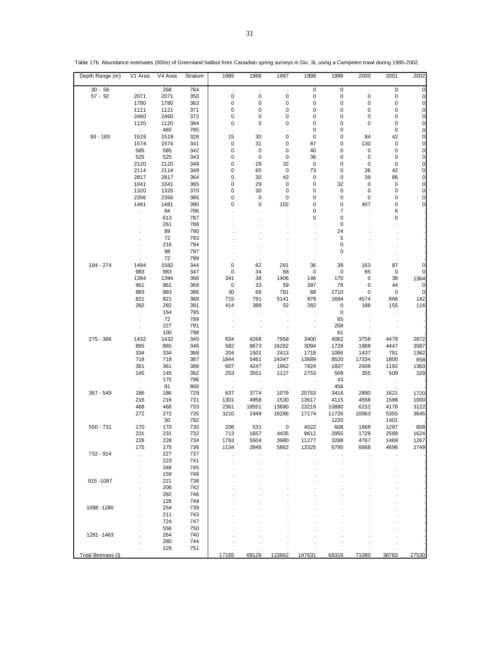| Depth Range (m)   | V1 Area              | V4 Area | Stratum | 1995          | 1996        | 1997           | 1998        | 1999        | 2000                 | 2001      | 2002        |
|-------------------|----------------------|---------|---------|---------------|-------------|----------------|-------------|-------------|----------------------|-----------|-------------|
| $30 - 56$         | $\mathcal{L}$        | 268     | 784     | $\cdot$       | $\epsilon$  | ÷.             | $\mathbf 0$ | $\mathbf 0$ | $\ddot{\phantom{a}}$ | $\pmb{0}$ | $\pmb{0}$   |
| $57 - 92$         | 2071                 | 2071    | 350     | 0             | 0           | 0              | $\pmb{0}$   | $\pmb{0}$   | 0                    | 0         | $\mathbf 0$ |
|                   | 1780                 | 1780    | 363     | $\mathbf 0$   | 0           | 0              | 0           | $\pmb{0}$   | 0                    | 0         | $\pmb{0}$   |
|                   | 1121                 | 1121    | 371     | 0             | 0           | 0              | 0           | 0           | 0                    | 0         | $\pmb{0}$   |
|                   | 2460                 | 2460    | 372     | 0             | 0           | 0              | 0           | 0           | 0                    | 0         | $\pmb{0}$   |
|                   | 1120                 | 1120    | 384     | 0             | 0           | 0              | 0           | 0           | 0                    | 0         | $\pmb{0}$   |
|                   | $\sim$               | 465     | 785     | $\mathcal{A}$ |             |                | $\mathbf 0$ | 0           |                      | 0         | $\pmb{0}$   |
| $93 - 183$        | 1519                 | 1519    | 328     | 15            | 30          | 0              | 0           | 0           | 84                   | 42        | $\mathbf 0$ |
|                   | 1574                 | 1574    | 341     | $\mathbf 0$   | 31          | 0              | 87          | 0           | 130                  | 0         | $\pmb{0}$   |
|                   | 585                  | 585     | 342     | $\mathbf 0$   | 0           | 0              | 40          | 0           | 0                    | 0         | $\pmb{0}$   |
|                   | 525                  | 525     | 343     | 0             | $\mathbf 0$ | 0              | 36          | 0           | 0                    | 0         | $\pmb{0}$   |
|                   | 2120                 | 2120    | 348     | 0             |             | 32             |             |             |                      |           | $\pmb{0}$   |
|                   |                      |         |         |               | 29          |                | 0           | 0           | 0                    | 0         |             |
|                   | 2114                 | 2114    | 349     | 0             | 65          | 0              | 73          | 0           | 36                   | 42        | $\pmb{0}$   |
|                   | 2817                 | 2817    | 364     | 0             | 30          | 43             | 0           | 0           | 39                   | 86        | $\pmb{0}$   |
|                   | 1041                 | 1041    | 365     | 0             | 29          | 0              | $\mathbf 0$ | 32          | 0                    | 0         | $\pmb{0}$   |
|                   | 1320                 | 1320    | 370     | 0             | 30          | 0              | 0           | 0           | 0                    | 0         | $\pmb{0}$   |
|                   | 2356                 | 2356    | 385     | 0             | 0           | $\mathbf 0$    | 0           | $\mathbf 0$ | 0                    | 0         | $\pmb{0}$   |
|                   | 1481                 | 1481    | 390     | 0             | 0           | 102            | 0           | 0           | 407                  | 0         | 0           |
|                   | $\ddot{\phantom{0}}$ | 84      | 786     |               |             |                | 0           | 7           |                      | 6         |             |
|                   |                      | 613     | 787     |               |             |                | 0           | 0           |                      | 0         |             |
|                   |                      | 261     | 788     |               |             |                |             | 0           |                      |           |             |
|                   |                      | 89      | 790     |               |             |                |             | 24          |                      |           |             |
|                   |                      | 72      | 793     |               |             |                |             | 5           |                      |           |             |
|                   |                      | 216     | 794     |               |             |                |             | 0           |                      |           |             |
|                   |                      | 98      | 797     |               |             |                |             | 0           |                      |           |             |
|                   |                      | 72      | 799     |               |             |                |             |             |                      |           |             |
|                   | 1494                 | 1582    | 344     | 0             | $\cdot$     |                |             |             |                      |           |             |
| 184 - 274         |                      |         |         |               | 62          | 261            | 36          | 39          | 163                  | 87        | 0           |
|                   | 983                  | 983     | 347     | $\mathbf 0$   | 34          | 68             | 0           | 0           | 85                   | 0         | 0           |
|                   | 1394                 | 1394    | 366     | 341           | 38          | 1406           | 146         | 170         | 0                    | 38        | 1364        |
|                   | 961                  | 961     | 369     | $\mathbf 0$   | 33          | 59             | 397         | 78          | 0                    | 44        | $\mathbf 0$ |
|                   | 983                  | 983     | 386     | 30            | 68          | 781            | 68          | 2710        | 0                    | 0         | $\mathbf 0$ |
|                   | 821                  | 821     | 389     | 715           | 791         | 5141           | 979         | 1694        | 4574                 | 866       | 142         |
|                   | 282                  | 282     | 391     | 414           | 388         | 52             | 282         | $\mathbf 0$ | 188                  | 155       | 116         |
|                   | ÷.                   | 164     | 795     |               |             |                |             | 0           |                      |           |             |
|                   |                      | 72      | 789     |               |             |                |             | 65          |                      |           |             |
|                   |                      | 227     | 791     |               |             |                |             | 208         |                      |           |             |
|                   |                      | 100     | 798     |               |             |                |             | 61          |                      |           |             |
| 275 - 366         | 1432                 | 1432    | 345     | 834           | 4268        | 7958           | 3400        | 4062        | 3758                 | 4478      | 2872        |
|                   | 865                  | 865     | 346     | 582           | 8673        | 16262          | 3094        | 1728        | 1988                 | 4447      | 3587        |
|                   | 334                  | 334     | 368     | 204           | 1501        | 2413           | 1718        | 1066        | 1437                 | 791       | 1362        |
|                   | 718                  | 718     | 387     | 1844          | 5461        | 24347          | 13689       | 8520        | 17334                | 1800      | 658         |
|                   |                      |         |         |               |             |                |             |             |                      |           |             |
|                   | 361                  | 361     | 388     | 607           | 4247        | 1962           | 7824        | 1837        | 2008                 | 1192      | 1363        |
|                   | 145                  | 145     | 392     | 253           | 3551        | 1127           | 2753        | 509         | 355                  | 509       | 329         |
|                   |                      | 175     | 796     |               | $\cdot$     | ÷,             |             | 43          |                      |           |             |
|                   | $\sim$               | 81      | 800     | ٠.            |             | $\blacksquare$ |             | 456         |                      |           |             |
| 367 - 549         | 186                  | 186     | 729     | 637           | 3774        | 1076           | 20763       | 3416        | 2890                 | 1621      | 1720        |
|                   | 216                  | 216     | 731     | 1301          | 4958        | 1530           | 13617       | 4115        | 4558                 | 1598      | 1000        |
|                   | 468                  | 468     | 733     | 2361          | 18551       | 13680          | 23219       | 10880       | 6152                 | 4178      | 3122        |
|                   | 272                  | 272     | 735     | 3210          | 1949        | 18286          | 17174       | 11726       | 10063                | 5355      | 3645        |
|                   |                      | 50      | 792     |               |             | $\blacksquare$ |             | 1220        |                      | 1401      |             |
| 550 - 731         | 170                  | 170     | 730     | 208           | 531         | 0              | 4022        | 608         | 1668                 | 1287      | 608         |
|                   | 231                  | 231     | 732     | 713           | 1657        | 4435           | 9612        | 2955        | 1729                 | 2599      | 1624        |
|                   | 228                  | 228     | 734     | 1763          | 5504        | 3980           | 11277       | 3288        | 4767                 | 1469      | 1267        |
|                   | 175                  | 175     | 736     | 1134          | 2846        | 5862           | 13325       | 6795        | 6668                 | 4696      | 2749        |
| 732 - 914         | Ĭ.                   | 227     | 737     |               |             |                |             |             |                      |           |             |
|                   | ä,                   | 223     | 741     |               |             |                |             |             |                      |           |             |
|                   |                      | 348     | 745     |               |             |                |             |             |                      |           |             |
|                   |                      | 159     | 748     |               |             |                |             |             |                      |           |             |
|                   |                      |         |         |               |             |                |             |             |                      |           |             |
| 915-1097          |                      | 221     | 738     |               |             |                |             |             |                      |           |             |
|                   |                      | 206     | 742     |               |             |                |             |             |                      |           |             |
|                   |                      | 392     | 746     |               |             |                |             |             |                      |           |             |
|                   |                      | 126     | 749     |               |             |                |             |             |                      |           |             |
| 1098 - 1280       |                      | 254     | 739     |               |             |                |             |             |                      |           |             |
|                   |                      | 211     | 743     |               |             |                |             |             |                      |           |             |
|                   |                      | 724     | 747     |               |             |                |             |             |                      |           |             |
|                   |                      | 556     | 750     |               |             |                |             |             |                      |           |             |
| 1281 - 1463       |                      | 264     | 740     |               |             |                |             |             |                      |           |             |
|                   |                      | 280     | 744     |               |             |                |             |             |                      |           |             |
|                   |                      | 229     | 751     |               |             |                |             |             |                      |           |             |
| Total Biomass (t) |                      |         |         | 17165         | 69126       | 110862         | 147631      | 68316       | 71080                | 38783     | 27530       |

Table 17b Abundance estimates (000s) of Greenland halibut from Canadian spring surveys in Div. 3L using a Campelen trawl during 1995-2002.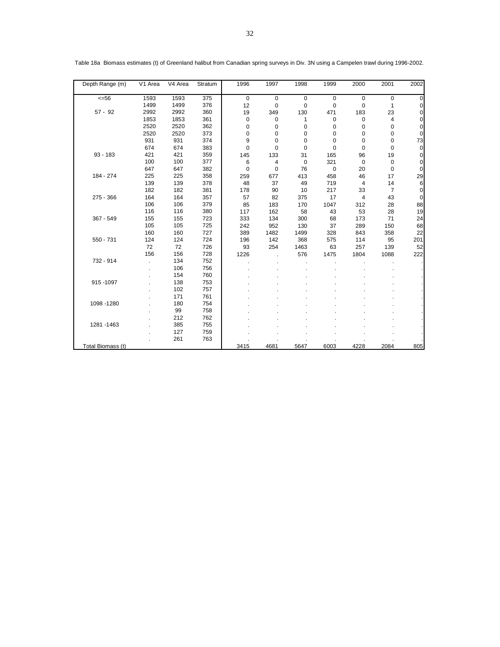| Depth Range (m)   | V1 Area | V4 Area | Stratum | 1996        | 1997        | 1998        | 1999      | 2000        | 2001           | 2002           |
|-------------------|---------|---------|---------|-------------|-------------|-------------|-----------|-------------|----------------|----------------|
| $<=56$            | 1593    | 1593    | 375     | $\mathbf 0$ | $\mathbf 0$ | $\mathbf 0$ | 0         | 0           | $\mathbf 0$    | $\mathbf 0$    |
|                   | 1499    | 1499    | 376     | 12          | $\mathbf 0$ | $\mathbf 0$ | 0         | 0           | 1              | $\pmb{0}$      |
| $57 - 92$         | 2992    | 2992    | 360     | 19          | 349         | 130         | 471       | 183         | 23             | $\mathbf 0$    |
|                   | 1853    | 1853    | 361     | 0           | 0           | 1           | 0         | 0           | 4              | 0              |
|                   | 2520    | 2520    | 362     | 0           | $\mathbf 0$ | 0           | 0         | 0           | 0              | 0              |
|                   | 2520    | 2520    | 373     | 0           | $\mathbf 0$ | 0           | 0         | 0           | 0              | 0              |
|                   | 931     | 931     | 374     | 9           | $\Omega$    | $\Omega$    | 0         | 0           | 0              | 73             |
|                   | 674     | 674     | 383     | 0           | $\mathbf 0$ | 0           | 0         | 0           | 0              | 0              |
| $93 - 183$        | 421     | 421     | 359     | 145         | 133         | 31          | 165       | 96          | 19             | 0              |
|                   | 100     | 100     | 377     | 6           | 4           | $\mathbf 0$ | 321       | $\mathbf 0$ | $\pmb{0}$      | $\mathbf 0$    |
|                   | 647     | 647     | 382     | 0           | 0           | 76          | $\pmb{0}$ | 20          | $\pmb{0}$      | $\mathbf 0$    |
| 184 - 274         | 225     | 225     | 358     | 259         | 677         | 413         | 458       | 46          | 17             | 29             |
|                   | 139     | 139     | 378     | 48          | 37          | 49          | 719       | 4           | 14             | $6\phantom{1}$ |
|                   | 182     | 182     | 381     | 178         | 90          | 10          | 217       | 33          | $\overline{7}$ | $\mathbf 0$    |
| 275 - 366         | 164     | 164     | 357     | 57          | 82          | 375         | 17        | 4           | 43             | $\mathbf 0$    |
|                   | 106     | 106     | 379     | 85          | 183         | 170         | 1047      | 312         | 28             | 88             |
|                   | 116     | 116     | 380     | 117         | 162         | 58          | 43        | 53          | 28             | 19             |
| 367 - 549         | 155     | 155     | 723     | 333         | 134         | 300         | 68        | 173         | 71             | 24             |
|                   | 105     | 105     | 725     | 242         | 952         | 130         | 37        | 289         | 150            | 68             |
|                   | 160     | 160     | 727     | 389         | 1482        | 1499        | 328       | 843         | 358            | 22             |
| 550 - 731         | 124     | 124     | 724     | 196         | 142         | 368         | 575       | 114         | 95             | 201            |
|                   | 72      | 72      | 726     | 93          | 254         | 1463        | 63        | 257         | 139            | 52             |
|                   | 156     | 156     | 728     | 1226        |             | 576         | 1475      | 1804        | 1088           | 222            |
| 732 - 914         |         | 134     | 752     |             |             |             |           |             |                |                |
|                   |         | 106     | 756     |             |             |             |           |             |                |                |
|                   |         | 154     | 760     |             |             |             |           |             |                |                |
| 915 - 1097        |         | 138     | 753     |             |             |             |           |             |                |                |
|                   |         | 102     | 757     |             |             |             |           |             |                |                |
|                   |         | 171     | 761     |             |             |             |           |             |                |                |
| 1098 - 1280       |         | 180     | 754     |             |             |             |           |             |                |                |
|                   |         | 99      | 758     |             |             |             |           |             |                |                |
|                   |         | 212     | 762     |             |             |             |           |             |                |                |
| 1281 - 1463       |         | 385     | 755     |             |             |             |           |             |                |                |
|                   |         | 127     | 759     |             |             |             |           |             |                |                |
|                   |         | 261     | 763     |             |             |             |           |             |                |                |
| Total Biomass (t) |         |         |         | 3415        | 4681        | 5647        | 6003      | 4228        | 2084           | 805            |

Table 18a Biomass estimates (t) of Greenland halibut from Canadian spring surveys in Div. 3N using a Campelen trawl during 1996-2002.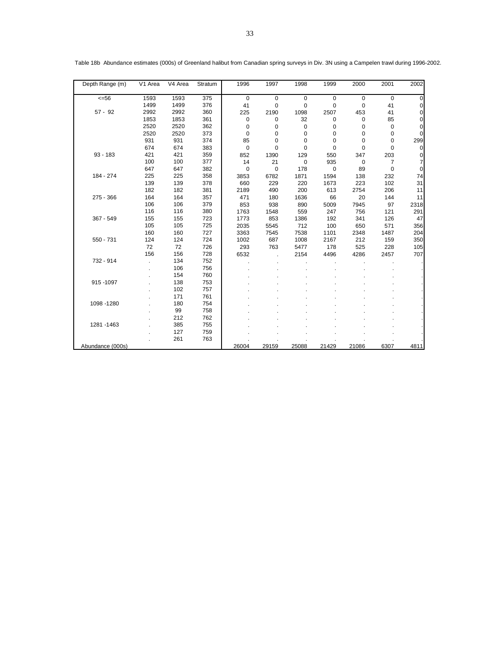| Depth Range (m)  | V1 Area | V4 Area | Stratum | 1996        | 1997  | 1998        | 1999        | 2000  | 2001           | 2002        |
|------------------|---------|---------|---------|-------------|-------|-------------|-------------|-------|----------------|-------------|
| $<=56$           | 1593    | 1593    | 375     | $\mathbf 0$ | 0     | $\mathbf 0$ | $\mathbf 0$ | 0     | $\mathbf 0$    | $\mathbf 0$ |
|                  | 1499    | 1499    | 376     | 41          | 0     | $\mathbf 0$ | 0           | 0     | 41             | 0           |
| $57 - 92$        | 2992    | 2992    | 360     | 225         | 2190  | 1098        | 2507        | 453   | 41             | 0           |
|                  | 1853    | 1853    | 361     | 0           | 0     | 32          | 0           | 0     | 85             | 0           |
|                  | 2520    | 2520    | 362     | 0           | 0     | 0           | 0           | 0     | 0              | 0           |
|                  | 2520    | 2520    | 373     | 0           | 0     | 0           | 0           | 0     | 0              | 0           |
|                  | 931     | 931     | 374     | 85          | 0     | 0           | 0           | 0     | 0              | 299         |
|                  | 674     | 674     | 383     | $\mathbf 0$ | 0     | 0           | $\mathbf 0$ | 0     | 0              | $\mathbf 0$ |
| $93 - 183$       | 421     | 421     | 359     | 852         | 1390  | 129         | 550         | 347   | 203            | 0           |
|                  | 100     | 100     | 377     | 14          | 21    | 0           | 935         | 0     | $\overline{7}$ | 7           |
|                  | 647     | 647     | 382     | 0           | 0     | 178         | 0           | 89    | $\mathbf 0$    | 0           |
| 184 - 274        | 225     | 225     | 358     | 3853        | 6782  | 1871        | 1594        | 138   | 232            | 74          |
|                  | 139     | 139     | 378     | 660         | 229   | 220         | 1673        | 223   | 102            | 31          |
|                  | 182     | 182     | 381     | 2189        | 490   | 200         | 613         | 2754  | 206            | 11          |
| $275 - 366$      | 164     | 164     | 357     | 471         | 180   | 1636        | 66          | 20    | 144            | 11          |
|                  | 106     | 106     | 379     | 853         | 938   | 890         | 5009        | 7945  | 97             | 2318        |
|                  | 116     | 116     | 380     | 1763        | 1548  | 559         | 247         | 756   | 121            | 291         |
| 367 - 549        | 155     | 155     | 723     | 1773        | 853   | 1386        | 192         | 341   | 126            | 47          |
|                  | 105     | 105     | 725     | 2035        | 5545  | 712         | 100         | 650   | 571            | 356         |
|                  | 160     | 160     | 727     | 3363        | 7545  | 7538        | 1101        | 2348  | 1487           | 204         |
| 550 - 731        | 124     | 124     | 724     | 1002        | 687   | 1008        | 2167        | 212   | 159            | 350         |
|                  | 72      | 72      | 726     | 293         | 763   | 5477        | 178         | 525   | 228            | 105         |
|                  | 156     | 156     | 728     | 6532        |       | 2154        | 4496        | 4286  | 2457           | 707         |
| 732 - 914        |         | 134     | 752     |             |       |             |             |       |                |             |
|                  |         | 106     | 756     |             |       |             |             |       |                |             |
|                  |         | 154     | 760     |             |       |             |             |       |                |             |
| 915-1097         |         | 138     | 753     |             |       |             |             |       |                |             |
|                  |         | 102     | 757     |             |       |             |             |       |                |             |
|                  |         | 171     | 761     |             |       |             |             |       |                |             |
| 1098 - 1280      |         | 180     | 754     |             |       |             |             |       |                |             |
|                  |         | 99      | 758     |             |       |             |             |       |                |             |
|                  |         | 212     | 762     |             |       |             |             |       |                |             |
| 1281 - 1463      |         | 385     | 755     |             |       |             |             |       |                |             |
|                  |         | 127     | 759     |             |       |             |             |       |                |             |
|                  |         | 261     | 763     |             |       |             |             |       |                |             |
| Abundance (000s) |         |         |         | 26004       | 29159 | 25088       | 21429       | 21086 | 6307           | 4811        |

Table 18b Abundance estimates (000s) of Greenland halibut from Canadian spring surveys in Div. 3N using a Campelen trawl during 1996-2002.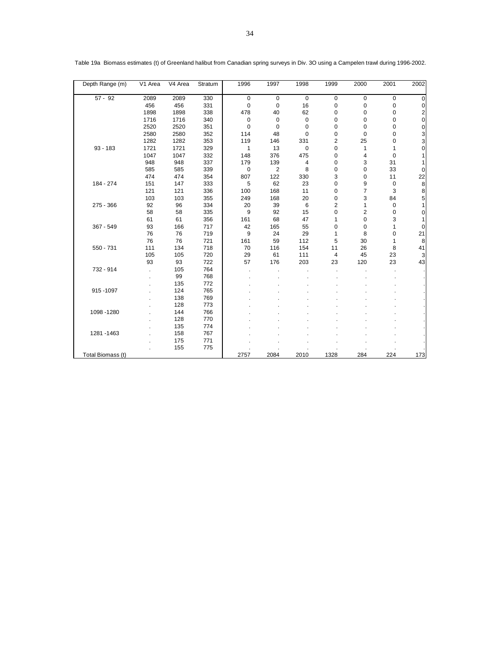| Depth Range (m)   | V1 Area | V4 Area | Stratum | 1996        | 1997           | 1998        | 1999                    | 2000           | 2001 | 2002                    |
|-------------------|---------|---------|---------|-------------|----------------|-------------|-------------------------|----------------|------|-------------------------|
| $57 - 92$         | 2089    | 2089    | 330     | $\mathbf 0$ | $\mathbf 0$    | $\mathbf 0$ | 0                       | $\mathbf 0$    | 0    | $\mathbf 0$             |
|                   | 456     | 456     | 331     | $\mathbf 0$ | 0              | 16          | $\mathbf 0$             | $\mathbf 0$    | 0    | 0                       |
|                   | 1898    | 1898    | 338     | 478         | 40             | 62          | 0                       | 0              | 0    | $\overline{\mathbf{c}}$ |
|                   | 1716    | 1716    | 340     | 0           | $\mathbf 0$    | $\mathbf 0$ | 0                       | 0              | 0    | $\mathbf 0$             |
|                   | 2520    | 2520    | 351     | 0           | 0              | 0           | 0                       | 0              | 0    | $\pmb{0}$               |
|                   | 2580    | 2580    | 352     | 114         | 48             | 0           | 0                       | $\mathbf 0$    | 0    |                         |
|                   | 1282    | 1282    | 353     | 119         | 146            | 331         | 2                       | 25             | 0    | $\frac{3}{3}$           |
| $93 - 183$        | 1721    | 1721    | 329     | 1           | 13             | 0           | 0                       | 1              | 1    | $\mathbf 0$             |
|                   | 1047    | 1047    | 332     | 148         | 376            | 475         | 0                       | 4              | 0    | 1                       |
|                   | 948     | 948     | 337     | 179         | 139            | 4           | $\mathbf 0$             | 3              | 31   | 1                       |
|                   | 585     | 585     | 339     | $\mathbf 0$ | $\overline{2}$ | 8           | $\mathbf 0$             | $\mathbf 0$    | 33   | $\mathbf 0$             |
|                   | 474     | 474     | 354     | 807         | 122            | 330         | 3                       | 0              | 11   | 22                      |
| 184 - 274         | 151     | 147     | 333     | 5           | 62             | 23          | 0                       | 9              | 0    | 8                       |
|                   | 121     | 121     | 336     | 100         | 168            | 11          | 0                       | $\overline{7}$ | 3    | 8                       |
|                   | 103     | 103     | 355     | 249         | 168            | 20          | 0                       | 3              | 84   | 5                       |
| 275 - 366         | 92      | 96      | 334     | 20          | 39             | 6           | $\overline{\mathbf{c}}$ | $\mathbf{1}$   | 0    | 1                       |
|                   | 58      | 58      | 335     | 9           | 92             | 15          | $\overline{0}$          | $\overline{2}$ | 0    | 0                       |
|                   | 61      | 61      | 356     | 161         | 68             | 47          | 1                       | $\mathbf 0$    | 3    | 1                       |
| 367 - 549         | 93      | 166     | 717     | 42          | 165            | 55          | 0                       | 0              | 1    | $\mathbf 0$             |
|                   | 76      | 76      | 719     | 9           | 24             | 29          | 1                       | 8              | 0    | 21                      |
|                   | 76      | 76      | 721     | 161         | 59             | 112         | 5                       | 30             | 1    | 8                       |
| 550 - 731         | 111     | 134     | 718     | 70          | 116            | 154         | 11                      | 26             | 8    | 41                      |
|                   | 105     | 105     | 720     | 29          | 61             | 111         | 4                       | 45             | 23   | 3                       |
|                   | 93      | 93      | 722     | 57          | 176            | 203         | 23                      | 120            | 23   | 43                      |
| 732 - 914         |         | 105     | 764     |             |                |             |                         |                |      |                         |
|                   |         | 99      | 768     |             |                |             |                         |                |      |                         |
|                   |         | 135     | 772     |             |                |             |                         |                |      |                         |
| 915-1097          |         | 124     | 765     |             |                |             |                         |                |      |                         |
|                   |         | 138     | 769     |             |                |             |                         |                |      |                         |
|                   |         | 128     | 773     |             |                |             |                         |                |      |                         |
| 1098 - 1280       |         | 144     | 766     |             |                |             |                         |                |      |                         |
|                   |         | 128     | 770     |             |                |             |                         |                |      |                         |
|                   |         | 135     | 774     |             |                |             |                         |                |      |                         |
| 1281 - 1463       |         | 158     | 767     |             |                |             |                         |                |      |                         |
|                   |         | 175     | 771     |             |                |             |                         |                |      |                         |
|                   |         | 155     | 775     |             |                |             |                         |                |      |                         |
| Total Biomass (t) |         |         |         | 2757        | 2084           | 2010        | 1328                    | 284            | 224  | 173                     |

Table 19a Biomass estimates (t) of Greenland halibut from Canadian spring surveys in Div. 3O using a Campelen trawl during 1996-2002.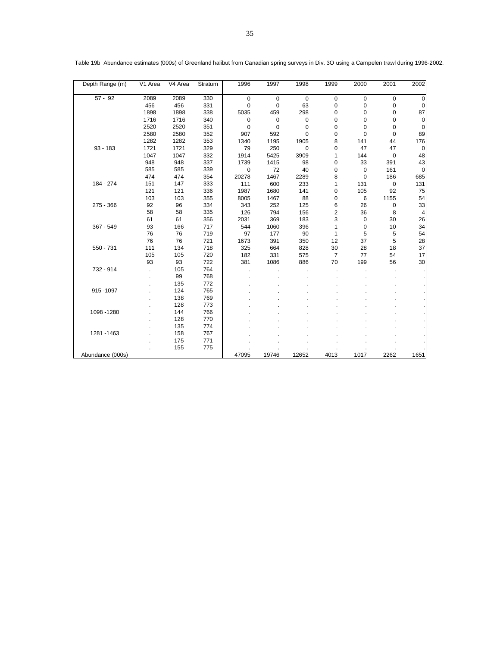| Depth Range (m)  | V1 Area | V4 Area | Stratum | 1996        | 1997        | 1998        | 1999           | 2000        | 2001        | 2002            |
|------------------|---------|---------|---------|-------------|-------------|-------------|----------------|-------------|-------------|-----------------|
| $57 - 92$        | 2089    | 2089    | 330     | $\mathbf 0$ | $\mathbf 0$ | $\mathbf 0$ | $\mathbf 0$    | 0           | $\mathbf 0$ | $\mathbf 0$     |
|                  | 456     | 456     | 331     | 0           | 0           | 63          | 0              | 0           | 0           | 0               |
|                  | 1898    | 1898    | 338     | 5035        | 459         | 298         | 0              | 0           | 0           | 87              |
|                  | 1716    | 1716    | 340     | 0           | 0           | $\mathbf 0$ | 0              | 0           | 0           | $\Omega$        |
|                  | 2520    | 2520    | 351     | $\mathbf 0$ | $\mathbf 0$ | 0           | 0              | 0           | 0           | $\Omega$        |
|                  | 2580    | 2580    | 352     | 907         | 592         | 0           | 0              | 0           | 0           | 89              |
|                  | 1282    | 1282    | 353     | 1340        | 1195        | 1905        | 8              | 141         | 44          | 176             |
| $93 - 183$       | 1721    | 1721    | 329     | 79          | 250         | $\mathbf 0$ | 0              | 47          | 47          | 0               |
|                  | 1047    | 1047    | 332     | 1914        | 5425        | 3909        | 1              | 144         | $\mathbf 0$ | 48              |
|                  | 948     | 948     | 337     | 1739        | 1415        | 98          | 0              | 33          | 391         | 43              |
|                  | 585     | 585     | 339     | 0           | 72          | 40          | 0              | 0           | 161         | $\mathbf 0$     |
|                  | 474     | 474     | 354     | 20278       | 1467        | 2289        | 8              | $\mathbf 0$ | 186         | 685             |
| 184 - 274        | 151     | 147     | 333     | 111         | 600         | 233         | 1              | 131         | $\mathbf 0$ | 131             |
|                  | 121     | 121     | 336     | 1987        | 1680        | 141         | 0              | 105         | 92          | 75              |
|                  | 103     | 103     | 355     | 8005        | 1467        | 88          | 0              | 6           | 1155        | 54              |
| $275 - 366$      | 92      | 96      | 334     | 343         | 252         | 125         | 6              | 26          | 0           | 33              |
|                  | 58      | 58      | 335     | 126         | 794         | 156         | 2              | 36          | 8           | $\vert$         |
|                  | 61      | 61      | 356     | 2031        | 369         | 183         | 3              | 0           | 30          | 26              |
| $367 - 549$      | 93      | 166     | 717     | 544         | 1060        | 396         | 1              | $\mathbf 0$ | 10          | 34              |
|                  | 76      | 76      | 719     | 97          | 177         | 90          | 1              | 5           | 5           | 54              |
|                  | 76      | 76      | 721     | 1673        | 391         | 350         | 12             | 37          | 5           | 28              |
| 550 - 731        | 111     | 134     | 718     | 325         | 664         | 828         | 30             | 28          | 18          | 37              |
|                  | 105     | 105     | 720     | 182         | 331         | 575         | $\overline{7}$ | 77          | 54          | 17              |
|                  | 93      | 93      | 722     | 381         | 1086        | 886         | 70             | 199         | 56          | 30 <sup>2</sup> |
| 732 - 914        |         | 105     | 764     |             |             |             |                |             |             |                 |
|                  |         | 99      | 768     |             |             |             |                |             |             |                 |
|                  |         | 135     | 772     |             |             |             |                |             |             |                 |
| 915-1097         |         | 124     | 765     |             |             |             |                |             |             |                 |
|                  |         | 138     | 769     |             |             |             |                |             |             |                 |
|                  |         | 128     | 773     |             |             |             |                |             |             |                 |
| 1098 - 1280      |         | 144     | 766     |             |             |             |                |             |             |                 |
|                  |         | 128     | 770     |             |             |             |                |             |             |                 |
|                  |         | 135     | 774     |             |             |             |                |             |             |                 |
| 1281 - 1463      |         | 158     | 767     |             |             |             |                |             |             |                 |
|                  |         | 175     | 771     |             |             |             |                |             |             |                 |
|                  |         | 155     | 775     |             |             |             |                |             |             |                 |
| Abundance (000s) |         |         |         | 47095       | 19746       | 12652       | 4013           | 1017        | 2262        | 1651            |

Table 19b Abundance estimates (000s) of Greenland halibut from Canadian spring surveys in Div. 3O using a Campelen trawl during 1996-2002.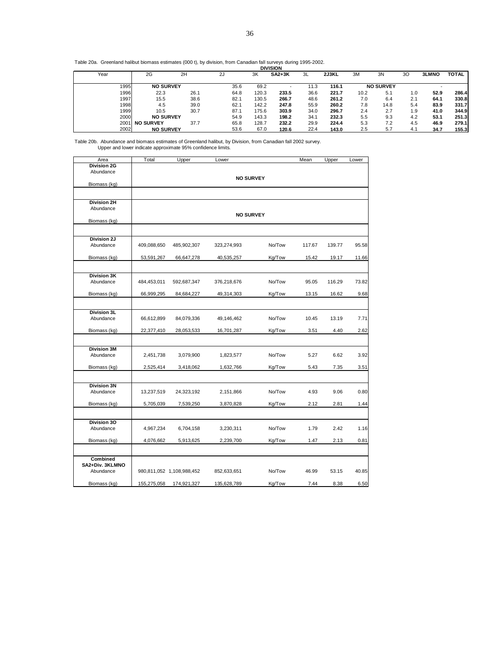| Table 20a. Greenland halibut biomass estimates (000 t), by division, from Canadian fall surveys during 1995-2002. |  |                 |  |
|-------------------------------------------------------------------------------------------------------------------|--|-----------------|--|
|                                                                                                                   |  | <b>DIVISION</b> |  |

|      |                  |      |      |       | יוטוטוע  |      |       |      |                  |     |              |              |
|------|------------------|------|------|-------|----------|------|-------|------|------------------|-----|--------------|--------------|
| Year | 2G               | 2H   | 2J   | 3K    | $SA2+3K$ | 3L   | 2J3KL | 3M   | 3N               | 30  | <b>3LMNO</b> | <b>TOTAL</b> |
|      |                  |      |      |       |          |      |       |      |                  |     |              |              |
| 1995 | <b>NO SURVEY</b> |      | 35.6 | 69.2  |          | 11.3 | 116.1 |      | <b>NO SURVEY</b> |     |              |              |
| 1996 | 22.3             | 26.1 | 64.8 | 120.3 | 233.5    | 36.6 | 221.7 | 10.2 | 5.1              | 1.0 | 52.9         | 286.4        |
| 1997 | 15.5             | 38.6 | 82.1 | 130.5 | 266.7    | 48.6 | 261.2 | 7.0  | 6.4              | 2.1 | 64.1         | 330.8        |
| 1998 | 4.5              | 39.0 | 62.1 | 142.2 | 247.8    | 55.9 | 260.2 | 7.8  | 14.8             | 5.4 | 83.9         | 331.7        |
| 1999 | 10.5             | 30.7 | 87.1 | 175.6 | 303.9    | 34.0 | 296.7 | 2.4  | 2.7              | 1.9 | 41.0         | 344.9        |
| 2000 | <b>NO SURVEY</b> |      | 54.9 | 143.3 | 198.2    | 34.1 | 232.3 | 5.5  | 9.3              | 4.2 | 53.1         | 251.3        |
| 2001 | <b>NO SURVEY</b> | 37.7 | 65.8 | 128.7 | 232.2    | 29.9 | 224.4 | 5.3  | 7.2              | 4.5 | 46.9         | 279.1        |
| 2002 | <b>NO SURVEY</b> |      | 53.6 | 67.0  | 120.6    | 22.4 | 143.0 | 2.5  | 5.7              | 4.1 | 34.7         | 155.3        |
|      |                  |      |      |       |          |      |       |      |                  |     |              |              |

Table 20b. Abundance and biomass estimates of Greenland halibut, by Division, from Canadian fall 2002 survey. Upper and lower indicate approximate 95% confidence limits.

| Area                     | Total       | Upper                     | Lower            |        | Mean   | Upper  | Lower |
|--------------------------|-------------|---------------------------|------------------|--------|--------|--------|-------|
| <b>Division 2G</b>       |             |                           |                  |        |        |        |       |
| Abundance                |             |                           |                  |        |        |        |       |
|                          |             |                           | <b>NO SURVEY</b> |        |        |        |       |
| Biomass (kg)             |             |                           |                  |        |        |        |       |
|                          |             |                           |                  |        |        |        |       |
| <b>Division 2H</b>       |             |                           |                  |        |        |        |       |
| Abundance                |             |                           |                  |        |        |        |       |
|                          |             |                           | <b>NO SURVEY</b> |        |        |        |       |
| Biomass (kg)             |             |                           |                  |        |        |        |       |
|                          |             |                           |                  |        |        |        |       |
| Division 2J              |             |                           |                  |        |        |        |       |
| Abundance                | 409,088,650 | 485,902,307               | 323,274,993      | No/Tow | 117.67 | 139.77 | 95.58 |
|                          |             |                           |                  |        |        |        |       |
| Biomass (kg)             | 53,591,267  | 66,647,278                | 40,535,257       | Kg/Tow | 15.42  | 19.17  | 11.66 |
|                          |             |                           |                  |        |        |        |       |
| Division 3K              |             |                           |                  |        |        |        |       |
| Abundance                | 484,453,011 | 592,687,347               | 376,218,676      | No/Tow | 95.05  | 116.29 | 73.82 |
|                          |             |                           |                  |        |        |        |       |
| Biomass (kg)             | 66,999,295  | 84,684,227                | 49,314,303       | Kg/Tow | 13.15  | 16.62  | 9.68  |
|                          |             |                           |                  |        |        |        |       |
| Division 3L              |             |                           |                  |        |        |        |       |
| Abundance                | 66,612,899  | 84,079,336                | 49,146,462       | No/Tow | 10.45  | 13.19  | 7.71  |
|                          |             |                           |                  | Kg/Tow |        | 4.40   | 2.62  |
| Biomass (kg)             | 22,377,410  | 28,053,533                | 16,701,287       |        | 3.51   |        |       |
|                          |             |                           |                  |        |        |        |       |
| <b>Division 3M</b>       |             |                           |                  |        |        |        |       |
| Abundance                | 2,451,738   | 3,079,900                 | 1,823,577        | No/Tow | 5.27   | 6.62   | 3.92  |
| Biomass (kg)             | 2,525,414   | 3,418,062                 | 1,632,766        | Kg/Tow | 5.43   | 7.35   | 3.51  |
|                          |             |                           |                  |        |        |        |       |
|                          |             |                           |                  |        |        |        |       |
| <b>Division 3N</b>       |             |                           |                  |        |        |        |       |
| Abundance                | 13,237,519  | 24,323,192                | 2,151,866        | No/Tow | 4.93   | 9.06   | 0.80  |
| Biomass (kg)             | 5,705,039   | 7,539,250                 | 3,870,828        | Kg/Tow | 2.12   | 2.81   | 1.44  |
|                          |             |                           |                  |        |        |        |       |
|                          |             |                           |                  |        |        |        |       |
| Division 30<br>Abundance | 4,967,234   | 6,704,158                 | 3,230,311        | No/Tow | 1.79   | 2.42   | 1.16  |
|                          |             |                           |                  |        |        |        |       |
| Biomass (kg)             | 4,076,662   | 5,913,625                 | 2,239,700        | Kg/Tow | 1.47   | 2.13   | 0.81  |
|                          |             |                           |                  |        |        |        |       |
| Combined                 |             |                           |                  |        |        |        |       |
| SA2+Div. 3KLMNO          |             |                           |                  |        |        |        |       |
| Abundance                |             | 980,811,052 1,108,988,452 | 852,633,651      | No/Tow | 46.99  | 53.15  | 40.85 |
|                          |             |                           |                  |        |        |        |       |
| Biomass (kg)             | 155,275,058 | 174,921,327               | 135,628,789      | Kg/Tow | 7.44   | 8.38   | 6.50  |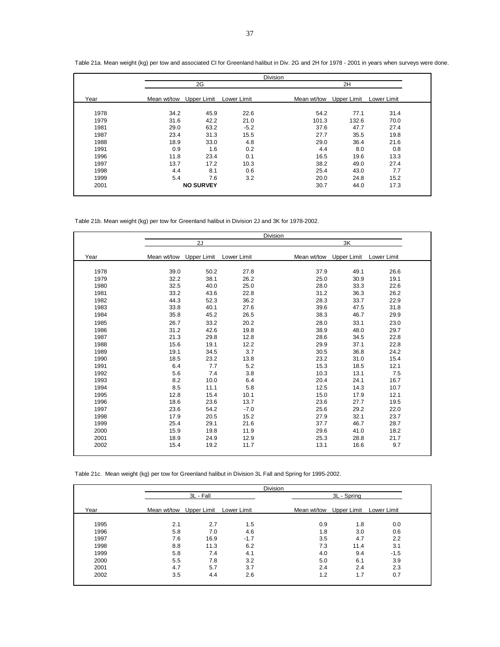|      |             |                  |             | <b>Division</b> |             |             |  |
|------|-------------|------------------|-------------|-----------------|-------------|-------------|--|
|      |             | 2G               |             |                 | 2H          |             |  |
| Year | Mean wt/tow | Upper Limit      | Lower Limit | Mean wt/tow     | Upper Limit | Lower Limit |  |
| 1978 | 34.2        | 45.9             | 22.6        | 54.2            | 77.1        | 31.4        |  |
| 1979 | 31.6        | 42.2             | 21.0        | 101.3           | 132.6       | 70.0        |  |
| 1981 | 29.0        | 63.2             | $-5.2$      | 37.6            | 47.7        | 27.4        |  |
| 1987 | 23.4        | 31.3             | 15.5        | 27.7            | 35.5        | 19.8        |  |
| 1988 | 18.9        | 33.0             | 4.8         | 29.0            | 36.4        | 21.6        |  |
| 1991 | 0.9         | 1.6              | 0.2         | 4.4             | 8.0         | 0.8         |  |
| 1996 | 11.8        | 23.4             | 0.1         | 16.5            | 19.6        | 13.3        |  |
| 1997 | 13.7        | 17.2             | 10.3        | 38.2            | 49.0        | 27.4        |  |
| 1998 | 4.4         | 8.1              | 0.6         | 25.4            | 43.0        | 7.7         |  |
| 1999 | 5.4         | 7.6              | 3.2         | 20.0            | 24.8        | 15.2        |  |
| 2001 |             | <b>NO SURVEY</b> |             | 30.7            | 44.0        | 17.3        |  |

Table 21a. Mean weight (kg) per tow and associated CI for Greenland halibut in Div. 2G and 2H for 1978 - 2001 in years when surveys were done.

Table 21b. Mean weight (kg) per tow for Greenland halibut in Division 2J and 3K for 1978-2002.

|      |             |             |             | Division    |      |             |             |  |
|------|-------------|-------------|-------------|-------------|------|-------------|-------------|--|
|      |             | 2J          |             |             |      | 3K          |             |  |
| Year | Mean wt/tow | Upper Limit | Lower Limit | Mean wt/tow |      | Upper Limit | Lower Limit |  |
| 1978 | 39.0        | 50.2        | 27.8        |             | 37.9 | 49.1        | 26.6        |  |
| 1979 | 32.2        | 38.1        | 26.2        |             | 25.0 | 30.9        | 19.1        |  |
| 1980 | 32.5        | 40.0        | 25.0        |             | 28.0 | 33.3        | 22.6        |  |
| 1981 | 33.2        | 43.6        | 22.8        |             | 31.2 | 36.3        | 26.2        |  |
| 1982 | 44.3        | 52.3        | 36.2        |             | 28.3 | 33.7        | 22.9        |  |
| 1983 | 33.8        | 40.1        | 27.6        |             | 39.6 | 47.5        | 31.8        |  |
| 1984 | 35.8        | 45.2        | 26.5        |             | 38.3 | 46.7        | 29.9        |  |
| 1985 | 26.7        | 33.2        | 20.2        |             | 28.0 | 33.1        | 23.0        |  |
| 1986 | 31.2        | 42.6        | 19.8        |             | 38.9 | 48.0        | 29.7        |  |
| 1987 | 21.3        | 29.8        | 12.8        |             | 28.6 | 34.5        | 22.8        |  |
| 1988 | 15.6        | 19.1        | 12.2        |             | 29.9 | 37.1        | 22.8        |  |
| 1989 | 19.1        | 34.5        | 3.7         |             | 30.5 | 36.8        | 24.2        |  |
| 1990 | 18.5        | 23.2        | 13.8        |             | 23.2 | 31.0        | 15.4        |  |
| 1991 | 6.4         | 7.7         | 5.2         |             | 15.3 | 18.5        | 12.1        |  |
| 1992 | 5.6         | 7.4         | 3.8         |             | 10.3 | 13.1        | 7.5         |  |
| 1993 | 8.2         | 10.0        | 6.4         |             | 20.4 | 24.1        | 16.7        |  |
| 1994 | 8.5         | 11.1        | 5.8         |             | 12.5 | 14.3        | 10.7        |  |
| 1995 | 12.8        | 15.4        | 10.1        |             | 15.0 | 17.9        | 12.1        |  |
| 1996 | 18.6        | 23.6        | 13.7        |             | 23.6 | 27.7        | 19.5        |  |
| 1997 | 23.6        | 54.2        | $-7.0$      |             | 25.6 | 29.2        | 22.0        |  |
| 1998 | 17.9        | 20.5        | 15.2        |             | 27.9 | 32.1        | 23.7        |  |
| 1999 | 25.4        | 29.1        | 21.6        |             | 37.7 | 46.7        | 28.7        |  |
| 2000 | 15.9        | 19.8        | 11.9        |             | 29.6 | 41.0        | 18.2        |  |
| 2001 | 18.9        | 24.9        | 12.9        |             | 25.3 | 28.8        | 21.7        |  |
| 2002 | 15.4        | 19.2        | 11.7        |             | 13.1 | 16.6        | 9.7         |  |
|      |             |             |             |             |      |             |             |  |

Table 21c. Mean weight (kg) per tow for Greenland halibut in Division 3L Fall and Spring for 1995-2002.

|      |                         |           |             | <b>Division</b> |             |             |             |  |
|------|-------------------------|-----------|-------------|-----------------|-------------|-------------|-------------|--|
|      |                         | 3L - Fall |             |                 |             | 3L - Spring |             |  |
| Year | Mean wt/tow Upper Limit |           | Lower Limit |                 | Mean wt/tow | Upper Limit | Lower Limit |  |
|      |                         |           |             |                 |             |             |             |  |
| 1995 | 2.1                     | 2.7       | 1.5         |                 | 0.9         | 1.8         | 0.0         |  |
| 1996 | 5.8                     | 7.0       | 4.6         |                 | 1.8         | 3.0         | 0.6         |  |
| 1997 | 7.6                     | 16.9      | $-1.7$      |                 | 3.5         | 4.7         | 2.2         |  |
| 1998 | 8.8                     | 11.3      | 6.2         |                 | 7.3         | 11.4        | 3.1         |  |
| 1999 | 5.8                     | 7.4       | 4.1         |                 | 4.0         | 9.4         | $-1.5$      |  |
| 2000 | 5.5                     | 7.8       | 3.2         |                 | 5.0         | 6.1         | 3.9         |  |
| 2001 | 4.7                     | 5.7       | 3.7         |                 | 2.4         | 2.4         | 2.3         |  |
| 2002 | 3.5                     | 4.4       | 2.6         |                 | 1.2         | 1.7         | 0.7         |  |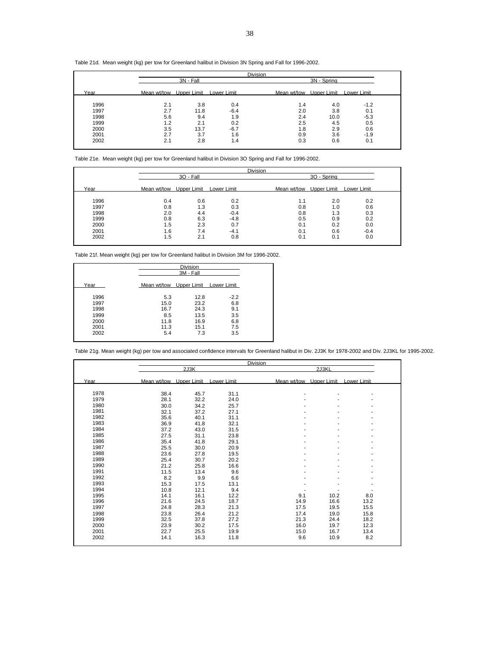#### Table 21d. Mean weight (kg) per tow for Greenland halibut in Division 3N Spring and Fall for 1996-2002.

|      |     |                         |             | <b>Division</b> |                         |             |             |  |
|------|-----|-------------------------|-------------|-----------------|-------------------------|-------------|-------------|--|
|      |     | 3N - Fall               |             |                 |                         | 3N - Spring |             |  |
| Year |     | Mean wt/tow Upper Limit | Lower Limit |                 | Mean wt/tow Upper Limit |             | Lower Limit |  |
| 1996 | 2.1 | 3.8                     | 0.4         |                 | 1.4                     | 4.0         | $-1.2$      |  |
| 1997 | 2.7 | 11.8                    | $-6.4$      |                 | 2.0                     | 3.8         | 0.1         |  |
| 1998 | 5.6 | 9.4                     | 1.9         |                 | 2.4                     | 10.0        | $-5.3$      |  |
| 1999 | 1.2 | 2.1                     | 0.2         |                 | 2.5                     | 4.5         | 0.5         |  |
| 2000 | 3.5 | 13.7                    | $-6.7$      |                 | 1.8                     | 2.9         | 0.6         |  |
| 2001 | 2.7 | 3.7                     | 1.6         |                 | 0.9                     | 3.6         | $-1.9$      |  |
| 2002 | 2.1 | 2.8                     | 1.4         |                 | 0.3                     | 0.6         | 0.1         |  |
|      |     |                         |             |                 |                         |             |             |  |

Table 21e. Mean weight (kg) per tow for Greenland halibut in Division 3O Spring and Fall for 1996-2002.

|      |                         |           |             | <b>Division</b> |                         |             |             |  |
|------|-------------------------|-----------|-------------|-----------------|-------------------------|-------------|-------------|--|
|      |                         | 30 - Fall |             |                 |                         | 30 - Spring |             |  |
| Year | Mean wt/tow Upper Limit |           | Lower Limit |                 | Mean wt/tow Upper Limit |             | Lower Limit |  |
|      |                         |           |             |                 |                         |             |             |  |
| 1996 | 0.4                     | 0.6       | 0.2         |                 | 1.1                     | 2.0         | 0.2         |  |
| 1997 | 0.8                     | 1.3       | 0.3         |                 | 0.8                     | 1.0         | 0.6         |  |
| 1998 | 2.0                     | 4.4       | $-0.4$      |                 | 0.8                     | 1.3         | 0.3         |  |
| 1999 | 0.8                     | 6.3       | $-4.8$      |                 | 0.5                     | 0.9         | 0.2         |  |
| 2000 | 1.5                     | 2.3       | 0.7         |                 | 0.1                     | 0.2         | 0.0         |  |
| 2001 | 1.6                     | 7.4       | $-4.1$      |                 | 0.1                     | 0.6         | $-0.4$      |  |
| 2002 | 1.5                     | 2.1       | 0.8         |                 | 0.1                     | 0.1         | 0.0         |  |

Table 21f. Mean weight (kg) per tow for Greenland halibut in Division 3M for 1996-2002.

|      | <b>Division</b><br>3M - Fall        |      |        |  |  |  |
|------|-------------------------------------|------|--------|--|--|--|
| Year | Mean wt/tow Upper Limit Lower Limit |      |        |  |  |  |
| 1996 | 5.3                                 | 12.8 | $-2.2$ |  |  |  |
| 1997 | 15.0                                | 23.2 | 6.8    |  |  |  |
| 1998 | 16.7                                | 24.3 | 9.1    |  |  |  |
| 1999 | 8.5                                 | 13.5 | 3.5    |  |  |  |
| 2000 | 11.8                                | 16.9 | 6.8    |  |  |  |
| 2001 | 11.3                                | 15.1 | 7.5    |  |  |  |
| 2002 | 5.4                                 | 7.3  | 3.5    |  |  |  |

Table 21g. Mean weight (kg) per tow and associated confidence intervals for Greenland halibut in Div. 2J3K for 1978-2002 and Div. 2J3KL for 1995-2002.

|      |                         |      |             | Division                |       |             |
|------|-------------------------|------|-------------|-------------------------|-------|-------------|
|      |                         | 2J3K |             |                         | 2J3KL |             |
| Year | Mean wt/tow Upper Limit |      | Lower Limit | Mean wt/tow Upper Limit |       | Lower Limit |
| 1978 | 38.4                    | 45.7 | 31.1        |                         |       |             |
| 1979 | 28.1                    | 32.2 | 24.0        |                         |       |             |
| 1980 | 30.0                    | 34.2 | 25.7        |                         |       |             |
| 1981 | 32.1                    | 37.2 | 27.1        |                         |       |             |
| 1982 | 35.6                    | 40.1 | 31.1        |                         |       |             |
| 1983 | 36.9                    | 41.8 | 32.1        |                         |       |             |
| 1984 | 37.2                    | 43.0 | 31.5        |                         |       |             |
| 1985 | 27.5                    | 31.1 | 23.8        |                         |       |             |
| 1986 | 35.4                    | 41.8 | 29.1        |                         |       |             |
| 1987 | 25.5                    | 30.0 | 20.9        |                         |       |             |
| 1988 | 23.6                    | 27.8 | 19.5        |                         |       |             |
| 1989 | 25.4                    | 30.7 | 20.2        |                         |       |             |
| 1990 | 21.2                    | 25.8 | 16.6        |                         |       |             |
| 1991 | 11.5                    | 13.4 | 9.6         |                         |       |             |
| 1992 | 8.2                     | 9.9  | 6.6         |                         |       |             |
| 1993 | 15.3                    | 17.5 | 13.1        |                         |       |             |
| 1994 | 10.8                    | 12.1 | 9.4         |                         |       |             |
| 1995 | 14.1                    | 16.1 | 12.2        | 9.1                     | 10.2  | 8.0         |
| 1996 | 21.6                    | 24.5 | 18.7        | 14.9                    | 16.6  | 13.2        |
| 1997 | 24.8                    | 28.3 | 21.3        | 17.5                    | 19.5  | 15.5        |
| 1998 | 23.8                    | 26.4 | 21.2        | 17.4                    | 19.0  | 15.8        |
| 1999 | 32.5                    | 37.8 | 27.2        | 21.3                    | 24.4  | 18.2        |
| 2000 | 23.9                    | 30.2 | 17.5        | 16.0                    | 19.7  | 12.3        |
| 2001 | 22.7                    | 25.5 | 19.9        | 15.0                    | 16.7  | 13.4        |
| 2002 | 14.1                    | 16.3 | 11.8        | 9.6                     | 10.9  | 8.2         |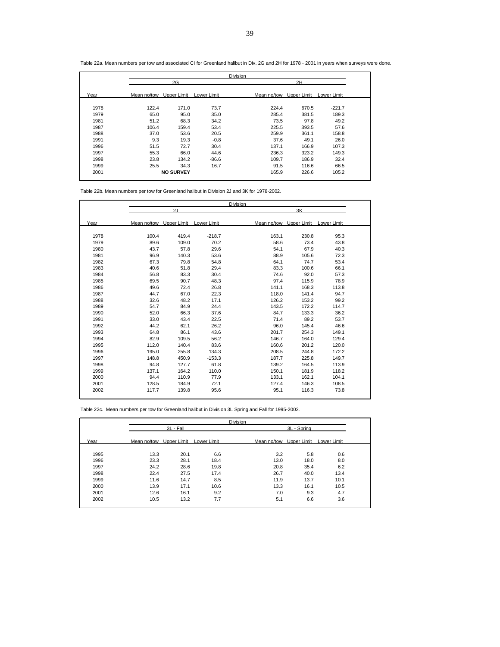|      |             |                  |             | <b>Division</b> |             |             |
|------|-------------|------------------|-------------|-----------------|-------------|-------------|
|      |             | 2G               |             |                 | 2H          |             |
| Year | Mean no/tow | Upper Limit      | Lower Limit | Mean no/tow     | Upper Limit | Lower Limit |
| 1978 | 122.4       | 171.0            | 73.7        | 224.4           | 670.5       | $-221.7$    |
| 1979 | 65.0        | 95.0             | 35.0        | 285.4           | 381.5       | 189.3       |
| 1981 | 51.2        | 68.3             | 34.2        | 73.5            | 97.8        | 49.2        |
| 1987 | 106.4       | 159.4            | 53.4        | 225.5           | 393.5       | 57.6        |
| 1988 | 37.0        | 53.6             | 20.5        | 259.9           | 361.1       | 158.8       |
| 1991 | 9.3         | 19.3             | $-0.8$      | 37.6            | 49.1        | 26.0        |
| 1996 | 51.5        | 72.7             | 30.4        | 137.1           | 166.9       | 107.3       |
| 1997 | 55.3        | 66.0             | 44.6        | 236.3           | 323.2       | 149.3       |
| 1998 | 23.8        | 134.2            | $-86.6$     | 109.7           | 186.9       | 32.4        |
| 1999 | 25.5        | 34.3             | 16.7        | 91.5            | 116.6       | 66.5        |
| 2001 |             | <b>NO SURVEY</b> |             | 165.9           | 226.6       | 105.2       |

Table 22a. Mean numbers per tow and associated CI for Greenland halibut in Div. 2G and 2H for 1978 - 2001 in years when surveys were done.

Table 22b. Mean numbers per tow for Greenland halibut in Division 2J and 3K for 1978-2002.

|      |                         |       |             | Division |                         |                    |  |
|------|-------------------------|-------|-------------|----------|-------------------------|--------------------|--|
|      |                         | 2J    |             |          | 3K                      |                    |  |
| Year | Mean no/tow Upper Limit |       | Lower Limit |          | Mean no/tow Upper Limit | <b>Lower Limit</b> |  |
| 1978 | 100.4                   | 419.4 | $-218.7$    | 163.1    | 230.8                   | 95.3               |  |
| 1979 | 89.6                    | 109.0 | 70.2        | 58.6     | 73.4                    | 43.8               |  |
| 1980 | 43.7                    | 57.8  | 29.6        | 54.1     | 67.9                    | 40.3               |  |
| 1981 | 96.9                    | 140.3 | 53.6        | 88.9     | 105.6                   | 72.3               |  |
| 1982 | 67.3                    | 79.8  | 54.8        | 64.1     | 74.7                    | 53.4               |  |
| 1983 | 40.6                    | 51.8  | 29.4        | 83.3     | 100.6                   | 66.1               |  |
| 1984 | 56.8                    | 83.3  | 30.4        | 74.6     | 92.0                    | 57.3               |  |
| 1985 | 69.5                    | 90.7  | 48.3        | 97.4     | 115.9                   | 78.9               |  |
| 1986 | 49.6                    | 72.4  | 26.8        | 141.1    | 168.3                   | 113.8              |  |
| 1987 | 44.7                    | 67.0  | 22.3        | 118.0    | 141.4                   | 94.7               |  |
| 1988 | 32.6                    | 48.2  | 17.1        | 126.2    | 153.2                   | 99.2               |  |
| 1989 | 54.7                    | 84.9  | 24.4        | 143.5    | 172.2                   | 114.7              |  |
| 1990 | 52.0                    | 66.3  | 37.6        | 84.7     | 133.3                   | 36.2               |  |
| 1991 | 33.0                    | 43.4  | 22.5        | 71.4     | 89.2                    | 53.7               |  |
| 1992 | 44.2                    | 62.1  | 26.2        | 96.0     | 145.4                   | 46.6               |  |
| 1993 | 64.8                    | 86.1  | 43.6        | 201.7    | 254.3                   | 149.1              |  |
| 1994 | 82.9                    | 109.5 | 56.2        | 146.7    | 164.0                   | 129.4              |  |
| 1995 | 112.0                   | 140.4 | 83.6        | 160.6    | 201.2                   | 120.0              |  |
| 1996 | 195.0                   | 255.8 | 134.3       | 208.5    | 244.8                   | 172.2              |  |
| 1997 | 148.8                   | 450.9 | $-153.3$    | 187.7    | 225.8                   | 149.7              |  |
| 1998 | 94.8                    | 127.7 | 61.8        | 139.2    | 164.5                   | 113.9              |  |
| 1999 | 137.1                   | 164.2 | 110.0       | 150.1    | 181.9                   | 118.2              |  |
| 2000 | 94.4                    | 110.9 | 77.9        | 133.1    | 162.1                   | 104.1              |  |
| 2001 | 128.5                   | 184.9 | 72.1        | 127.4    | 146.3                   | 108.5              |  |
| 2002 | 117.7                   | 139.8 | 95.6        | 95.1     | 116.3                   | 73.8               |  |

Table 22c. Mean numbers per tow for Greenland halibut in Division 3L Spring and Fall for 1995-2002.

|      |             |             |             | Division    |             |             |  |
|------|-------------|-------------|-------------|-------------|-------------|-------------|--|
|      |             | 3L - Fall   |             |             | 3L - Spring |             |  |
| Year | Mean no/tow | Upper Limit | Lower Limit | Mean no/tow | Upper Limit | Lower Limit |  |
| 1995 | 13.3        | 20.1        | 6.6         | 3.2         | 5.8         | 0.6         |  |
| 1996 | 23.3        | 28.1        | 18.4        | 13.0        | 18.0        | 8.0         |  |
| 1997 | 24.2        | 28.6        | 19.8        | 20.8        | 35.4        | 6.2         |  |
| 1998 | 22.4        | 27.5        | 17.4        | 26.7        | 40.0        | 13.4        |  |
| 1999 | 11.6        | 14.7        | 8.5         | 11.9        | 13.7        | 10.1        |  |
| 2000 | 13.9        | 17.1        | 10.6        | 13.3        | 16.1        | 10.5        |  |
| 2001 | 12.6        | 16.1        | 9.2         | 7.0         | 9.3         | 4.7         |  |
| 2002 | 10.5        | 13.2        | 7.7         | 5.1         | 6.6         | 3.6         |  |
|      |             |             |             |             |             |             |  |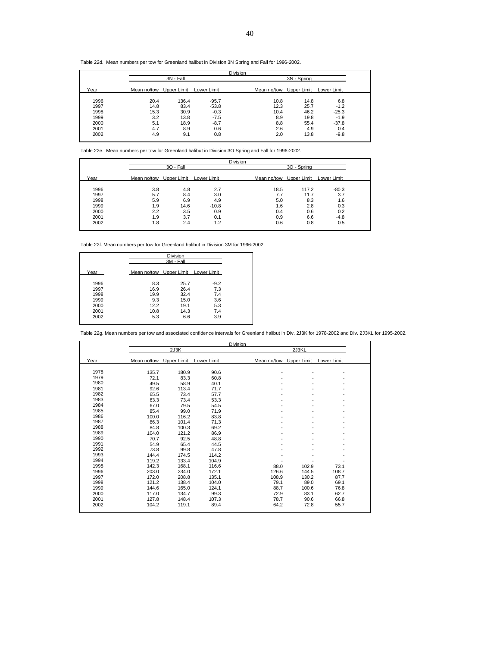Table 22d. Mean numbers per tow for Greenland halibut in Division 3N Spring and Fall for 1996-2002.

|             |             |             | Division |             |                                                                         |     |
|-------------|-------------|-------------|----------|-------------|-------------------------------------------------------------------------|-----|
|             | 3N - Fall   |             |          | 3N - Spring |                                                                         |     |
| Mean no/tow | Upper Limit | Lower Limit |          | Upper Limit | Lower Limit                                                             |     |
|             |             |             |          |             |                                                                         |     |
| 14.8        | 83.4        | $-53.8$     |          | 25.7        | $-1.2$                                                                  |     |
| 15.3        | 30.9        | $-0.3$      |          | 46.2        | $-25.3$                                                                 |     |
| 3.2         | 13.8        | $-7.5$      |          | 19.8        | $-1.9$                                                                  |     |
| 5.1         | 18.9        | $-8.7$      |          | 55.4        | $-37.8$                                                                 |     |
| 4.7         | 8.9         | 0.6         |          | 4.9         | 0.4                                                                     |     |
| 4.9         | 9.1         | 0.8         |          | 13.8        | $-9.8$                                                                  |     |
|             | 20.4        | 136.4       | $-95.7$  |             | Mean no/tow<br>14.8<br>10.8<br>12.3<br>10.4<br>8.9<br>8.8<br>2.6<br>2.0 | 6.8 |

Table 22e. Mean numbers per tow for Greenland halibut in Division 3O Spring and Fall for 1996-2002.

|      |             |             |             | <b>Division</b> |                         |             |
|------|-------------|-------------|-------------|-----------------|-------------------------|-------------|
|      |             | 30 - Fall   |             |                 | 3O - Spring             |             |
| Year | Mean no/tow | Upper Limit | Lower Limit |                 | Mean no/tow Upper Limit | Lower Limit |
| 1996 | 3.8         | 4.8         | 2.7         | 18.5            | 117.2                   | $-80.3$     |
| 1997 | 5.7         | 8.4         | 3.0         | 7.7             | 11.7                    | 3.7         |
| 1998 | 5.9         | 6.9         | 4.9         | 5.0             | 8.3                     | 1.6         |
| 1999 | 1.9         | 14.6        | $-10.8$     | 1.6             | 2.8                     | 0.3         |
| 2000 | 2.2         | 3.5         | 0.9         | 0.4             | 0.6                     | 0.2         |
| 2001 | 1.9         | 3.7         | 0.1         | 0.9             | 6.6                     | $-4.8$      |
| 2002 | 1.8         | 2.4         | 1.2         | 0.6             | 0.8                     | 0.5         |

Table 22f. Mean numbers per tow for Greenland halibut in Division 3M for 1996-2002.

|      |                                     | Division  |        |
|------|-------------------------------------|-----------|--------|
|      |                                     | 3M - Fall |        |
| Year | Mean no/tow Upper Limit Lower Limit |           |        |
| 1996 | 8.3                                 | 25.7      | $-9.2$ |
| 1997 | 16.9                                | 26.4      | 7.3    |
| 1998 | 19.9                                | 32.4      | 7.4    |
| 1999 | 9.3                                 | 15.0      | 3.6    |
| 2000 | 12.2                                | 19.1      | 5.3    |
| 2001 | 10.8                                | 14.3      | 7.4    |
| 2002 | 5.3                                 | 6.6       | 3.9    |
|      |                                     |           |        |

Table 22g. Mean numbers per tow and associated confidence intervals for Greenland halibut in Div. 2J3K for 1978-2002 and Div. 2J3KL for 1995-2002.

|      |                                     |       |       | <b>Division</b>         |       |             |  |
|------|-------------------------------------|-------|-------|-------------------------|-------|-------------|--|
|      |                                     | 2J3K  |       |                         | 2J3KL |             |  |
| Year | Mean no/tow Upper Limit Lower Limit |       |       | Mean no/tow Upper Limit |       | Lower Limit |  |
| 1978 | 135.7                               | 180.9 | 90.6  |                         |       |             |  |
| 1979 | 72.1                                | 83.3  | 60.8  |                         |       |             |  |
| 1980 | 49.5                                | 58.9  | 40.1  |                         |       |             |  |
| 1981 | 92.6                                | 113.4 | 71.7  |                         |       |             |  |
| 1982 | 65.5                                | 73.4  | 57.7  |                         |       |             |  |
| 1983 | 63.3                                | 73.4  | 53.3  |                         |       |             |  |
| 1984 | 67.0                                | 79.5  | 54.5  |                         |       |             |  |
| 1985 | 85.4                                | 99.0  | 71.9  |                         | ٠     |             |  |
| 1986 | 100.0                               | 116.2 | 83.8  |                         |       |             |  |
| 1987 | 86.3                                | 101.4 | 71.3  |                         |       |             |  |
| 1988 | 84.8                                | 100.3 | 69.2  |                         |       |             |  |
| 1989 | 104.0                               | 121.2 | 86.9  |                         |       |             |  |
| 1990 | 70.7                                | 92.5  | 48.8  |                         |       |             |  |
| 1991 | 54.9                                | 65.4  | 44.5  |                         |       |             |  |
| 1992 | 73.8                                | 99.8  | 47.8  |                         |       |             |  |
| 1993 | 144.4                               | 174.5 | 114.2 |                         |       |             |  |
| 1994 | 119.2                               | 133.4 | 104.9 |                         |       |             |  |
| 1995 | 142.3                               | 168.1 | 116.6 | 88.0                    | 102.9 | 73.1        |  |
| 1996 | 203.0                               | 234.0 | 172.1 | 126.6                   | 144.5 | 108.7       |  |
| 1997 | 172.0                               | 208.8 | 135.1 | 108.9                   | 130.2 | 87.7        |  |
| 1998 | 121.2                               | 138.4 | 104.0 | 79.1                    | 89.0  | 69.1        |  |
| 1999 | 144.6                               | 165.0 | 124.1 | 88.7                    | 100.6 | 76.8        |  |
| 2000 | 117.0                               | 134.7 | 99.3  | 72.9                    | 83.1  | 62.7        |  |
| 2001 | 127.8                               | 148.4 | 107.3 | 78.7                    | 90.6  | 66.8        |  |
| 2002 | 104.2                               | 119.1 | 89.4  | 64.2                    | 72.8  | 55.7        |  |
|      |                                     |       |       |                         |       |             |  |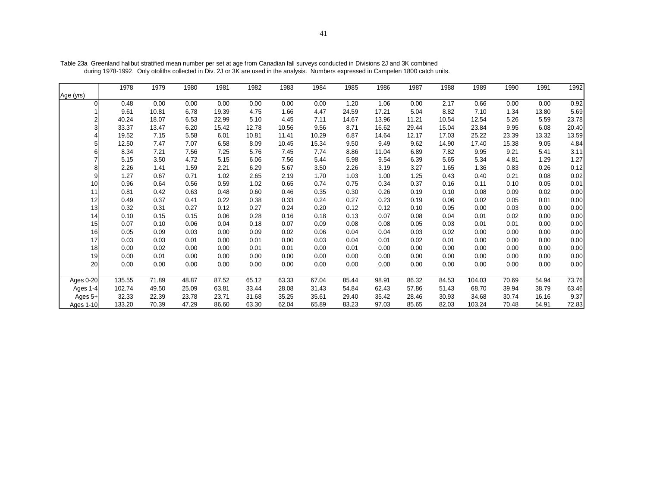|           | 1978   | 1979  | 1980  | 1981  | 1982  | 1983  | 1984  | 1985  | 1986  | 1987  | 1988  | 1989   | 1990  | 1991  | 1992  |
|-----------|--------|-------|-------|-------|-------|-------|-------|-------|-------|-------|-------|--------|-------|-------|-------|
| Age (yrs) |        |       |       |       |       |       |       |       |       |       |       |        |       |       |       |
|           | 0.48   | 0.00  | 0.00  | 0.00  | 0.00  | 0.00  | 0.00  | 1.20  | 1.06  | 0.00  | 2.17  | 0.66   | 0.00  | 0.00  | 0.92  |
|           | 9.61   | 10.81 | 6.78  | 19.39 | 4.75  | 1.66  | 4.47  | 24.59 | 17.21 | 5.04  | 8.82  | 7.10   | 1.34  | 13.80 | 5.69  |
|           | 40.24  | 18.07 | 6.53  | 22.99 | 5.10  | 4.45  | 7.11  | 14.67 | 13.96 | 11.21 | 10.54 | 12.54  | 5.26  | 5.59  | 23.78 |
|           | 33.37  | 13.47 | 6.20  | 15.42 | 12.78 | 10.56 | 9.56  | 8.71  | 16.62 | 29.44 | 15.04 | 23.84  | 9.95  | 6.08  | 20.40 |
|           | 19.52  | 7.15  | 5.58  | 6.01  | 10.81 | 11.41 | 10.29 | 6.87  | 14.64 | 12.17 | 17.03 | 25.22  | 23.39 | 13.32 | 13.59 |
|           | 12.50  | 7.47  | 7.07  | 6.58  | 8.09  | 10.45 | 15.34 | 9.50  | 9.49  | 9.62  | 14.90 | 17.40  | 15.38 | 9.05  | 4.84  |
|           | 8.34   | 7.21  | 7.56  | 7.25  | 5.76  | 7.45  | 7.74  | 8.86  | 11.04 | 6.89  | 7.82  | 9.95   | 9.21  | 5.41  | 3.11  |
|           | 5.15   | 3.50  | 4.72  | 5.15  | 6.06  | 7.56  | 5.44  | 5.98  | 9.54  | 6.39  | 5.65  | 5.34   | 4.81  | 1.29  | 1.27  |
|           | 2.26   | 1.41  | 1.59  | 2.21  | 6.29  | 5.67  | 3.50  | 2.26  | 3.19  | 3.27  | 1.65  | 1.36   | 0.83  | 0.26  | 0.12  |
| 9         | 1.27   | 0.67  | 0.71  | 1.02  | 2.65  | 2.19  | 1.70  | 1.03  | 1.00  | 1.25  | 0.43  | 0.40   | 0.21  | 0.08  | 0.02  |
| 10        | 0.96   | 0.64  | 0.56  | 0.59  | 1.02  | 0.65  | 0.74  | 0.75  | 0.34  | 0.37  | 0.16  | 0.11   | 0.10  | 0.05  | 0.01  |
| 11        | 0.81   | 0.42  | 0.63  | 0.48  | 0.60  | 0.46  | 0.35  | 0.30  | 0.26  | 0.19  | 0.10  | 0.08   | 0.09  | 0.02  | 0.00  |
| 12        | 0.49   | 0.37  | 0.41  | 0.22  | 0.38  | 0.33  | 0.24  | 0.27  | 0.23  | 0.19  | 0.06  | 0.02   | 0.05  | 0.01  | 0.00  |
| 13        | 0.32   | 0.31  | 0.27  | 0.12  | 0.27  | 0.24  | 0.20  | 0.12  | 0.12  | 0.10  | 0.05  | 0.00   | 0.03  | 0.00  | 0.00  |
| 14        | 0.10   | 0.15  | 0.15  | 0.06  | 0.28  | 0.16  | 0.18  | 0.13  | 0.07  | 0.08  | 0.04  | 0.01   | 0.02  | 0.00  | 0.00  |
| 15        | 0.07   | 0.10  | 0.06  | 0.04  | 0.18  | 0.07  | 0.09  | 0.08  | 0.08  | 0.05  | 0.03  | 0.01   | 0.01  | 0.00  | 0.00  |
| 16        | 0.05   | 0.09  | 0.03  | 0.00  | 0.09  | 0.02  | 0.06  | 0.04  | 0.04  | 0.03  | 0.02  | 0.00   | 0.00  | 0.00  | 0.00  |
| 17        | 0.03   | 0.03  | 0.01  | 0.00  | 0.01  | 0.00  | 0.03  | 0.04  | 0.01  | 0.02  | 0.01  | 0.00   | 0.00  | 0.00  | 0.00  |
| 18        | 0.00   | 0.02  | 0.00  | 0.00  | 0.01  | 0.01  | 0.00  | 0.01  | 0.00  | 0.00  | 0.00  | 0.00   | 0.00  | 0.00  | 0.00  |
| 19        | 0.00   | 0.01  | 0.00  | 0.00  | 0.00  | 0.00  | 0.00  | 0.00  | 0.00  | 0.00  | 0.00  | 0.00   | 0.00  | 0.00  | 0.00  |
| 20        | 0.00   | 0.00  | 0.00  | 0.00  | 0.00  | 0.00  | 0.00  | 0.00  | 0.00  | 0.00  | 0.00  | 0.00   | 0.00  | 0.00  | 0.00  |
| Ages 0-20 | 135.55 | 71.89 | 48.87 | 87.52 | 65.12 | 63.33 | 67.04 | 85.44 | 98.91 | 86.32 | 84.53 | 104.03 | 70.69 | 54.94 | 73.76 |
| Ages 1-4  | 102.74 | 49.50 | 25.09 | 63.81 | 33.44 | 28.08 | 31.43 | 54.84 | 62.43 | 57.86 | 51.43 | 68.70  | 39.94 | 38.79 | 63.46 |
| Ages 5+   | 32.33  | 22.39 | 23.78 | 23.71 | 31.68 | 35.25 | 35.61 | 29.40 | 35.42 | 28.46 | 30.93 | 34.68  | 30.74 | 16.16 | 9.37  |
| Ages 1-10 | 133.20 | 70.39 | 47.29 | 86.60 | 63.30 | 62.04 | 65.89 | 83.23 | 97.03 | 85.65 | 82.03 | 103.24 | 70.48 | 54.91 | 72.83 |

Table 23a Greenland halibut stratified mean number per set at age from Canadian fall surveys conducted in Divisions 2J and 3K combined during 1978-1992. Only otoliths collected in Div. 2J or 3K are used in the analysis. Numbers expressed in Campelen 1800 catch units.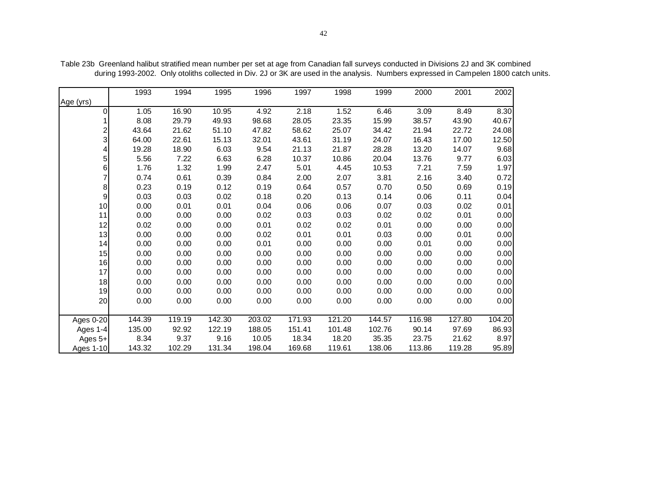|                | 1993   | 1994   | 1995   | 1996   | 1997   | 1998   | 1999   | 2000   | 2001   | 2002   |
|----------------|--------|--------|--------|--------|--------|--------|--------|--------|--------|--------|
| Age (yrs)      |        |        |        |        |        |        |        |        |        |        |
| 0              | 1.05   | 16.90  | 10.95  | 4.92   | 2.18   | 1.52   | 6.46   | 3.09   | 8.49   | 8.30   |
|                | 8.08   | 29.79  | 49.93  | 98.68  | 28.05  | 23.35  | 15.99  | 38.57  | 43.90  | 40.67  |
| $\overline{c}$ | 43.64  | 21.62  | 51.10  | 47.82  | 58.62  | 25.07  | 34.42  | 21.94  | 22.72  | 24.08  |
| 3              | 64.00  | 22.61  | 15.13  | 32.01  | 43.61  | 31.19  | 24.07  | 16.43  | 17.00  | 12.50  |
|                | 19.28  | 18.90  | 6.03   | 9.54   | 21.13  | 21.87  | 28.28  | 13.20  | 14.07  | 9.68   |
| 5              | 5.56   | 7.22   | 6.63   | 6.28   | 10.37  | 10.86  | 20.04  | 13.76  | 9.77   | 6.03   |
| 6              | 1.76   | 1.32   | 1.99   | 2.47   | 5.01   | 4.45   | 10.53  | 7.21   | 7.59   | 1.97   |
|                | 0.74   | 0.61   | 0.39   | 0.84   | 2.00   | 2.07   | 3.81   | 2.16   | 3.40   | 0.72   |
| 8              | 0.23   | 0.19   | 0.12   | 0.19   | 0.64   | 0.57   | 0.70   | 0.50   | 0.69   | 0.19   |
| 9              | 0.03   | 0.03   | 0.02   | 0.18   | 0.20   | 0.13   | 0.14   | 0.06   | 0.11   | 0.04   |
| 10             | 0.00   | 0.01   | 0.01   | 0.04   | 0.06   | 0.06   | 0.07   | 0.03   | 0.02   | 0.01   |
| 11             | 0.00   | 0.00   | 0.00   | 0.02   | 0.03   | 0.03   | 0.02   | 0.02   | 0.01   | 0.00   |
| 12             | 0.02   | 0.00   | 0.00   | 0.01   | 0.02   | 0.02   | 0.01   | 0.00   | 0.00   | 0.00   |
| 13             | 0.00   | 0.00   | 0.00   | 0.02   | 0.01   | 0.01   | 0.03   | 0.00   | 0.01   | 0.00   |
| 14             | 0.00   | 0.00   | 0.00   | 0.01   | 0.00   | 0.00   | 0.00   | 0.01   | 0.00   | 0.00   |
| 15             | 0.00   | 0.00   | 0.00   | 0.00   | 0.00   | 0.00   | 0.00   | 0.00   | 0.00   | 0.00   |
| 16             | 0.00   | 0.00   | 0.00   | 0.00   | 0.00   | 0.00   | 0.00   | 0.00   | 0.00   | 0.00   |
| 17             | 0.00   | 0.00   | 0.00   | 0.00   | 0.00   | 0.00   | 0.00   | 0.00   | 0.00   | 0.00   |
| 18             | 0.00   | 0.00   | 0.00   | 0.00   | 0.00   | 0.00   | 0.00   | 0.00   | 0.00   | 0.00   |
| 19             | 0.00   | 0.00   | 0.00   | 0.00   | 0.00   | 0.00   | 0.00   | 0.00   | 0.00   | 0.00   |
| 20             | 0.00   | 0.00   | 0.00   | 0.00   | 0.00   | 0.00   | 0.00   | 0.00   | 0.00   | 0.00   |
|                |        |        |        |        |        |        |        |        |        |        |
| Ages 0-20      | 144.39 | 119.19 | 142.30 | 203.02 | 171.93 | 121.20 | 144.57 | 116.98 | 127.80 | 104.20 |
| Ages 1-4       | 135.00 | 92.92  | 122.19 | 188.05 | 151.41 | 101.48 | 102.76 | 90.14  | 97.69  | 86.93  |
| Ages $5+$      | 8.34   | 9.37   | 9.16   | 10.05  | 18.34  | 18.20  | 35.35  | 23.75  | 21.62  | 8.97   |
| Ages 1-10      | 143.32 | 102.29 | 131.34 | 198.04 | 169.68 | 119.61 | 138.06 | 113.86 | 119.28 | 95.89  |

Table 23b Greenland halibut stratified mean number per set at age from Canadian fall surveys conducted in Divisions 2J and 3K combined during 1993-2002. Only otoliths collected in Div. 2J or 3K are used in the analysis. Numbers expressed in Campelen 1800 catch units.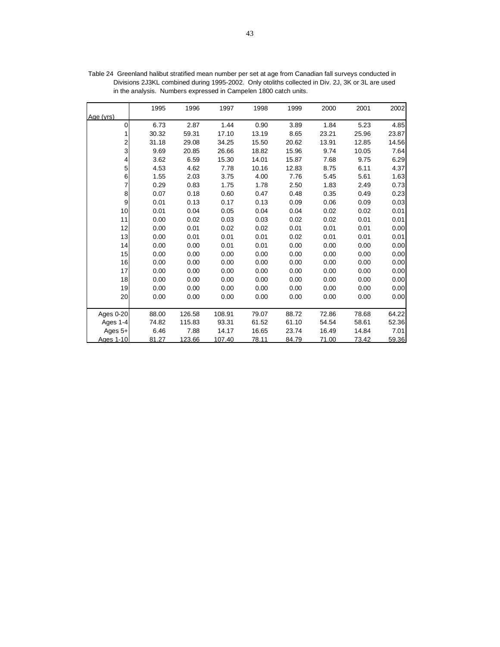|           | 1995  | 1996   | 1997   | 1998  | 1999  | 2000  | 2001  | 2002  |
|-----------|-------|--------|--------|-------|-------|-------|-------|-------|
| Age (yrs) |       |        |        |       |       |       |       |       |
| 0         | 6.73  | 2.87   | 1.44   | 0.90  | 3.89  | 1.84  | 5.23  | 4.85  |
|           | 30.32 | 59.31  | 17.10  | 13.19 | 8.65  | 23.21 | 25.96 | 23.87 |
| 2         | 31.18 | 29.08  | 34.25  | 15.50 | 20.62 | 13.91 | 12.85 | 14.56 |
| 3         | 9.69  | 20.85  | 26.66  | 18.82 | 15.96 | 9.74  | 10.05 | 7.64  |
| 4         | 3.62  | 6.59   | 15.30  | 14.01 | 15.87 | 7.68  | 9.75  | 6.29  |
| 5         | 4.53  | 4.62   | 7.78   | 10.16 | 12.83 | 8.75  | 6.11  | 4.37  |
| 6         | 1.55  | 2.03   | 3.75   | 4.00  | 7.76  | 5.45  | 5.61  | 1.63  |
| 7         | 0.29  | 0.83   | 1.75   | 1.78  | 2.50  | 1.83  | 2.49  | 0.73  |
| 8         | 0.07  | 0.18   | 0.60   | 0.47  | 0.48  | 0.35  | 0.49  | 0.23  |
| 9         | 0.01  | 0.13   | 0.17   | 0.13  | 0.09  | 0.06  | 0.09  | 0.03  |
| 10        | 0.01  | 0.04   | 0.05   | 0.04  | 0.04  | 0.02  | 0.02  | 0.01  |
| 11        | 0.00  | 0.02   | 0.03   | 0.03  | 0.02  | 0.02  | 0.01  | 0.01  |
| 12        | 0.00  | 0.01   | 0.02   | 0.02  | 0.01  | 0.01  | 0.01  | 0.00  |
| 13        | 0.00  | 0.01   | 0.01   | 0.01  | 0.02  | 0.01  | 0.01  | 0.01  |
| 14        | 0.00  | 0.00   | 0.01   | 0.01  | 0.00  | 0.00  | 0.00  | 0.00  |
| 15        | 0.00  | 0.00   | 0.00   | 0.00  | 0.00  | 0.00  | 0.00  | 0.00  |
| 16        | 0.00  | 0.00   | 0.00   | 0.00  | 0.00  | 0.00  | 0.00  | 0.00  |
| 17        | 0.00  | 0.00   | 0.00   | 0.00  | 0.00  | 0.00  | 0.00  | 0.00  |
| 18        | 0.00  | 0.00   | 0.00   | 0.00  | 0.00  | 0.00  | 0.00  | 0.00  |
| 19        | 0.00  | 0.00   | 0.00   | 0.00  | 0.00  | 0.00  | 0.00  | 0.00  |
| 20        | 0.00  | 0.00   | 0.00   | 0.00  | 0.00  | 0.00  | 0.00  | 0.00  |
|           |       |        |        |       |       |       |       |       |
| Ages 0-20 | 88.00 | 126.58 | 108.91 | 79.07 | 88.72 | 72.86 | 78.68 | 64.22 |
| Ages 1-4  | 74.82 | 115.83 | 93.31  | 61.52 | 61.10 | 54.54 | 58.61 | 52.36 |
| Ages $5+$ | 6.46  | 7.88   | 14.17  | 16.65 | 23.74 | 16.49 | 14.84 | 7.01  |
| Ages 1-10 | 81.27 | 123.66 | 107.40 | 78.11 | 84.79 | 71.00 | 73.42 | 59.36 |

Table 24 Greenland halibut stratified mean number per set at age from Canadian fall surveys conducted in Divisions 2J3KL combined during 1995-2002. Only otoliths collected in Div. 2J, 3K or 3L are used in the analysis. Numbers expressed in Campelen 1800 catch units.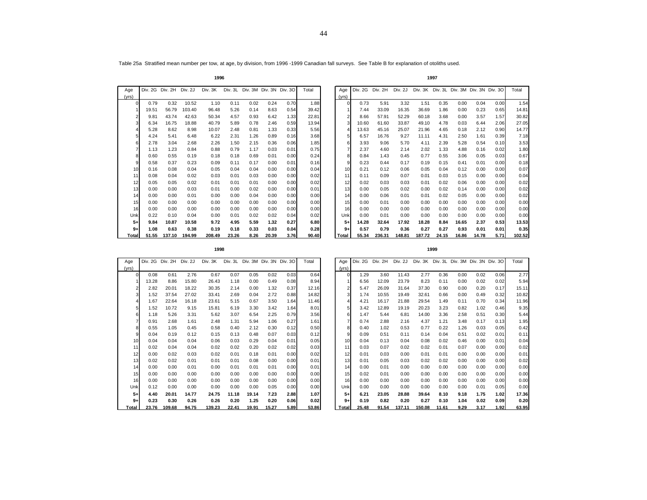Table 25a Stratified mean number per tow, at age, by division, from 1996 -1999 Canadian fall surveys. See Table B for explanation of otoliths used.

|--|

| Age   | Div. 2G | 2H<br>Div. | Div. 2J | Div. 3K | Div. 3L | Div. 3M |       | Div. 3N Div. 3O | Total | Age      | Div. 2G | Div. 2H | Div. 2J |        |       | Div. 3K Div. 3L Div. 3M Div. 3N Div. 3O |       |      | Total |
|-------|---------|------------|---------|---------|---------|---------|-------|-----------------|-------|----------|---------|---------|---------|--------|-------|-----------------------------------------|-------|------|-------|
| (yrs) |         |            |         |         |         |         |       |                 |       | (yrs)    |         |         |         |        |       |                                         |       |      |       |
|       | 0.79    | 0.32       | 10.52   | 1.10    | 0.11    | 0.02    | 0.24  | 0.70            | 1.88  | $\Omega$ | 0.73    | 5.91    | 3.32    | 1.51   | 0.35  | 0.00                                    | 0.04  | 0.00 | 1.    |
|       | 19.51   | 56.79      | 103.40  | 96.48   | 5.26    | 0.14    | 8.63  | 0.54            | 39.42 |          | 7.44    | 33.09   | 16.35   | 36.69  | 1.86  | 0.00                                    | 0.23  | 0.65 | 14.   |
|       | 9.81    | 43.74      | 42.63   | 50.34   | 4.57    | 0.93    | 6.42  | 1.33            | 22.81 |          | 8.66    | 57.91   | 52.29   | 60.18  | 3.68  | 0.00                                    | 3.57  | 1.57 | 30.   |
|       | 6.34    | 16.75      | 18.88   | 40.79   | 5.89    | 0.78    | 2.46  | 0.59            | 13.94 |          | 10.60   | 61.60   | 33.87   | 49.10  | 4.78  | 0.03                                    | 6.44  | 2.06 | 27.   |
|       | 5.28    | 8.62       | 8.98    | 10.07   | 2.48    | 0.81    | 1.33  | 0.33            | 5.56  |          | 13.63   | 45.16   | 25.07   | 21.96  | 4.65  | 0.18                                    | 2.12  | 0.90 | 14.   |
|       | 4.24    | 5.41       | 6.48    | 6.22    | 2.31    | 1.26    | 0.89  | 0.16            | 3.68  | 51       | 6.57    | 16.76   | 9.27    | 11.11  | 4.31  | 2.50                                    | 1.61  | 0.39 | 7.    |
|       | 2.78    | 3.04       | 2.68    | 2.26    | 1.50    | 2.15    | 0.36  | 0.06            | 1.85  | 61       | 3.93    | 9.06    | 5.70    | 4.11   | 2.39  | 5.28                                    | 0.54  | 0.10 | 3.    |
|       | 1.13    | 1.23       | 0.84    | 0.88    | 0.79    | 1.17    | 0.03  | 0.01            | 0.75  |          | 2.37    | 4.60    | 2.14    | 2.02   | 1.33  | 4.88                                    | 0.16  | 0.02 | 1.    |
|       | 0.60    | 0.55       | 0.19    | 0.18    | 0.18    | 0.69    | 0.01  | 0.00            | 0.24  | 81       | 0.84    | 1.43    | 0.45    | 0.77   | 0.55  | 3.06                                    | 0.05  | 0.03 | 0.    |
|       | 0.58    | 0.37       | 0.23    | 0.09    | 0.11    | 0.17    | 0.00  | 0.01            | 0.16  | 9        | 0.23    | 0.44    | 0.17    | 0.19   | 0.15  | 0.41                                    | 0.01  | 0.00 | 0.    |
| 10    | 0.16    | 0.08       | 0.04    | 0.05    | 0.04    | 0.04    | 0.00  | 0.00            | 0.04  | 10       | 0.21    | 0.12    | 0.06    | 0.05   | 0.04  | 0.12                                    | 0.00  | 0.00 | 0.    |
| 11    | 0.08    | 0.04       | 0.02    | 0.03    | 0.01    | 0.03    | 0.00  | 0.00            | 0.02  | 11       | 0.11    | 0.09    | 0.07    | 0.01   | 0.03  | 0.15                                    | 0.00  | 0.00 | 0.    |
| 12    | 0.05    | 0.05       | 0.02    | 0.01    | 0.01    | 0.01    | 0.00  | 0.00            | 0.02  | 12       | 0.02    | 0.03    | 0.03    | 0.01   | 0.02  | 0.06                                    | 0.00  | 0.00 | 0.    |
| 13    | 0.00    | 0.00       | 0.03    | 0.01    | 0.00    | 0.02    | 0.00  | 0.00            | 0.01  | 13       | 0.00    | 0.05    | 0.02    | 0.00   | 0.02  | 0.14                                    | 0.00  | 0.00 | 0.    |
| 14    | 0.00    | 0.00       | 0.01    | 0.00    | 0.00    | 0.04    | 0.00  | 0.00            | 0.00  | 14       | 0.00    | 0.06    | 0.01    | 0.01   | 0.02  | 0.05                                    | 0.00  | 0.00 | 0.    |
| 15    | 0.00    | 0.00       | 0.00    | 0.00    | 0.00    | 0.00    | 0.00  | 0.00            | 0.00  | 15       | 0.00    | 0.01    | 0.00    | 0.00   | 0.00  | 0.00                                    | 0.00  | 0.00 | 0.    |
| 16    | 0.00    | 0.00       | 0.00    | 0.00    | 0.00    | 0.00    | 0.00  | 0.00            | 0.00  | 16       | 0.00    | 0.00    | 0.00    | 0.00   | 0.00  | 0.00                                    | 0.00  | 0.00 | 0.    |
| Unk   | 0.22    | 0.10       | 0.04    | 0.00    | 0.01    | 0.02    | 0.02  | 0.04            | 0.02  | Unk      | 0.00    | 0.01    | 0.00    | 0.00   | 0.00  | 0.00                                    | 0.00  | 0.00 | 0.    |
| $5+$  | 9.84    | 10.87      | 10.58   | 9.72    | 4.95    | 5.59    | 1.32  | 0.27            | 6.80  | $5+$     | 14.28   | 32.64   | 17.92   | 18.28  | 8.84  | 16.65                                   | 2.37  | 0.53 | 13.   |
| $9+$  | 1.08    | 0.63       | 0.38    | 0.19    | 0.18    | 0.33    | 0.03  | 0.04            | 0.28  | $9+$     | 0.57    | 0.79    | 0.36    | 0.27   | 0.27  | 0.93                                    | 0.01  | 0.01 | 0.    |
| Total | 51.55   | 137.10     | 194.99  | 208.49  | 23.26   | 8.26    | 20.39 | 3.76            | 90.40 | Total    | 55.34   | 236.31  | 148.81  | 187.72 | 24.15 | 16.86                                   | 14.78 | 5.71 | 102.  |

| ge              | Div. 2G Div. 2H |        | Div. 2J | Div. 3K | Div. 3L | Div. 3M Div. 3N Div. 3O |       |      | Total | Aae   | Div. 2G | Div. 2H | Div. 2J | Div. 3K Div. 3L Div. 3M Div. 3N Div. 3O |       |       |       |      | Total  |
|-----------------|-----------------|--------|---------|---------|---------|-------------------------|-------|------|-------|-------|---------|---------|---------|-----------------------------------------|-------|-------|-------|------|--------|
| 'rs)            |                 |        |         |         |         |                         |       |      |       | (yrs) |         |         |         |                                         |       |       |       |      |        |
|                 | 0.79            | 0.32   | 10.52   | 1.10    | 0.11    | 0.02                    | 0.24  | 0.70 | 1.88  | 0     | 0.73    | 5.91    | 3.32    | 1.51                                    | 0.35  | 0.00  | 0.04  | 0.00 | 1.54   |
|                 | 19.51           | 56.79  | 103.40  | 96.48   | 5.26    | 0.14                    | 8.63  | 0.54 | 39.42 |       | 7.44    | 33.09   | 16.35   | 36.69                                   | 1.86  | 0.00  | 0.23  | 0.65 | 14.81  |
|                 | 9.81            | 43.74  | 42.63   | 50.34   | 4.57    | 0.93                    | 6.42  | 1.33 | 22.81 |       | 8.66    | 57.91   | 52.29   | 60.18                                   | 3.68  | 0.00  | 3.57  | 1.57 | 30.82  |
|                 | 6.34            | 16.75  | 18.88   | 40.79   | 5.89    | 0.78                    | 2.46  | 0.59 | 13.94 |       | 10.60   | 61.60   | 33.87   | 49.10                                   | 4.78  | 0.03  | 6.44  | 2.06 | 27.05  |
|                 | 5.28            | 8.62   | 8.98    | 10.07   | 2.48    | 0.81                    | 1.33  | 0.33 | 5.56  |       | 13.63   | 45.16   | 25.07   | 21.96                                   | 4.65  | 0.18  | 2.12  | 0.90 | 14.77  |
|                 | 4.24            | 5.41   | 6.48    | 6.22    | 2.31    | 1.26                    | 0.89  | 0.16 | 3.68  |       | 6.57    | 16.76   | 9.27    | 11.11                                   | 4.31  | 2.50  | 1.61  | 0.39 | 7.18   |
|                 | 2.78            | 3.04   | 2.68    | 2.26    | 1.50    | 2.15                    | 0.36  | 0.06 | 1.85  |       | 3.93    | 9.06    | 5.70    | 4.11                                    | 2.39  | 5.28  | 0.54  | 0.10 | 3.53   |
|                 | 1.13            | 1.23   | 0.84    | 0.88    | 0.79    | 1.17                    | 0.03  | 0.01 | 0.75  |       | 2.37    | 4.60    | 2.14    | 2.02                                    | 1.33  | 4.88  | 0.16  | 0.02 | 1.80   |
|                 | 0.60            | 0.55   | 0.19    | 0.18    | 0.18    | 0.69                    | 0.01  | 0.00 | 0.24  |       | 0.84    | 1.43    | 0.45    | 0.77                                    | 0.55  | 3.06  | 0.05  | 0.03 | 0.67   |
|                 | 0.58            | 0.37   | 0.23    | 0.09    | 0.11    | 0.17                    | 0.00  | 0.01 | 0.16  | 9     | 0.23    | 0.44    | 0.17    | 0.19                                    | 0.15  | 0.41  | 0.01  | 0.00 | 0.18   |
| 10 <sup>1</sup> | 0.16            | 0.08   | 0.04    | 0.05    | 0.04    | 0.04                    | 0.00  | 0.00 | 0.04  | 10    | 0.21    | 0.12    | 0.06    | 0.05                                    | 0.04  | 0.12  | 0.00  | 0.00 | 0.07   |
| 11              | 0.08            | 0.04   | 0.02    | 0.03    | 0.01    | 0.03                    | 0.00  | 0.00 | 0.02  | 11    | 0.11    | 0.09    | 0.07    | 0.01                                    | 0.03  | 0.15  | 0.00  | 0.00 | 0.04   |
| 12              | 0.05            | 0.05   | 0.02    | 0.01    | 0.01    | 0.01                    | 0.00  | 0.00 | 0.02  | 12    | 0.02    | 0.03    | 0.03    | 0.01                                    | 0.02  | 0.06  | 0.00  | 0.00 | 0.02   |
| 13              | 0.00            | 0.00   | 0.03    | 0.01    | 0.00    | 0.02                    | 0.00  | 0.00 | 0.01  | 13    | 0.00    | 0.05    | 0.02    | 0.00                                    | 0.02  | 0.14  | 0.00  | 0.00 | 0.02   |
| 14              | 0.00            | 0.00   | 0.01    | 0.00    | 0.00    | 0.04                    | 0.00  | 0.00 | 0.00  | 14    | 0.00    | 0.06    | 0.01    | 0.01                                    | 0.02  | 0.05  | 0.00  | 0.00 | 0.02   |
| 15              | 0.00            | 0.00   | 0.00    | 0.00    | 0.00    | 0.00                    | 0.00  | 0.00 | 0.00  | 15    | 0.00    | 0.01    | 0.00    | 0.00                                    | 0.00  | 0.00  | 0.00  | 0.00 | 0.00   |
| 16              | 0.00            | 0.00   | 0.00    | 0.00    | 0.00    | 0.00                    | 0.00  | 0.00 | 0.00  | 16    | 0.00    | 0.00    | 0.00    | 0.00                                    | 0.00  | 0.00  | 0.00  | 0.00 | 0.00   |
| Unk             | 0.22            | 0.10   | 0.04    | 0.00    | 0.01    | 0.02                    | 0.02  | 0.04 | 0.02  | Unk   | 0.00    | 0.01    | 0.00    | 0.00                                    | 0.00  | 0.00  | 0.00  | 0.00 | 0.00   |
| $5+$            | 9.84            | 10.87  | 10.58   | 9.72    | 4.95    | 5.59                    | 1.32  | 0.27 | 6.80  | $5+$  | 14.28   | 32.64   | 17.92   | 18.28                                   | 8.84  | 16.65 | 2.37  | 0.53 | 13.53  |
| $9+$            | 1.08            | 0.63   | 0.38    | 0.19    | 0.18    | 0.33                    | 0.03  | 0.04 | 0.28  | $9+$  | 0.57    | 0.79    | 0.36    | 0.27                                    | 0.27  | 0.93  | 0.01  | 0.01 | 0.35   |
| Total           | 51.55           | 137.10 | 194.99  | 208.49  | 23.26   | 8.26                    | 20.39 | 3.76 | 90.40 | Total | 55.34   | 236.31  | 148.81  | 187.72                                  | 24.15 | 16.86 | 14.78 | 5.71 | 102.52 |
|                 |                 |        |         |         |         |                         |       |      |       |       |         |         |         |                                         |       |       |       |      |        |

| I |  |  |
|---|--|--|
|   |  |  |

| Age            |       | DIV. 2G DIV. 2H | DIV. ZJ | DIV. 3K |       | DIV. 3L DIV. 3M DIV. 3N DIV. 3O |       |      | l otal | Age         |
|----------------|-------|-----------------|---------|---------|-------|---------------------------------|-------|------|--------|-------------|
| (yrs)          |       |                 |         |         |       |                                 |       |      |        | (yrs)       |
| 0              | 0.08  | 0.61            | 2.76    | 0.67    | 0.07  | 0.05                            | 0.02  | 0.03 | 0.64   |             |
| 1              | 13.28 | 8.86            | 15.80   | 26.43   | 1.18  | 0.00                            | 0.49  | 0.08 | 8.94   |             |
| 2              | 2.82  | 20.01           | 18.22   | 30.35   | 2.14  | 0.00                            | 1.32  | 0.37 | 12.16  |             |
| 3              | 1.52  | 37.54           | 27.02   | 33.41   | 2.69  | 0.04                            | 2.72  | 0.88 | 14.82  |             |
| $\frac{4}{3}$  | 1.67  | 22.64           | 16.18   | 23.61   | 5.15  | 0.67                            | 3.50  | 1.64 | 11.46  |             |
| 5 <sup>1</sup> | 1.52  | 10.72           | 9.15    | 15.81   | 6.19  | 3.30                            | 3.42  | 1.64 | 8.01   |             |
| $6 \mid$       | 1.18  | 5.26            | 3.31    | 5.62    | 3.07  | 6.54                            | 2.25  | 0.79 | 3.56   |             |
| 7              | 0.91  | 2.68            | 1.61    | 2.48    | 1.31  | 5.94                            | 1.06  | 0.27 | 1.61   |             |
| 8              | 0.55  | 1.05            | 0.45    | 0.58    | 0.40  | 2.12                            | 0.30  | 0.12 | 0.50   |             |
| $\overline{9}$ | 0.04  | 0.19            | 0.12    | 0.15    | 0.13  | 0.48                            | 0.07  | 0.03 | 0.12   |             |
| 10             | 0.04  | 0.04            | 0.04    | 0.06    | 0.03  | 0.29                            | 0.04  | 0.01 | 0.05   | 1(          |
| 11             | 0.02  | 0.04            | 0.04    | 0.02    | 0.02  | 0.20                            | 0.02  | 0.02 | 0.03   | $1^{\circ}$ |
| 12             | 0.00  | 0.02            | 0.03    | 0.02    | 0.01  | 0.18                            | 0.01  | 0.00 | 0.02   | 1:          |
| 13             | 0.02  | 0.02            | 0.01    | 0.01    | 0.01  | 0.08                            | 0.00  | 0.00 | 0.01   | 1:          |
| 14             | 0.00  | 0.00            | 0.01    | 0.00    | 0.01  | 0.01                            | 0.01  | 0.00 | 0.01   | 14          |
| 15             | 0.00  | 0.00            | 0.00    | 0.00    | 0.00  | 0.00                            | 0.00  | 0.00 | 0.00   | 1           |
| 16             | 0.00  | 0.00            | 0.00    | 0.00    | 0.00  | 0.00                            | 0.00  | 0.00 | 0.00   | 1(          |
| Unk            | 0.12  | 0.00            | 0.00    | 0.00    | 0.00  | 0.00                            | 0.05  | 0.00 | 0.00   | Unl         |
| $5+$           | 4.40  | 20.01           | 14.77   | 24.75   | 11.18 | 19.14                           | 7.23  | 2.88 | 1.07   | 5.          |
| $9+$           | 0.23  | 0.30            | 0.26    | 0.26    | 0.20  | 1.25                            | 0.20  | 0.06 | 0.02   | 9-          |
| Total          | 23.76 | 109.68          | 94.75   | 139.23  | 22.41 | 19.91                           | 15.27 | 5.89 | 53.86  | Tota        |

| Age             | Div. 2G Div. 2H Div. 2J |        |       | Div. 3K |       |       |       | Div. 3L Div. 3M Div. 3N Div. 3O | Total | Age             | Div. 2G Div. 2H |       | Div. 2J | Div. 3K Div. 3L Div. 3M Div. 3N Div. 3O |       |      |      |      | Total |
|-----------------|-------------------------|--------|-------|---------|-------|-------|-------|---------------------------------|-------|-----------------|-----------------|-------|---------|-----------------------------------------|-------|------|------|------|-------|
| yrs)            |                         |        |       |         |       |       |       |                                 |       | (yrs)           |                 |       |         |                                         |       |      |      |      |       |
| $\Omega$        | 0.08                    | 0.61   | 2.76  | 0.67    | 0.07  | 0.05  | 0.02  | 0.03                            | 0.64  | $\Omega$        | 1.29            | 3.60  | 11.43   | 2.77                                    | 0.36  | 0.00 | 0.02 | 0.06 | 2.77  |
|                 | 13.28                   | 8.86   | 15.80 | 26.43   | 1.18  | 0.00  | 0.49  | 0.08                            | 8.94  |                 | 6.56            | 12.09 | 23.79   | 8.23                                    | 0.11  | 0.00 | 0.02 | 0.02 | 5.94  |
|                 | 2.82                    | 20.01  | 18.22 | 30.35   | 2.14  | 0.00  | 1.32  | 0.37                            | 12.16 |                 | 5.47            | 26.09 | 31.64   | 37.30                                   | 0.90  | 0.00 | 0.20 | 0.17 | 15.11 |
| 3               | 1.52                    | 37.54  | 27.02 | 33.41   | 2.69  | 0.04  | 2.72  | 0.88                            | 14.82 |                 | 1.74            | 10.55 | 19.49   | 32.61                                   | 0.66  | 0.00 | 0.49 | 0.32 | 10.82 |
|                 | 1.67                    | 22.64  | 16.18 | 23.61   | 5.15  | 0.67  | 3.50  | 1.64                            | 11.46 |                 | 4.21            | 16.17 | 21.88   | 29.54                                   | 1.49  | 0.11 | 0.70 | 0.34 | 11.96 |
| 5 <sup>1</sup>  | 1.52                    | 10.72  | 9.15  | 15.81   | 6.19  | 3.30  | 3.42  | 1.64                            | 8.01  | 5               | 3.42            | 12.89 | 19.19   | 20.23                                   | 3.23  | 0.82 | 1.02 | 0.46 | 9.35  |
| 6               | 1.18                    | 5.26   | 3.31  | 5.62    | 3.07  | 6.54  | 2.25  | 0.79                            | 3.56  | 6               | 1.47            | 5.44  | 6.81    | 14.00                                   | 3.36  | 2.58 | 0.51 | 0.30 | 5.44  |
|                 | 0.91                    | 2.68   | 1.61  | 2.48    | 1.31  | 5.94  | 1.06  | 0.27                            | 1.61  |                 | 0.74            | 2.88  | 2.16    | 4.37                                    | 1.21  | 3.48 | 0.17 | 0.13 | 1.95  |
| 8               | 0.55                    | 1.05   | 0.45  | 0.58    | 0.40  | 2.12  | 0.30  | 0.12                            | 0.50  | 8               | 0.40            | 1.02  | 0.53    | 0.77                                    | 0.22  | 1.26 | 0.03 | 0.05 | 0.42  |
| $\overline{9}$  | 0.04                    | 0.19   | 0.12  | 0.15    | 0.13  | 0.48  | 0.07  | 0.03                            | 0.12  | 9               | 0.09            | 0.51  | 0.11    | 0.14                                    | 0.04  | 0.51 | 0.02 | 0.01 | 0.11  |
| 10 <sup>1</sup> | 0.04                    | 0.04   | 0.04  | 0.06    | 0.03  | 0.29  | 0.04  | 0.01                            | 0.05  | 10 <sup>1</sup> | 0.04            | 0.13  | 0.04    | 0.08                                    | 0.02  | 0.46 | 0.00 | 0.01 | 0.04  |
| 11              | 0.02                    | 0.04   | 0.04  | 0.02    | 0.02  | 0.20  | 0.02  | 0.02                            | 0.03  | 11              | 0.03            | 0.07  | 0.02    | 0.02                                    | 0.01  | 0.07 | 0.00 | 0.00 | 0.02  |
| 12              | 0.00                    | 0.02   | 0.03  | 0.02    | 0.01  | 0.18  | 0.01  | 0.00                            | 0.02  | 12              | 0.01            | 0.03  | 0.00    | 0.01                                    | 0.01  | 0.00 | 0.00 | 0.00 | 0.01  |
| 13              | 0.02                    | 0.02   | 0.01  | 0.01    | 0.01  | 0.08  | 0.00  | 0.00                            | 0.01  | 13              | 0.01            | 0.05  | 0.03    | 0.02                                    | 0.02  | 0.00 | 0.00 | 0.00 | 0.02  |
| 14              | 0.00                    | 0.00   | 0.01  | 0.00    | 0.01  | 0.01  | 0.01  | 0.00                            | 0.01  | 14              | 0.00            | 0.01  | 0.00    | 0.00                                    | 0.00  | 0.00 | 0.00 | 0.00 | 0.00  |
| 15              | 0.00                    | 0.00   | 0.00  | 0.00    | 0.00  | 0.00  | 0.00  | 0.00                            | 0.00  | 15              | 0.02            | 0.01  | 0.00    | 0.00                                    | 0.00  | 0.00 | 0.00 | 0.00 | 0.00  |
| 16              | 0.00                    | 0.00   | 0.00  | 0.00    | 0.00  | 0.00  | 0.00  | 0.00                            | 0.00  | 16              | 0.00            | 0.00  | 0.00    | 0.00                                    | 0.00  | 0.00 | 0.00 | 0.00 | 0.00  |
| Unk             | 0.12                    | 0.00   | 0.00  | 0.00    | 0.00  | 0.00  | 0.05  | 0.00                            | 0.00  | Unk             | 0.00            | 0.00  | 0.00    | 0.00                                    | 0.00  | 0.00 | 0.01 | 0.05 | 0.00  |
| $5+$            | 4.40                    | 20.01  | 14.77 | 24.75   | 11.18 | 19.14 | 7.23  | 2.88                            | 1.07  | $5+$            | 6.21            | 23.05 | 28.88   | 39.64                                   | 8.10  | 9.18 | 1.75 | 1.02 | 17.36 |
| $9+$            | 0.23                    | 0.30   | 0.26  | 0.26    | 0.20  | 1.25  | 0.20  | 0.06                            | 0.02  | $9+$            | 0.19            | 0.82  | 0.20    | 0.27                                    | 0.10  | 1.04 | 0.02 | 0.09 | 0.20  |
| <b>Total</b>    | 23.76                   | 109.68 | 94.75 | 139.23  | 22.41 | 19.91 | 15.27 | 5.89                            | 53.86 | Total           | 25.48           | 91.54 | 137.11  | 150.08                                  | 11.61 | 9.29 | 3.17 | 1.92 | 63.95 |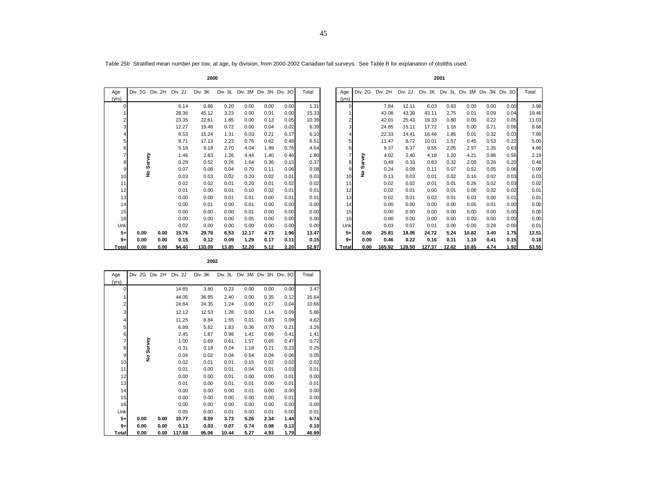Table 25b Stratified mean number per tow, at age, by division, from 2000-2002 Canadian fall surveys. See Table B for explanation of otoliths used.

| Age             | Div. 2G Div. 2H |      | Div. 2J | Div. 3K |       |       |      | Div. 3L Div. 3M Div. 3N Div. 3O | Total | Age      | Div. 2G | Div. 2H | Div. 2J | Div. 3K Div. 3L Div. 3M Div. 3N Div. 3O |       |       |      |      | Total         |
|-----------------|-----------------|------|---------|---------|-------|-------|------|---------------------------------|-------|----------|---------|---------|---------|-----------------------------------------|-------|-------|------|------|---------------|
| (vrs)           |                 |      |         |         |       |       |      |                                 |       | (yrs)    |         |         |         |                                         |       |       |      |      |               |
|                 |                 |      | 6.14    | 0.86    | 0.20  | 0.00  | 0.00 | 0.00                            | 1.31  | $\Omega$ |         | 7.84    | 12.11   | 6.03                                    | 0.83  | 0.00  | 0.00 | 0.00 | 3.98          |
|                 |                 |      | 28.36   | 45.12   | 3.23  | 0.00  | 0.01 | 0.00                            | 15.33 |          |         | 43.08   | 43.39   | 43.11                                   | 2.75  | 0.01  | 0.09 | 0.04 | 19.46         |
|                 |                 |      | 23.35   | 22.61   | 1.85  | 0.00  | 0.13 | 0.05                            | 10.39 |          |         | 42.01   | 25.43   | 19.33                                   | 0.80  | 0.00  | 0.22 | 0.05 | 11.03         |
|                 |                 |      | 12.27   | 19.48   | 0.72  | 0.00  | 0.04 | 0.02                            | 6.39  |          |         | 24.85   | 15.11   | 17.72                                   | 1.16  | 0.00  | 0.71 | 0.06 | 8.68          |
|                 |                 |      | 8.53    | 15.24   | 1.31  | 0.03  | 0.21 | 0.17                            | 6.10  |          |         | 22.33   | 14.41   | 16.46                                   | 1.85  | 0.01  | 0.32 | 0.03 | 7.89          |
|                 |                 |      | 8.71    | 17.13   | 2.23  | 0.76  | 0.82 | 0.48                            | 6.51  |          |         | 11.47   | 8.72    | 10.01                                   | 1.57  | 0.45  | 0.53 | 0.22 | 5.00          |
|                 |                 |      | 5.16    | 9.18    | 2.70  | 4.04  | 1.99 | 0.76                            | 4.64  | 6        |         | 9.37    | 6.37    | 9.55                                    | 2.05  | 2.97  | 1.35 | 0.63 | 4.66          |
|                 | rvey            |      | 1.46    | 2.83    | 1.26  | 4.44  | 1.40 | 0.46                            | 1.80  |          |         | 4.02    | 2.40    | 4.18                                    | 1.20  | 4.21  | 0.86 | 0.56 | 2.19          |
|                 |                 |      | 0.29    | 0.52    | 0.26  | 1.64  | 0.36 | 0.15                            | 0.37  | 8        | Vevin   | 0.49    | 0.33    | 0.83                                    | 0.32  | 2.09  | 0.26 | 0.20 | 0.48          |
|                 | <b>S</b>        |      | 0.07    | 0.06    | 0.04  | 0.70  | 0.11 | 0.06                            | 0.08  | 9        | ဖာ      | 0.24    | 0.09    | 0.11                                    | 0.07  | 0.52  | 0.05 | 0.06 | 0.09          |
| 10 <sup>1</sup> | £               |      | 0.03    | 0.03    | 0.02  | 0.20  | 0.02 | 0.01                            | 0.03  | 10       | £       | 0.13    | 0.03    | 0.01                                    | 0.02  | 0.16  | 0.02 | 0.03 | 0.03          |
| 11              |                 |      | 0.02    | 0.02    | 0.01  | 0.20  | 0.01 | 0.02                            | 0.02  | 11       |         | 0.02    | 0.02    | 0.01                                    | 0.01  | 0.26  | 0.02 | 0.03 | 0.02          |
| 12              |                 |      | 0.01    | 0.00    | 0.01  | 0.10  | 0.02 | 0.01                            | 0.01  | 12       |         | 0.02    | 0.01    | 0.00                                    | 0.01  | 0.08  | 0.02 | 0.02 | $0.0^{\circ}$ |
| 13              |                 |      | 0.00    | 0.00    | 0.01  | 0.01  | 0.00 | 0.01                            | 0.01  | 13       |         | 0.02    | 0.01    | 0.02                                    | 0.01  | 0.03  | 0.00 | 0.01 | $0.0^{\circ}$ |
| 14              |                 |      | 0.00    | 0.01    | 0.00  | 0.01  | 0.00 | 0.00                            | 0.00  | 14       |         | 0.00    | 0.00    | 0.00                                    | 0.00  | 0.05  | 0.01 | 0.00 | 0.00          |
| 15              |                 |      | 0.00    | 0.00    | 0.00  | 0.01  | 0.00 | 0.00                            | 0.00  | 15       |         | 0.00    | 0.00    | 0.00                                    | 0.00  | 0.00  | 0.00 | 0.00 | 0.00          |
| 16              |                 |      | 0.00    | 0.00    | 0.00  | 0.05  | 0.00 | 0.00                            | 0.00  | 16       |         | 0.00    | 0.00    | 0.00                                    | 0.00  | 0.00  | 0.00 | 0.00 | 0.00          |
| <b>Unk</b>      |                 |      | 0.02    | 0.00    | 0.00  | 0.00  | 0.00 | 0.00                            | 0.00  | Unk      |         | 0.03    | 0.07    | 0.01                                    | 0.00  | 0.00  | 0.28 | 0.00 | $0.0^{\circ}$ |
| $5+$            | 0.00            | 0.00 | 15.76   | 29.78   | 6.53  | 12.17 | 4.73 | 1.96                            | 13.47 | $5+$     | 0.00    | 25.81   | 18.05   | 24.72                                   | 5.24  | 10.82 | 3.40 | 1.75 | 12.51         |
| $9+$            | 0.00            | 0.00 | 0.15    | 0.12    | 0.09  | 1.29  | 0.17 | 0.11                            | 0.15  | $9+$     | 0.00    | 0.46    | 0.22    | 0.16                                    | 0.11  | 1.10  | 0.41 | 0.15 | 0.18          |
| Totall          | 0.00            | 0.00 | 94.40   | 133.09  | 13.85 | 12.20 | 5.12 | 2.20                            | 52.97 | Total    | 0.00    | 165.92  | 128.50  | 127.37                                  | 12.62 | 10.85 | 4.74 | 1.92 | 63.55         |

| .ge             | Div. 2G Div. 2H |      | Div. 2J | Div. 3K |       | Div. 3L Div. 3M Div. 3N Div. 3O |      |      | Total | Aae            | Div. 2G | Div. 2H | Div. 2J | Div. 3K Div. 3L Div. 3M Div. 3N Div. 3O |       |       |      |      | Total |
|-----------------|-----------------|------|---------|---------|-------|---------------------------------|------|------|-------|----------------|---------|---------|---------|-----------------------------------------|-------|-------|------|------|-------|
| /rs)            |                 |      |         |         |       |                                 |      |      |       | (vrs)          |         |         |         |                                         |       |       |      |      |       |
|                 |                 |      | 6.14    | 0.86    | 0.20  | 0.00                            | 0.00 | 0.00 | 1.31  | $\Omega$       |         | 7.84    | 12.11   | 6.03                                    | 0.83  | 0.00  | 0.00 | 0.00 | 3.98  |
|                 |                 |      | 28.36   | 45.12   | 3.23  | 0.00                            | 0.01 | 0.00 | 15.33 |                |         | 43.08   | 43.39   | 43.11                                   | 2.75  | 0.01  | 0.09 | 0.04 | 19.46 |
|                 |                 |      | 23.35   | 22.61   | 1.85  | 0.00                            | 0.13 | 0.05 | 10.39 | 2              |         | 42.01   | 25.43   | 19.33                                   | 0.80  | 0.00  | 0.22 | 0.05 | 11.03 |
|                 |                 |      | 12.27   | 19.48   | 0.72  | 0.00                            | 0.04 | 0.02 | 6.39  | 3              |         | 24.85   | 15.11   | 17.72                                   | 1.16  | 0.00  | 0.71 | 0.06 | 8.68  |
|                 |                 |      | 8.53    | 15.24   | 1.31  | 0.03                            | 0.21 | 0.17 | 6.10  | 4              |         | 22.33   | 14.41   | 16.46                                   | 1.85  | 0.01  | 0.32 | 0.03 | 7.89  |
|                 |                 |      | 8.71    | 17.13   | 2.23  | 0.76                            | 0.82 | 0.48 | 6.51  | 5              |         | 11.47   | 8.72    | 10.01                                   | 1.57  | 0.45  | 0.53 | 0.22 | 5.00  |
|                 |                 |      | 5.16    | 9.18    | 2.70  | 4.04                            | 1.99 | 0.76 | 4.64  | 6              |         | 9.37    | 6.37    | 9.55                                    | 2.05  | 2.97  | 1.35 | 0.63 | 4.66  |
|                 |                 |      | 1.46    | 2.83    | 1.26  | 4.44                            | 1.40 | 0.46 | 1.80  | $\overline{7}$ |         | 4.02    | 2.40    | 4.18                                    | 1.20  | 4.21  | 0.86 | 0.56 | 2.19  |
|                 | urvey           |      | 0.29    | 0.52    | 0.26  | 1.64                            | 0.36 | 0.15 | 0.37  | 8              | urvey   | 0.49    | 0.33    | 0.83                                    | 0.32  | 2.09  | 0.26 | 0.20 | 0.48  |
|                 | n               |      | 0.07    | 0.06    | 0.04  | 0.70                            | 0.11 | 0.06 | 0.08  | 9              | w       | 0.24    | 0.09    | 0.11                                    | 0.07  | 0.52  | 0.05 | 0.06 | 0.09  |
| 10 <sup>1</sup> | £               |      | 0.03    | 0.03    | 0.02  | 0.20                            | 0.02 | 0.01 | 0.03  | 10             | £       | 0.13    | 0.03    | 0.01                                    | 0.02  | 0.16  | 0.02 | 0.03 | 0.03  |
| 11              |                 |      | 0.02    | 0.02    | 0.01  | 0.20                            | 0.01 | 0.02 | 0.02  | 11             |         | 0.02    | 0.02    | 0.01                                    | 0.01  | 0.26  | 0.02 | 0.03 | 0.02  |
| 12              |                 |      | 0.01    | 0.00    | 0.01  | 0.10                            | 0.02 | 0.01 | 0.01  | 12             |         | 0.02    | 0.01    | 0.00                                    | 0.01  | 0.08  | 0.02 | 0.02 | 0.01  |
| 13              |                 |      | 0.00    | 0.00    | 0.01  | 0.01                            | 0.00 | 0.01 | 0.01  | 13             |         | 0.02    | 0.01    | 0.02                                    | 0.01  | 0.03  | 0.00 | 0.01 | 0.01  |
| 14              |                 |      | 0.00    | 0.01    | 0.00  | 0.01                            | 0.00 | 0.00 | 0.00  | 14             |         | 0.00    | 0.00    | 0.00                                    | 0.00  | 0.05  | 0.01 | 0.00 | 0.00  |
| 15              |                 |      | 0.00    | 0.00    | 0.00  | 0.01                            | 0.00 | 0.00 | 0.00  | 15             |         | 0.00    | 0.00    | 0.00                                    | 0.00  | 0.00  | 0.00 | 0.00 | 0.00  |
| 16              |                 |      | 0.00    | 0.00    | 0.00  | 0.05                            | 0.00 | 0.00 | 0.00  | 16             |         | 0.00    | 0.00    | 0.00                                    | 0.00  | 0.00  | 0.00 | 0.00 | 0.00  |
| Unk             |                 |      | 0.02    | 0.00    | 0.00  | 0.00                            | 0.00 | 0.00 | 0.00  | Unk            |         | 0.03    | 0.07    | 0.01                                    | 0.00  | 0.00  | 0.28 | 0.00 | 0.01  |
| $5+$            | 0.00            | 0.00 | 15.76   | 29.78   | 6.53  | 12.17                           | 4.73 | 1.96 | 13.47 | $5+$           | 0.00    | 25.81   | 18.05   | 24.72                                   | 5.24  | 10.82 | 3.40 | 1.75 | 12.51 |
| $9+$            | 0.00            | 0.00 | 0.15    | 0.12    | 0.09  | 1.29                            | 0.17 | 0.11 | 0.15  | $9+$           | 0.00    | 0.46    | 0.22    | 0.16                                    | 0.11  | 1.10  | 0.41 | 0.15 | 0.18  |
| Total           | 0.00            | 0.00 | 94.40   | 133.09  | 13.85 | 12.20                           | 5.12 | 2.20 | 52.97 | Totall         | 0.00    | 165.92  | 128.50  | 127.37                                  | 12.62 | 10.85 | 4.74 | 1.92 | 63.55 |

| Age   | Div. 2G   | Div. 2H | Div. 2J | Div. 3K | Div. 3L |      | Div. 3M Div. 3N Div. 3O |       | Total |      |      |      |      |
|-------|-----------|---------|---------|---------|---------|------|-------------------------|-------|-------|------|------|------|------|
| (yrs) |           |         |         |         |         |      |                         |       |       |      |      |      |      |
| 0     |           |         | 14.85   | 3.80    | 0.23    | 0.00 | 0.00                    | 0.00  | 3.47  |      |      |      |      |
|       |           |         | 44.05   | 36.95   | 2.40    | 0.00 | 0.35                    | 0.12  | 16.64 |      |      |      |      |
| 2     |           |         | 24.64   | 24.35   | 1.24    | 0.00 | 0.27                    | 0.04  | 10.66 |      |      |      |      |
| 3     |           |         |         |         |         |      | 12.12                   | 12.53 | 1.28  | 0.00 | 1.14 | 0.09 | 5.86 |
| 4     |           |         | 11.25   | 8.84    | 1.55    | 0.01 | 0.83                    | 0.09  | 4.62  |      |      |      |      |
| 5     |           |         | 6.89    | 5.82    | 1.83    | 0.36 | 0.70                    | 0.21  | 3.26  |      |      |      |      |
| 6     |           |         | 2.45    | 1.87    | 0.98    | 1.41 | 0.69                    | 0.41  | 1.41  |      |      |      |      |
| 7     |           |         | 1.00    | 0.69    | 0.61    | 1.57 | 0.65                    | 0.47  | 0.72  |      |      |      |      |
| 8     |           |         | 0.31    | 0.18    | 0.24    | 1.18 | 0.21                    | 0.23  | 0.25  |      |      |      |      |
| 9     | No Survey |         | 0.04    | 0.02    | 0.04    | 0.54 | 0.04                    | 0.06  | 0.05  |      |      |      |      |
| 10    |           |         | 0.02    | 0.01    | 0.01    | 0.15 | 0.02                    | 0.02  | 0.02  |      |      |      |      |
| 11    |           |         | 0.01    | 0.00    | 0.01    | 0.04 | 0.01                    | 0.03  | 0.01  |      |      |      |      |
| 12    |           |         | 0.00    | 0.00    | 0.01    | 0.00 | 0.00                    | 0.01  | 0.00  |      |      |      |      |
| 13    |           |         | 0.01    | 0.00    | 0.01    | 0.01 | 0.00                    | 0.01  | 0.01  |      |      |      |      |
| 14    |           |         | 0.00    | 0.00    | 0.00    | 0.01 | 0.00                    | 0.00  | 0.00  |      |      |      |      |
| 15    |           |         | 0.00    | 0.00    | 0.00    | 0.00 | 0.00                    | 0.01  | 0.00  |      |      |      |      |
| 16    |           |         | 0.00    | 0.00    | 0.00    | 0.00 | 0.00                    | 0.00  | 0.00  |      |      |      |      |
| Unk   |           |         | 0.05    | 0.00    | 0.01    | 0.00 | 0.01                    | 0.00  | 0.01  |      |      |      |      |
| $5+$  | 0.00      | 0.00    | 10.77   | 8.59    | 3.73    | 5.26 | 2.34                    | 1.44  | 5.74  |      |      |      |      |
| $9+$  | 0.00      | 0.00    | 0.13    | 0.03    | 0.07    | 0.74 | 0.08                    | 0.13  | 0.10  |      |      |      |      |
| Total | 0.00      | 0.00    | 117.68  | 95.06   | 10.44   | 5.27 | 4.93                    | 1.79  | 46.99 |      |      |      |      |

**2001**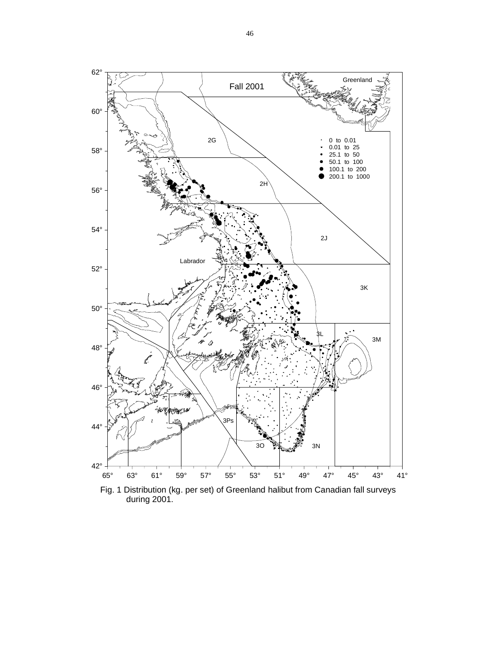

Fig. 1 Distribution (kg. per set) of Greenland halibut from Canadian fall surveys during 2001.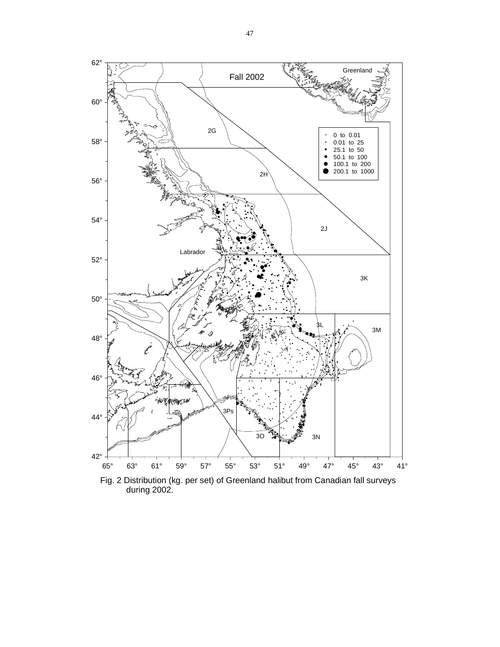

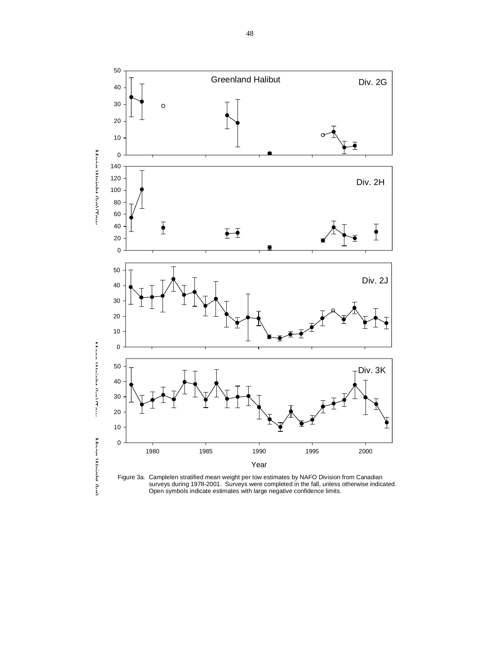

 surveys during 1978-2001. Surveys were completed in the fall, unless otherwise indicated. Open symbols indicate estimates with large negative confidence limits.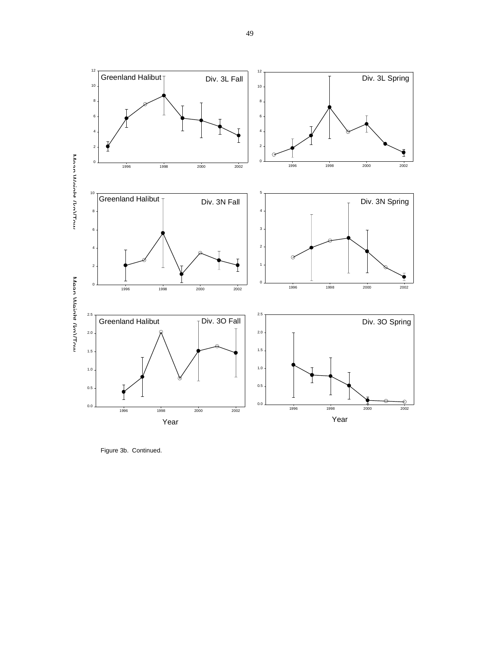

Figure 3b. Continued.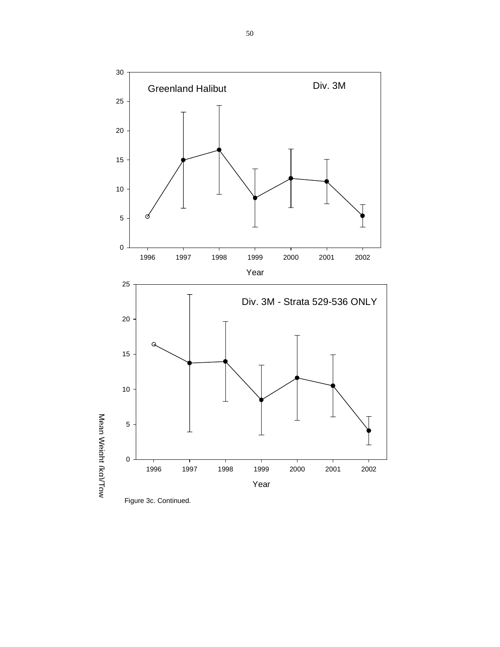



Mean

Weight (kg)/Tow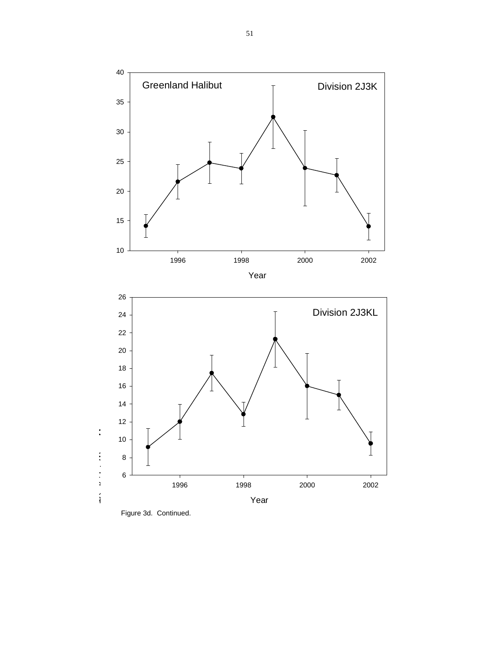

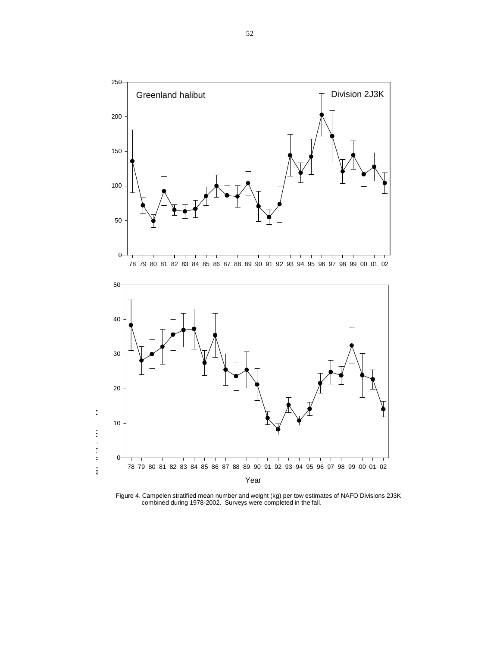



Figure 4. Campelen stratified mean number and weight (kg) per tow estimates of NAFO Divisions 2J3K combined during 1978-2002. Surveys were completed in the fall.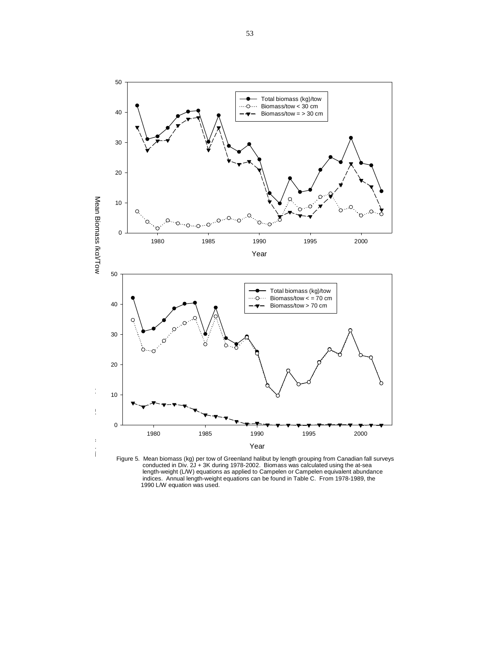

Figure 5. Mean biomass (kg) per tow of Greenland halibut by length grouping from Canadian fall surveys conducted in Div. 2J + 3K during 1978-2002. Biomass was calculated using the at-sea length-weight (L/W) equations as applied to Campelen or Campelen equivalent abundance indices. Annual length-weight equations can be found in Table C. From 1978-1989, the 1990 L/W equation was used.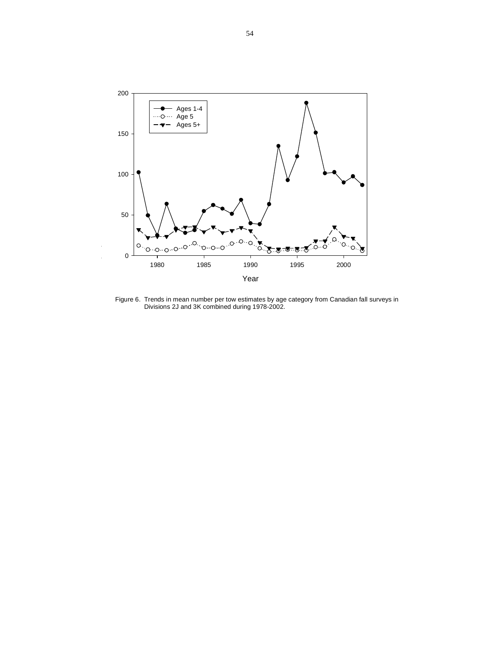

Figure 6. Trends in mean number per tow estimates by age category from Canadian fall surveys in Divisions 2J and 3K combined during 1978-2002.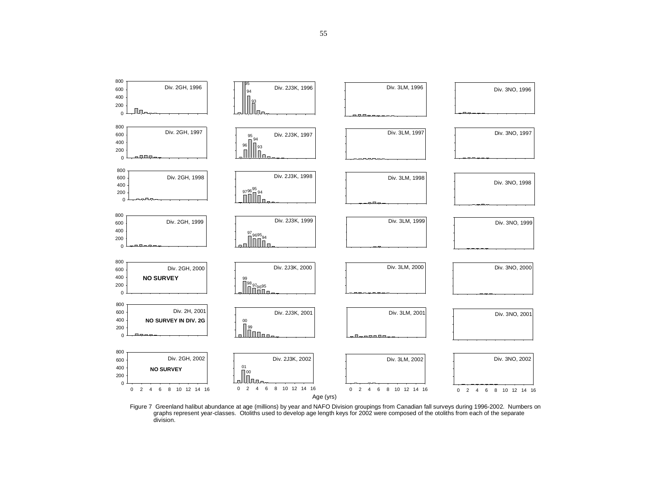

Figure 7 Greenland halibut abundance at age (millions) by year and NAFO Division groupings from Canadian fall surveys during 1996-2002. Numbers on graphs represent year-classes. Otoliths used to develop age length keys for 2002 were composed of the otoliths from each of the separate division.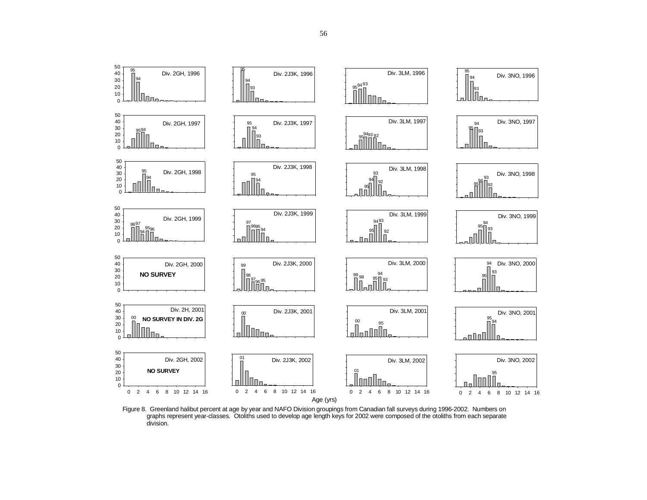

Figure 8. Greenland halibut percent at age by year and NAFO Division groupings from Canadian fall surveys during 1996-2002. Numbers on graphs represent year-classes. Otoliths used to develop age length keys for 2002 were composed of the otoliths from each separate division.